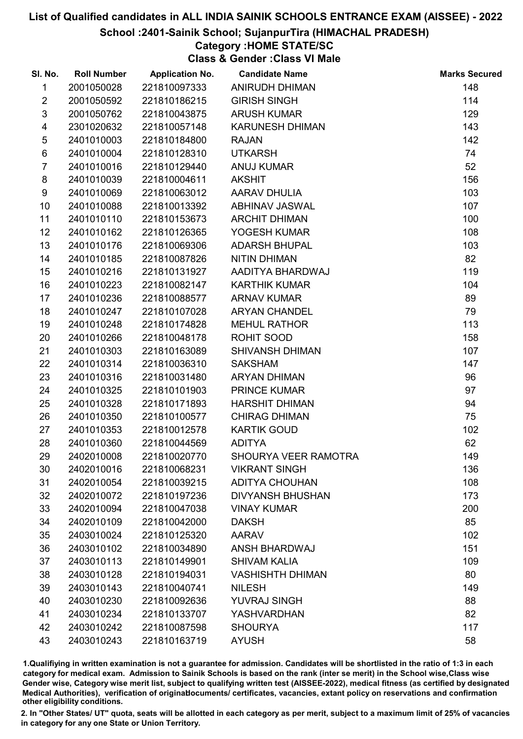## School :2401-Sainik School; SujanpurTira (HIMACHAL PRADESH)

## Category :HOME STATE/SC

Class & Gender :Class VI Male

| SI. No.        | <b>Roll Number</b> | <b>Application No.</b> | <b>Candidate Name</b>   | <b>Marks Secured</b> |
|----------------|--------------------|------------------------|-------------------------|----------------------|
| 1              | 2001050028         | 221810097333           | <b>ANIRUDH DHIMAN</b>   | 148                  |
| $\overline{2}$ | 2001050592         | 221810186215           | <b>GIRISH SINGH</b>     | 114                  |
| $\mathfrak{S}$ | 2001050762         | 221810043875           | <b>ARUSH KUMAR</b>      | 129                  |
| 4              | 2301020632         | 221810057148           | <b>KARUNESH DHIMAN</b>  | 143                  |
| $\sqrt{5}$     | 2401010003         | 221810184800           | <b>RAJAN</b>            | 142                  |
| 6              | 2401010004         | 221810128310           | <b>UTKARSH</b>          | 74                   |
| $\overline{7}$ | 2401010016         | 221810129440           | <b>ANUJ KUMAR</b>       | 52                   |
| 8              | 2401010039         | 221810004611           | <b>AKSHIT</b>           | 156                  |
| 9              | 2401010069         | 221810063012           | AARAV DHULIA            | 103                  |
| 10             | 2401010088         | 221810013392           | ABHINAV JASWAL          | 107                  |
| 11             | 2401010110         | 221810153673           | <b>ARCHIT DHIMAN</b>    | 100                  |
| 12             | 2401010162         | 221810126365           | YOGESH KUMAR            | 108                  |
| 13             | 2401010176         | 221810069306           | <b>ADARSH BHUPAL</b>    | 103                  |
| 14             | 2401010185         | 221810087826           | <b>NITIN DHIMAN</b>     | 82                   |
| 15             | 2401010216         | 221810131927           | AADITYA BHARDWAJ        | 119                  |
| 16             | 2401010223         | 221810082147           | <b>KARTHIK KUMAR</b>    | 104                  |
| 17             | 2401010236         | 221810088577           | <b>ARNAV KUMAR</b>      | 89                   |
| 18             | 2401010247         | 221810107028           | <b>ARYAN CHANDEL</b>    | 79                   |
| 19             | 2401010248         | 221810174828           | <b>MEHUL RATHOR</b>     | 113                  |
| 20             | 2401010266         | 221810048178           | ROHIT SOOD              | 158                  |
| 21             | 2401010303         | 221810163089           | <b>SHIVANSH DHIMAN</b>  | 107                  |
| 22             | 2401010314         | 221810036310           | <b>SAKSHAM</b>          | 147                  |
| 23             | 2401010316         | 221810031480           | <b>ARYAN DHIMAN</b>     | 96                   |
| 24             | 2401010325         | 221810101903           | PRINCE KUMAR            | 97                   |
| 25             | 2401010328         | 221810171893           | <b>HARSHIT DHIMAN</b>   | 94                   |
| 26             | 2401010350         | 221810100577           | <b>CHIRAG DHIMAN</b>    | 75                   |
| 27             | 2401010353         | 221810012578           | <b>KARTIK GOUD</b>      | 102                  |
| 28             | 2401010360         | 221810044569           | <b>ADITYA</b>           | 62                   |
| 29             | 2402010008         | 221810020770           | SHOURYA VEER RAMOTRA    | 149                  |
| 30             | 2402010016         | 221810068231           | <b>VIKRANT SINGH</b>    | 136                  |
| 31             | 2402010054         | 221810039215           | <b>ADITYA CHOUHAN</b>   | 108                  |
| 32             | 2402010072         | 221810197236           | <b>DIVYANSH BHUSHAN</b> | 173                  |
| 33             | 2402010094         | 221810047038           | <b>VINAY KUMAR</b>      | 200                  |
| 34             | 2402010109         | 221810042000           | <b>DAKSH</b>            | 85                   |
| 35             | 2403010024         | 221810125320           | <b>AARAV</b>            | 102                  |
| 36             | 2403010102         | 221810034890           | <b>ANSH BHARDWAJ</b>    | 151                  |
| 37             | 2403010113         | 221810149901           | <b>SHIVAM KALIA</b>     | 109                  |
| 38             | 2403010128         | 221810194031           | <b>VASHISHTH DHIMAN</b> | 80                   |
| 39             | 2403010143         | 221810040741           | <b>NILESH</b>           | 149                  |
| 40             | 2403010230         | 221810092636           | <b>YUVRAJ SINGH</b>     | 88                   |
| 41             | 2403010234         | 221810133707           | <b>YASHVARDHAN</b>      | 82                   |
| 42             | 2403010242         | 221810087598           | <b>SHOURYA</b>          | 117                  |
| 43             | 2403010243         | 221810163719           | <b>AYUSH</b>            | 58                   |

1.Qualifiying in written examination is not a guarantee for admission. Candidates will be shortlisted in the ratio of 1:3 in each category for medical exam. Admission to Sainik Schools is based on the rank (inter se merit) in the School wise,Class wise Gender wise, Category wise merit list, subject to qualifying written test (AISSEE-2022), medical fitness (as certified by designated Medical Authorities), verification of originablocuments/ certificates, vacancies, extant policy on reservations and confirmation other eligibility conditions.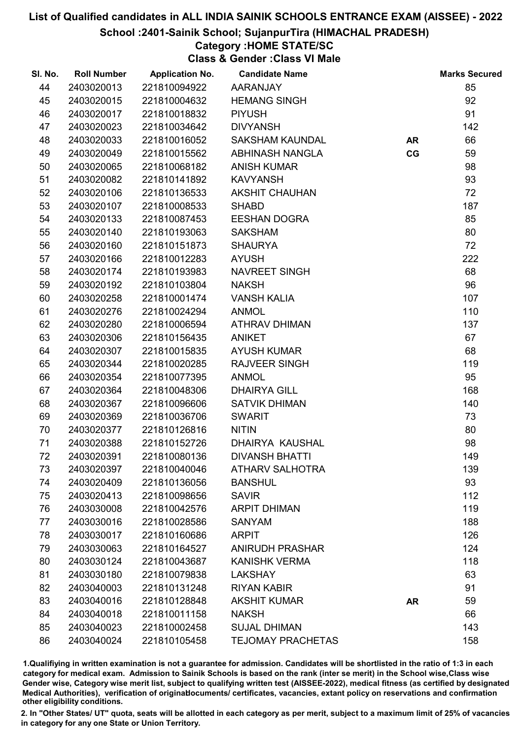School :2401-Sainik School; SujanpurTira (HIMACHAL PRADESH)

# Category :HOME STATE/SC

Class & Gender :Class VI Male

| SI. No. | <b>Roll Number</b> | <b>Application No.</b> | <b>Candidate Name</b>    |           | <b>Marks Secured</b> |
|---------|--------------------|------------------------|--------------------------|-----------|----------------------|
| 44      | 2403020013         | 221810094922           | AARANJAY                 |           | 85                   |
| 45      | 2403020015         | 221810004632           | <b>HEMANG SINGH</b>      |           | 92                   |
| 46      | 2403020017         | 221810018832           | <b>PIYUSH</b>            |           | 91                   |
| 47      | 2403020023         | 221810034642           | <b>DIVYANSH</b>          |           | 142                  |
| 48      | 2403020033         | 221810016052           | SAKSHAM KAUNDAL          | <b>AR</b> | 66                   |
| 49      | 2403020049         | 221810015562           | ABHINASH NANGLA          | CG        | 59                   |
| 50      | 2403020065         | 221810068182           | <b>ANISH KUMAR</b>       |           | 98                   |
| 51      | 2403020082         | 221810141892           | <b>KAVYANSH</b>          |           | 93                   |
| 52      | 2403020106         | 221810136533           | <b>AKSHIT CHAUHAN</b>    |           | 72                   |
| 53      | 2403020107         | 221810008533           | <b>SHABD</b>             |           | 187                  |
| 54      | 2403020133         | 221810087453           | <b>EESHAN DOGRA</b>      |           | 85                   |
| 55      | 2403020140         | 221810193063           | <b>SAKSHAM</b>           |           | 80                   |
| 56      | 2403020160         | 221810151873           | <b>SHAURYA</b>           |           | 72                   |
| 57      | 2403020166         | 221810012283           | <b>AYUSH</b>             |           | 222                  |
| 58      | 2403020174         | 221810193983           | NAVREET SINGH            |           | 68                   |
| 59      | 2403020192         | 221810103804           | <b>NAKSH</b>             |           | 96                   |
| 60      | 2403020258         | 221810001474           | <b>VANSH KALIA</b>       |           | 107                  |
| 61      | 2403020276         | 221810024294           | <b>ANMOL</b>             |           | 110                  |
| 62      | 2403020280         | 221810006594           | <b>ATHRAV DHIMAN</b>     |           | 137                  |
| 63      | 2403020306         | 221810156435           | <b>ANIKET</b>            |           | 67                   |
| 64      | 2403020307         | 221810015835           | <b>AYUSH KUMAR</b>       |           | 68                   |
| 65      | 2403020344         | 221810020285           | <b>RAJVEER SINGH</b>     |           | 119                  |
| 66      | 2403020354         | 221810077395           | <b>ANMOL</b>             |           | 95                   |
| 67      | 2403020364         | 221810048306           | <b>DHAIRYA GILL</b>      |           | 168                  |
| 68      | 2403020367         | 221810096606           | <b>SATVIK DHIMAN</b>     |           | 140                  |
| 69      | 2403020369         | 221810036706           | <b>SWARIT</b>            |           | 73                   |
| 70      | 2403020377         | 221810126816           | <b>NITIN</b>             |           | 80                   |
| 71      | 2403020388         | 221810152726           | <b>DHAIRYA KAUSHAL</b>   |           | 98                   |
| 72      | 2403020391         | 221810080136           | <b>DIVANSH BHATTI</b>    |           | 149                  |
| 73      | 2403020397         | 221810040046           | <b>ATHARV SALHOTRA</b>   |           | 139                  |
| 74      | 2403020409         | 221810136056           | <b>BANSHUL</b>           |           | 93                   |
| 75      | 2403020413         | 221810098656           | <b>SAVIR</b>             |           | 112                  |
| 76      | 2403030008         | 221810042576           | <b>ARPIT DHIMAN</b>      |           | 119                  |
| 77      | 2403030016         | 221810028586           | <b>SANYAM</b>            |           | 188                  |
| 78      | 2403030017         | 221810160686           | <b>ARPIT</b>             |           | 126                  |
| 79      | 2403030063         | 221810164527           | <b>ANIRUDH PRASHAR</b>   |           | 124                  |
| 80      | 2403030124         | 221810043687           | <b>KANISHK VERMA</b>     |           | 118                  |
| 81      | 2403030180         | 221810079838           | <b>LAKSHAY</b>           |           | 63                   |
| 82      | 2403040003         | 221810131248           | <b>RIYAN KABIR</b>       |           | 91                   |
| 83      | 2403040016         | 221810128848           | <b>AKSHIT KUMAR</b>      | <b>AR</b> | 59                   |
| 84      | 2403040018         | 221810011158           | <b>NAKSH</b>             |           | 66                   |
| 85      | 2403040023         | 221810002458           | <b>SUJAL DHIMAN</b>      |           | 143                  |
| 86      | 2403040024         | 221810105458           | <b>TEJOMAY PRACHETAS</b> |           | 158                  |

1.Qualifiying in written examination is not a guarantee for admission. Candidates will be shortlisted in the ratio of 1:3 in each category for medical exam. Admission to Sainik Schools is based on the rank (inter se merit) in the School wise,Class wise Gender wise, Category wise merit list, subject to qualifying written test (AISSEE-2022), medical fitness (as certified by designated Medical Authorities), verification of originablocuments/ certificates, vacancies, extant policy on reservations and confirmation other eligibility conditions.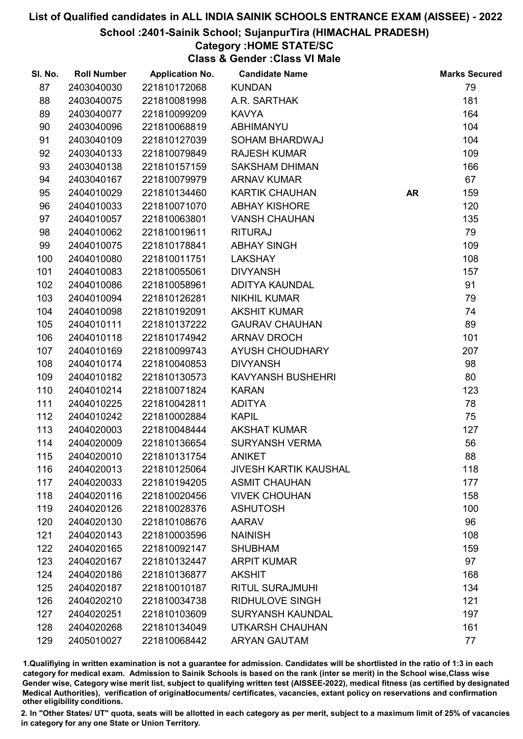School :2401-Sainik School; SujanpurTira (HIMACHAL PRADESH)

# Category :HOME STATE/SC

Class & Gender :Class VI Male

| SI. No. | <b>Roll Number</b> | <b>Application No.</b> | <b>Candidate Name</b>        |           | <b>Marks Secured</b> |
|---------|--------------------|------------------------|------------------------------|-----------|----------------------|
| 87      | 2403040030         | 221810172068           | <b>KUNDAN</b>                |           | 79                   |
| 88      | 2403040075         | 221810081998           | A.R. SARTHAK                 |           | 181                  |
| 89      | 2403040077         | 221810099209           | <b>KAVYA</b>                 |           | 164                  |
| 90      | 2403040096         | 221810068819           | <b>ABHIMANYU</b>             |           | 104                  |
| 91      | 2403040109         | 221810127039           | SOHAM BHARDWAJ               |           | 104                  |
| 92      | 2403040133         | 221810079849           | <b>RAJESH KUMAR</b>          |           | 109                  |
| 93      | 2403040138         | 221810157159           | <b>SAKSHAM DHIMAN</b>        |           | 166                  |
| 94      | 2403040167         | 221810079979           | <b>ARNAV KUMAR</b>           |           | 67                   |
| 95      | 2404010029         | 221810134460           | <b>KARTIK CHAUHAN</b>        | <b>AR</b> | 159                  |
| 96      | 2404010033         | 221810071070           | <b>ABHAY KISHORE</b>         |           | 120                  |
| 97      | 2404010057         | 221810063801           | <b>VANSH CHAUHAN</b>         |           | 135                  |
| 98      | 2404010062         | 221810019611           | <b>RITURAJ</b>               |           | 79                   |
| 99      | 2404010075         | 221810178841           | <b>ABHAY SINGH</b>           |           | 109                  |
| 100     | 2404010080         | 221810011751           | <b>LAKSHAY</b>               |           | 108                  |
| 101     | 2404010083         | 221810055061           | <b>DIVYANSH</b>              |           | 157                  |
| 102     | 2404010086         | 221810058961           | ADITYA KAUNDAL               |           | 91                   |
| 103     | 2404010094         | 221810126281           | <b>NIKHIL KUMAR</b>          |           | 79                   |
| 104     | 2404010098         | 221810192091           | <b>AKSHIT KUMAR</b>          |           | 74                   |
| 105     | 2404010111         | 221810137222           | <b>GAURAV CHAUHAN</b>        |           | 89                   |
| 106     | 2404010118         | 221810174942           | <b>ARNAV DROCH</b>           |           | 101                  |
| 107     | 2404010169         | 221810099743           | AYUSH CHOUDHARY              |           | 207                  |
| 108     | 2404010174         | 221810040853           | <b>DIVYANSH</b>              |           | 98                   |
| 109     | 2404010182         | 221810130573           | <b>KAVYANSH BUSHEHRI</b>     |           | 80                   |
| 110     | 2404010214         | 221810071824           | <b>KARAN</b>                 |           | 123                  |
| 111     | 2404010225         | 221810042811           | <b>ADITYA</b>                |           | 78                   |
| 112     | 2404010242         | 221810002884           | <b>KAPIL</b>                 |           | 75                   |
| 113     | 2404020003         | 221810048444           | <b>AKSHAT KUMAR</b>          |           | 127                  |
| 114     | 2404020009         | 221810136654           | <b>SURYANSH VERMA</b>        |           | 56                   |
| 115     | 2404020010         | 221810131754           | <b>ANIKET</b>                |           | 88                   |
| 116     | 2404020013         | 221810125064           | <b>JIVESH KARTIK KAUSHAL</b> |           | 118                  |
| 117     | 2404020033         | 221810194205           | <b>ASMIT CHAUHAN</b>         |           | 177                  |
| 118     | 2404020116         | 221810020456           | <b>VIVEK CHOUHAN</b>         |           | 158                  |
| 119     | 2404020126         | 221810028376           | <b>ASHUTOSH</b>              |           | 100                  |
| 120     | 2404020130         | 221810108676           | <b>AARAV</b>                 |           | 96                   |
| 121     | 2404020143         | 221810003596           | <b>NAINISH</b>               |           | 108                  |
| 122     | 2404020165         | 221810092147           | <b>SHUBHAM</b>               |           | 159                  |
| 123     | 2404020167         | 221810132447           | <b>ARPIT KUMAR</b>           |           | 97                   |
| 124     | 2404020186         | 221810136877           | <b>AKSHIT</b>                |           | 168                  |
| 125     | 2404020187         | 221810010187           | <b>RITUL SURAJMUHI</b>       |           | 134                  |
| 126     | 2404020210         | 221810034738           | <b>RIDHULOVE SINGH</b>       |           | 121                  |
| 127     | 2404020251         | 221810103609           | <b>SURYANSH KAUNDAL</b>      |           | 197                  |
| 128     | 2404020268         | 221810134049           | UTKARSH CHAUHAN              |           | 161                  |
| 129     | 2405010027         | 221810068442           | <b>ARYAN GAUTAM</b>          |           | 77                   |

1.Qualifiying in written examination is not a guarantee for admission. Candidates will be shortlisted in the ratio of 1:3 in each category for medical exam. Admission to Sainik Schools is based on the rank (inter se merit) in the School wise,Class wise Gender wise, Category wise merit list, subject to qualifying written test (AISSEE-2022), medical fitness (as certified by designated Medical Authorities), verification of originablocuments/ certificates, vacancies, extant policy on reservations and confirmation other eligibility conditions.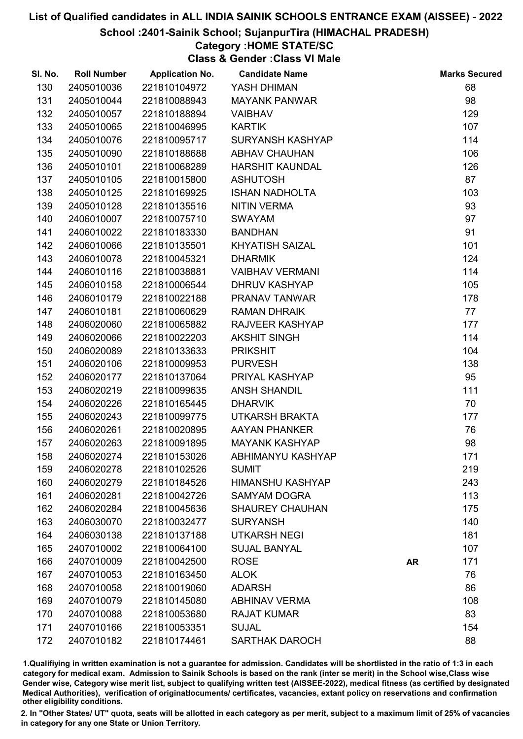### School :2401-Sainik School; SujanpurTira (HIMACHAL PRADESH)

# Category :HOME STATE/SC

Class & Gender :Class VI Male

| SI. No. | <b>Roll Number</b> | <b>Application No.</b> | <b>Candidate Name</b>   |           | <b>Marks Secured</b> |
|---------|--------------------|------------------------|-------------------------|-----------|----------------------|
| 130     | 2405010036         | 221810104972           | YASH DHIMAN             |           | 68                   |
| 131     | 2405010044         | 221810088943           | <b>MAYANK PANWAR</b>    |           | 98                   |
| 132     | 2405010057         | 221810188894           | <b>VAIBHAV</b>          |           | 129                  |
| 133     | 2405010065         | 221810046995           | <b>KARTIK</b>           |           | 107                  |
| 134     | 2405010076         | 221810095717           | <b>SURYANSH KASHYAP</b> |           | 114                  |
| 135     | 2405010090         | 221810188688           | <b>ABHAV CHAUHAN</b>    |           | 106                  |
| 136     | 2405010101         | 221810068289           | <b>HARSHIT KAUNDAL</b>  |           | 126                  |
| 137     | 2405010105         | 221810015800           | <b>ASHUTOSH</b>         |           | 87                   |
| 138     | 2405010125         | 221810169925           | <b>ISHAN NADHOLTA</b>   |           | 103                  |
| 139     | 2405010128         | 221810135516           | <b>NITIN VERMA</b>      |           | 93                   |
| 140     | 2406010007         | 221810075710           | <b>SWAYAM</b>           |           | 97                   |
| 141     | 2406010022         | 221810183330           | <b>BANDHAN</b>          |           | 91                   |
| 142     | 2406010066         | 221810135501           | <b>KHYATISH SAIZAL</b>  |           | 101                  |
| 143     | 2406010078         | 221810045321           | <b>DHARMIK</b>          |           | 124                  |
| 144     | 2406010116         | 221810038881           | <b>VAIBHAV VERMANI</b>  |           | 114                  |
| 145     | 2406010158         | 221810006544           | <b>DHRUV KASHYAP</b>    |           | 105                  |
| 146     | 2406010179         | 221810022188           | PRANAV TANWAR           |           | 178                  |
| 147     | 2406010181         | 221810060629           | <b>RAMAN DHRAIK</b>     |           | 77                   |
| 148     | 2406020060         | 221810065882           | RAJVEER KASHYAP         |           | 177                  |
| 149     | 2406020066         | 221810022203           | <b>AKSHIT SINGH</b>     |           | 114                  |
| 150     | 2406020089         | 221810133633           | <b>PRIKSHIT</b>         |           | 104                  |
| 151     | 2406020106         | 221810009953           | <b>PURVESH</b>          |           | 138                  |
| 152     | 2406020177         | 221810137064           | PRIYAL KASHYAP          |           | 95                   |
| 153     | 2406020219         | 221810099635           | <b>ANSH SHANDIL</b>     |           | 111                  |
| 154     | 2406020226         | 221810165445           | <b>DHARVIK</b>          |           | 70                   |
| 155     | 2406020243         | 221810099775           | <b>UTKARSH BRAKTA</b>   |           | 177                  |
| 156     | 2406020261         | 221810020895           | <b>AAYAN PHANKER</b>    |           | 76                   |
| 157     | 2406020263         | 221810091895           | <b>MAYANK KASHYAP</b>   |           | 98                   |
| 158     | 2406020274         | 221810153026           | ABHIMANYU KASHYAP       |           | 171                  |
| 159     | 2406020278         | 221810102526           | <b>SUMIT</b>            |           | 219                  |
| 160     | 2406020279         | 221810184526           | <b>HIMANSHU KASHYAP</b> |           | 243                  |
| 161     | 2406020281         | 221810042726           | <b>SAMYAM DOGRA</b>     |           | 113                  |
| 162     | 2406020284         | 221810045636           | <b>SHAUREY CHAUHAN</b>  |           | 175                  |
| 163     | 2406030070         | 221810032477           | <b>SURYANSH</b>         |           | 140                  |
| 164     | 2406030138         | 221810137188           | <b>UTKARSH NEGI</b>     |           | 181                  |
| 165     | 2407010002         | 221810064100           | <b>SUJAL BANYAL</b>     |           | 107                  |
| 166     | 2407010009         | 221810042500           | <b>ROSE</b>             | <b>AR</b> | 171                  |
| 167     | 2407010053         | 221810163450           | <b>ALOK</b>             |           | 76                   |
| 168     | 2407010058         | 221810019060           | <b>ADARSH</b>           |           | 86                   |
| 169     | 2407010079         | 221810145080           | <b>ABHINAV VERMA</b>    |           | 108                  |
| 170     | 2407010088         | 221810053680           | <b>RAJAT KUMAR</b>      |           | 83                   |
| 171     | 2407010166         | 221810053351           | <b>SUJAL</b>            |           | 154                  |
| 172     | 2407010182         | 221810174461           | <b>SARTHAK DAROCH</b>   |           | 88                   |

1.Qualifiying in written examination is not a guarantee for admission. Candidates will be shortlisted in the ratio of 1:3 in each category for medical exam. Admission to Sainik Schools is based on the rank (inter se merit) in the School wise,Class wise Gender wise, Category wise merit list, subject to qualifying written test (AISSEE-2022), medical fitness (as certified by designated Medical Authorities), verification of originablocuments/ certificates, vacancies, extant policy on reservations and confirmation other eligibility conditions.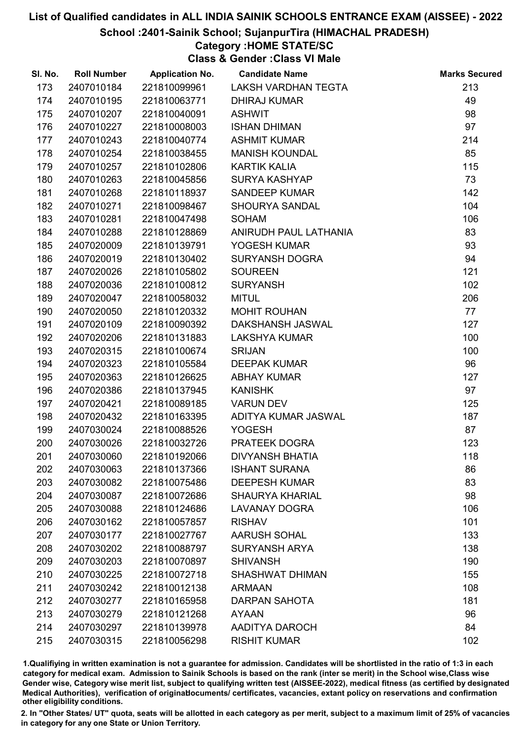### School :2401-Sainik School; SujanpurTira (HIMACHAL PRADESH)

## Category :HOME STATE/SC

Class & Gender :Class VI Male

| SI. No. | <b>Roll Number</b> | <b>Application No.</b> | <b>Candidate Name</b>   | <b>Marks Secured</b> |
|---------|--------------------|------------------------|-------------------------|----------------------|
| 173     | 2407010184         | 221810099961           | LAKSH VARDHAN TEGTA     | 213                  |
| 174     | 2407010195         | 221810063771           | <b>DHIRAJ KUMAR</b>     | 49                   |
| 175     | 2407010207         | 221810040091           | <b>ASHWIT</b>           | 98                   |
| 176     | 2407010227         | 221810008003           | <b>ISHAN DHIMAN</b>     | 97                   |
| 177     | 2407010243         | 221810040774           | <b>ASHMIT KUMAR</b>     | 214                  |
| 178     | 2407010254         | 221810038455           | <b>MANISH KOUNDAL</b>   | 85                   |
| 179     | 2407010257         | 221810102806           | <b>KARTIK KALIA</b>     | 115                  |
| 180     | 2407010263         | 221810045856           | <b>SURYA KASHYAP</b>    | 73                   |
| 181     | 2407010268         | 221810118937           | <b>SANDEEP KUMAR</b>    | 142                  |
| 182     | 2407010271         | 221810098467           | <b>SHOURYA SANDAL</b>   | 104                  |
| 183     | 2407010281         | 221810047498           | <b>SOHAM</b>            | 106                  |
| 184     | 2407010288         | 221810128869           | ANIRUDH PAUL LATHANIA   | 83                   |
| 185     | 2407020009         | 221810139791           | YOGESH KUMAR            | 93                   |
| 186     | 2407020019         | 221810130402           | <b>SURYANSH DOGRA</b>   | 94                   |
| 187     | 2407020026         | 221810105802           | <b>SOUREEN</b>          | 121                  |
| 188     | 2407020036         | 221810100812           | <b>SURYANSH</b>         | 102                  |
| 189     | 2407020047         | 221810058032           | <b>MITUL</b>            | 206                  |
| 190     | 2407020050         | 221810120332           | <b>MOHIT ROUHAN</b>     | 77                   |
| 191     | 2407020109         | 221810090392           | <b>DAKSHANSH JASWAL</b> | 127                  |
| 192     | 2407020206         | 221810131883           | <b>LAKSHYA KUMAR</b>    | 100                  |
| 193     | 2407020315         | 221810100674           | <b>SRIJAN</b>           | 100                  |
| 194     | 2407020323         | 221810105584           | <b>DEEPAK KUMAR</b>     | 96                   |
| 195     | 2407020363         | 221810126625           | <b>ABHAY KUMAR</b>      | 127                  |
| 196     | 2407020386         | 221810137945           | <b>KANISHK</b>          | 97                   |
| 197     | 2407020421         | 221810089185           | <b>VARUN DEV</b>        | 125                  |
| 198     | 2407020432         | 221810163395           | ADITYA KUMAR JASWAL     | 187                  |
| 199     | 2407030024         | 221810088526           | <b>YOGESH</b>           | 87                   |
| 200     | 2407030026         | 221810032726           | PRATEEK DOGRA           | 123                  |
| 201     | 2407030060         | 221810192066           | <b>DIVYANSH BHATIA</b>  | 118                  |
| 202     | 2407030063         | 221810137366           | <b>ISHANT SURANA</b>    | 86                   |
| 203     | 2407030082         | 221810075486           | <b>DEEPESH KUMAR</b>    | 83                   |
| 204     | 2407030087         | 221810072686           | <b>SHAURYA KHARIAL</b>  | 98                   |
| 205     | 2407030088         | 221810124686           | <b>LAVANAY DOGRA</b>    | 106                  |
| 206     | 2407030162         | 221810057857           | <b>RISHAV</b>           | 101                  |
| 207     | 2407030177         | 221810027767           | <b>AARUSH SOHAL</b>     | 133                  |
| 208     | 2407030202         | 221810088797           | <b>SURYANSH ARYA</b>    | 138                  |
| 209     | 2407030203         | 221810070897           | <b>SHIVANSH</b>         | 190                  |
| 210     | 2407030225         | 221810072718           | <b>SHASHWAT DHIMAN</b>  | 155                  |
| 211     | 2407030242         | 221810012138           | <b>ARMAAN</b>           | 108                  |
| 212     | 2407030277         | 221810165958           | <b>DARPAN SAHOTA</b>    | 181                  |
| 213     | 2407030279         | 221810121268           | <b>AYAAN</b>            | 96                   |
| 214     | 2407030297         | 221810139978           | AADITYA DAROCH          | 84                   |
| 215     | 2407030315         | 221810056298           | <b>RISHIT KUMAR</b>     | 102                  |

1.Qualifiying in written examination is not a guarantee for admission. Candidates will be shortlisted in the ratio of 1:3 in each category for medical exam. Admission to Sainik Schools is based on the rank (inter se merit) in the School wise,Class wise Gender wise, Category wise merit list, subject to qualifying written test (AISSEE-2022), medical fitness (as certified by designated Medical Authorities), verification of originablocuments/ certificates, vacancies, extant policy on reservations and confirmation other eligibility conditions.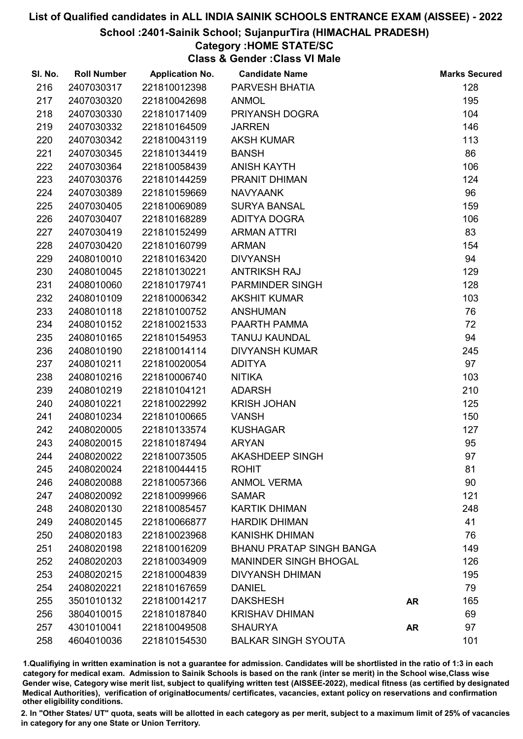### School :2401-Sainik School; SujanpurTira (HIMACHAL PRADESH)

## Category :HOME STATE/SC

Class & Gender :Class VI Male

| SI. No. | <b>Roll Number</b> | <b>Application No.</b> | <b>Candidate Name</b>           |           | <b>Marks Secured</b> |
|---------|--------------------|------------------------|---------------------------------|-----------|----------------------|
| 216     | 2407030317         | 221810012398           | PARVESH BHATIA                  |           | 128                  |
| 217     | 2407030320         | 221810042698           | <b>ANMOL</b>                    |           | 195                  |
| 218     | 2407030330         | 221810171409           | PRIYANSH DOGRA                  |           | 104                  |
| 219     | 2407030332         | 221810164509           | <b>JARREN</b>                   |           | 146                  |
| 220     | 2407030342         | 221810043119           | <b>AKSH KUMAR</b>               |           | 113                  |
| 221     | 2407030345         | 221810134419           | <b>BANSH</b>                    |           | 86                   |
| 222     | 2407030364         | 221810058439           | <b>ANISH KAYTH</b>              |           | 106                  |
| 223     | 2407030376         | 221810144259           | PRANIT DHIMAN                   |           | 124                  |
| 224     | 2407030389         | 221810159669           | <b>NAVYAANK</b>                 |           | 96                   |
| 225     | 2407030405         | 221810069089           | <b>SURYA BANSAL</b>             |           | 159                  |
| 226     | 2407030407         | 221810168289           | ADITYA DOGRA                    |           | 106                  |
| 227     | 2407030419         | 221810152499           | <b>ARMAN ATTRI</b>              |           | 83                   |
| 228     | 2407030420         | 221810160799           | <b>ARMAN</b>                    |           | 154                  |
| 229     | 2408010010         | 221810163420           | <b>DIVYANSH</b>                 |           | 94                   |
| 230     | 2408010045         | 221810130221           | <b>ANTRIKSH RAJ</b>             |           | 129                  |
| 231     | 2408010060         | 221810179741           | PARMINDER SINGH                 |           | 128                  |
| 232     | 2408010109         | 221810006342           | <b>AKSHIT KUMAR</b>             |           | 103                  |
| 233     | 2408010118         | 221810100752           | <b>ANSHUMAN</b>                 |           | 76                   |
| 234     | 2408010152         | 221810021533           | PAARTH PAMMA                    |           | 72                   |
| 235     | 2408010165         | 221810154953           | <b>TANUJ KAUNDAL</b>            |           | 94                   |
| 236     | 2408010190         | 221810014114           | <b>DIVYANSH KUMAR</b>           |           | 245                  |
| 237     | 2408010211         | 221810020054           | <b>ADITYA</b>                   |           | 97                   |
| 238     | 2408010216         | 221810006740           | <b>NITIKA</b>                   |           | 103                  |
| 239     | 2408010219         | 221810104121           | <b>ADARSH</b>                   |           | 210                  |
| 240     | 2408010221         | 221810022992           | <b>KRISH JOHAN</b>              |           | 125                  |
| 241     | 2408010234         | 221810100665           | <b>VANSH</b>                    |           | 150                  |
| 242     | 2408020005         | 221810133574           | <b>KUSHAGAR</b>                 |           | 127                  |
| 243     | 2408020015         | 221810187494           | <b>ARYAN</b>                    |           | 95                   |
| 244     | 2408020022         | 221810073505           | <b>AKASHDEEP SINGH</b>          |           | 97                   |
| 245     | 2408020024         | 221810044415           | <b>ROHIT</b>                    |           | 81                   |
| 246     | 2408020088         | 221810057366           | <b>ANMOL VERMA</b>              |           | 90                   |
| 247     | 2408020092         | 221810099966           | <b>SAMAR</b>                    |           | 121                  |
| 248     | 2408020130         | 221810085457           | <b>KARTIK DHIMAN</b>            |           | 248                  |
| 249     | 2408020145         | 221810066877           | <b>HARDIK DHIMAN</b>            |           | 41                   |
| 250     | 2408020183         | 221810023968           | <b>KANISHK DHIMAN</b>           |           | 76                   |
| 251     | 2408020198         | 221810016209           | <b>BHANU PRATAP SINGH BANGA</b> |           | 149                  |
| 252     | 2408020203         | 221810034909           | <b>MANINDER SINGH BHOGAL</b>    |           | 126                  |
| 253     | 2408020215         | 221810004839           | <b>DIVYANSH DHIMAN</b>          |           | 195                  |
| 254     | 2408020221         | 221810167659           | <b>DANIEL</b>                   |           | 79                   |
| 255     | 3501010132         | 221810014217           | <b>DAKSHESH</b>                 | <b>AR</b> | 165                  |
| 256     | 3804010015         | 221810187840           | <b>KRISHAV DHIMAN</b>           |           | 69                   |
| 257     | 4301010041         | 221810049508           | <b>SHAURYA</b>                  | <b>AR</b> | 97                   |
| 258     | 4604010036         | 221810154530           | <b>BALKAR SINGH SYOUTA</b>      |           | 101                  |

1.Qualifiying in written examination is not a guarantee for admission. Candidates will be shortlisted in the ratio of 1:3 in each category for medical exam. Admission to Sainik Schools is based on the rank (inter se merit) in the School wise,Class wise Gender wise, Category wise merit list, subject to qualifying written test (AISSEE-2022), medical fitness (as certified by designated Medical Authorities), verification of originablocuments/ certificates, vacancies, extant policy on reservations and confirmation other eligibility conditions.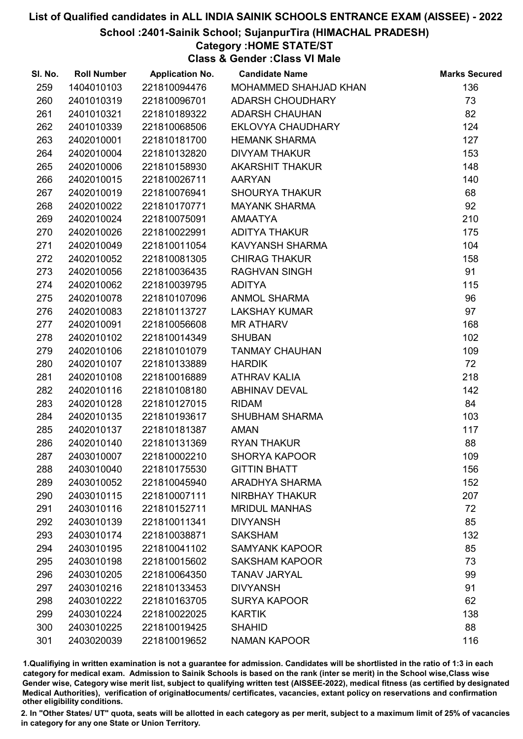### School :2401-Sainik School; SujanpurTira (HIMACHAL PRADESH)

## Category :HOME STATE/ST

Class & Gender :Class VI Male

| SI. No. | <b>Roll Number</b> | <b>Application No.</b> | <b>Candidate Name</b>   | <b>Marks Secured</b> |
|---------|--------------------|------------------------|-------------------------|----------------------|
| 259     | 1404010103         | 221810094476           | MOHAMMED SHAHJAD KHAN   | 136                  |
| 260     | 2401010319         | 221810096701           | <b>ADARSH CHOUDHARY</b> | 73                   |
| 261     | 2401010321         | 221810189322           | <b>ADARSH CHAUHAN</b>   | 82                   |
| 262     | 2401010339         | 221810068506           | EKLOVYA CHAUDHARY       | 124                  |
| 263     | 2402010001         | 221810181700           | <b>HEMANK SHARMA</b>    | 127                  |
| 264     | 2402010004         | 221810132820           | <b>DIVYAM THAKUR</b>    | 153                  |
| 265     | 2402010006         | 221810158930           | AKARSHIT THAKUR         | 148                  |
| 266     | 2402010015         | 221810026711           | <b>AARYAN</b>           | 140                  |
| 267     | 2402010019         | 221810076941           | <b>SHOURYA THAKUR</b>   | 68                   |
| 268     | 2402010022         | 221810170771           | <b>MAYANK SHARMA</b>    | 92                   |
| 269     | 2402010024         | 221810075091           | <b>AMAATYA</b>          | 210                  |
| 270     | 2402010026         | 221810022991           | <b>ADITYA THAKUR</b>    | 175                  |
| 271     | 2402010049         | 221810011054           | KAVYANSH SHARMA         | 104                  |
| 272     | 2402010052         | 221810081305           | <b>CHIRAG THAKUR</b>    | 158                  |
| 273     | 2402010056         | 221810036435           | <b>RAGHVAN SINGH</b>    | 91                   |
| 274     | 2402010062         | 221810039795           | <b>ADITYA</b>           | 115                  |
| 275     | 2402010078         | 221810107096           | <b>ANMOL SHARMA</b>     | 96                   |
| 276     | 2402010083         | 221810113727           | <b>LAKSHAY KUMAR</b>    | 97                   |
| 277     | 2402010091         | 221810056608           | <b>MR ATHARV</b>        | 168                  |
| 278     | 2402010102         | 221810014349           | <b>SHUBAN</b>           | 102                  |
| 279     | 2402010106         | 221810101079           | <b>TANMAY CHAUHAN</b>   | 109                  |
| 280     | 2402010107         | 221810133889           | <b>HARDIK</b>           | 72                   |
| 281     | 2402010108         | 221810016889           | <b>ATHRAV KALIA</b>     | 218                  |
| 282     | 2402010116         | 221810108180           | ABHINAV DEVAL           | 142                  |
| 283     | 2402010128         | 221810127015           | <b>RIDAM</b>            | 84                   |
| 284     | 2402010135         | 221810193617           | <b>SHUBHAM SHARMA</b>   | 103                  |
| 285     | 2402010137         | 221810181387           | <b>AMAN</b>             | 117                  |
| 286     | 2402010140         | 221810131369           | <b>RYAN THAKUR</b>      | 88                   |
| 287     | 2403010007         | 221810002210           | <b>SHORYA KAPOOR</b>    | 109                  |
| 288     | 2403010040         | 221810175530           | <b>GITTIN BHATT</b>     | 156                  |
| 289     | 2403010052         | 221810045940           | <b>ARADHYA SHARMA</b>   | 152                  |
| 290     | 2403010115         | 221810007111           | <b>NIRBHAY THAKUR</b>   | 207                  |
| 291     | 2403010116         | 221810152711           | <b>MRIDUL MANHAS</b>    | 72                   |
| 292     | 2403010139         | 221810011341           | <b>DIVYANSH</b>         | 85                   |
| 293     | 2403010174         | 221810038871           | <b>SAKSHAM</b>          | 132                  |
| 294     | 2403010195         | 221810041102           | <b>SAMYANK KAPOOR</b>   | 85                   |
| 295     | 2403010198         | 221810015602           | <b>SAKSHAM KAPOOR</b>   | 73                   |
| 296     | 2403010205         | 221810064350           | <b>TANAV JARYAL</b>     | 99                   |
| 297     | 2403010216         | 221810133453           | <b>DIVYANSH</b>         | 91                   |
| 298     | 2403010222         | 221810163705           | <b>SURYA KAPOOR</b>     | 62                   |
| 299     | 2403010224         | 221810022025           | <b>KARTIK</b>           | 138                  |
| 300     | 2403010225         | 221810019425           | <b>SHAHID</b>           | 88                   |
| 301     | 2403020039         | 221810019652           | <b>NAMAN KAPOOR</b>     | 116                  |

1.Qualifiying in written examination is not a guarantee for admission. Candidates will be shortlisted in the ratio of 1:3 in each category for medical exam. Admission to Sainik Schools is based on the rank (inter se merit) in the School wise,Class wise Gender wise, Category wise merit list, subject to qualifying written test (AISSEE-2022), medical fitness (as certified by designated Medical Authorities), verification of originablocuments/ certificates, vacancies, extant policy on reservations and confirmation other eligibility conditions.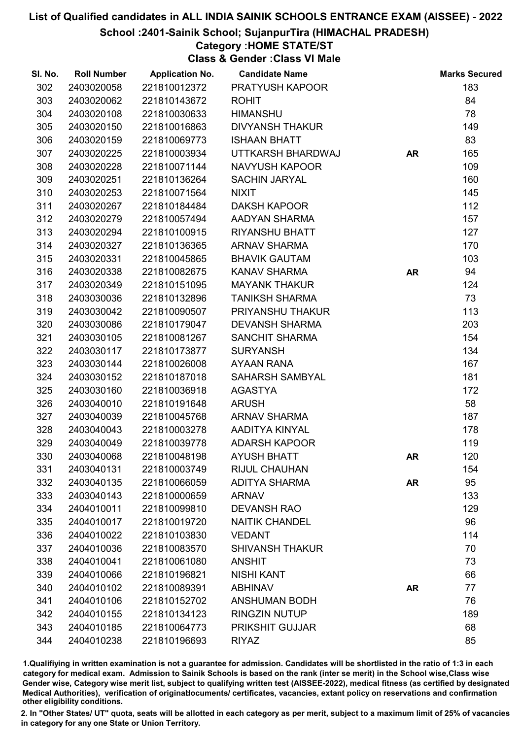### School :2401-Sainik School; SujanpurTira (HIMACHAL PRADESH)

## Category :HOME STATE/ST

Class & Gender :Class VI Male

| SI. No. | <b>Roll Number</b> | <b>Application No.</b> | <b>Candidate Name</b>  |           | <b>Marks Secured</b> |
|---------|--------------------|------------------------|------------------------|-----------|----------------------|
| 302     | 2403020058         | 221810012372           | PRATYUSH KAPOOR        |           | 183                  |
| 303     | 2403020062         | 221810143672           | <b>ROHIT</b>           |           | 84                   |
| 304     | 2403020108         | 221810030633           | <b>HIMANSHU</b>        |           | 78                   |
| 305     | 2403020150         | 221810016863           | <b>DIVYANSH THAKUR</b> |           | 149                  |
| 306     | 2403020159         | 221810069773           | <b>ISHAAN BHATT</b>    |           | 83                   |
| 307     | 2403020225         | 221810003934           | UTTKARSH BHARDWAJ      | <b>AR</b> | 165                  |
| 308     | 2403020228         | 221810071144           | NAVYUSH KAPOOR         |           | 109                  |
| 309     | 2403020251         | 221810136264           | <b>SACHIN JARYAL</b>   |           | 160                  |
| 310     | 2403020253         | 221810071564           | <b>NIXIT</b>           |           | 145                  |
| 311     | 2403020267         | 221810184484           | <b>DAKSH KAPOOR</b>    |           | 112                  |
| 312     | 2403020279         | 221810057494           | AADYAN SHARMA          |           | 157                  |
| 313     | 2403020294         | 221810100915           | <b>RIYANSHU BHATT</b>  |           | 127                  |
| 314     | 2403020327         | 221810136365           | <b>ARNAV SHARMA</b>    |           | 170                  |
| 315     | 2403020331         | 221810045865           | <b>BHAVIK GAUTAM</b>   |           | 103                  |
| 316     | 2403020338         | 221810082675           | <b>KANAV SHARMA</b>    | <b>AR</b> | 94                   |
| 317     | 2403020349         | 221810151095           | <b>MAYANK THAKUR</b>   |           | 124                  |
| 318     | 2403030036         | 221810132896           | <b>TANIKSH SHARMA</b>  |           | 73                   |
| 319     | 2403030042         | 221810090507           | PRIYANSHU THAKUR       |           | 113                  |
| 320     | 2403030086         | 221810179047           | <b>DEVANSH SHARMA</b>  |           | 203                  |
| 321     | 2403030105         | 221810081267           | <b>SANCHIT SHARMA</b>  |           | 154                  |
| 322     | 2403030117         | 221810173877           | <b>SURYANSH</b>        |           | 134                  |
| 323     | 2403030144         | 221810026008           | AYAAN RANA             |           | 167                  |
| 324     | 2403030152         | 221810187018           | SAHARSH SAMBYAL        |           | 181                  |
| 325     | 2403030160         | 221810036918           | <b>AGASTYA</b>         |           | 172                  |
| 326     | 2403040010         | 221810191648           | <b>ARUSH</b>           |           | 58                   |
| 327     | 2403040039         | 221810045768           | <b>ARNAV SHARMA</b>    |           | 187                  |
| 328     | 2403040043         | 221810003278           | AADITYA KINYAL         |           | 178                  |
| 329     | 2403040049         | 221810039778           | <b>ADARSH KAPOOR</b>   |           | 119                  |
| 330     | 2403040068         | 221810048198           | <b>AYUSH BHATT</b>     | AR        | 120                  |
| 331     | 2403040131         | 221810003749           | <b>RIJUL CHAUHAN</b>   |           | 154                  |
| 332     | 2403040135         | 221810066059           | <b>ADITYA SHARMA</b>   | <b>AR</b> | 95                   |
| 333     | 2403040143         | 221810000659           | <b>ARNAV</b>           |           | 133                  |
| 334     | 2404010011         | 221810099810           | <b>DEVANSH RAO</b>     |           | 129                  |
| 335     | 2404010017         | 221810019720           | <b>NAITIK CHANDEL</b>  |           | 96                   |
| 336     | 2404010022         | 221810103830           | <b>VEDANT</b>          |           | 114                  |
| 337     | 2404010036         | 221810083570           | <b>SHIVANSH THAKUR</b> |           | 70                   |
| 338     | 2404010041         | 221810061080           | <b>ANSHIT</b>          |           | 73                   |
| 339     | 2404010066         | 221810196821           | <b>NISHI KANT</b>      |           | 66                   |
| 340     | 2404010102         | 221810089391           | <b>ABHINAV</b>         | <b>AR</b> | 77                   |
| 341     | 2404010106         | 221810152702           | <b>ANSHUMAN BODH</b>   |           | 76                   |
| 342     | 2404010155         | 221810134123           | <b>RINGZIN NUTUP</b>   |           | 189                  |
| 343     | 2404010185         | 221810064773           | <b>PRIKSHIT GUJJAR</b> |           | 68                   |
| 344     | 2404010238         | 221810196693           | <b>RIYAZ</b>           |           | 85                   |

1.Qualifiying in written examination is not a guarantee for admission. Candidates will be shortlisted in the ratio of 1:3 in each category for medical exam. Admission to Sainik Schools is based on the rank (inter se merit) in the School wise,Class wise Gender wise, Category wise merit list, subject to qualifying written test (AISSEE-2022), medical fitness (as certified by designated Medical Authorities), verification of originablocuments/ certificates, vacancies, extant policy on reservations and confirmation other eligibility conditions.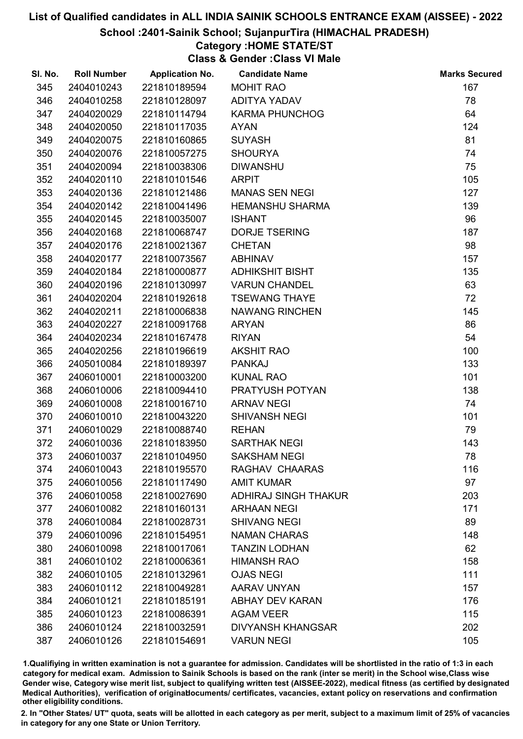### School :2401-Sainik School; SujanpurTira (HIMACHAL PRADESH)

# Category :HOME STATE/ST

Class & Gender :Class VI Male

| SI. No. | <b>Roll Number</b> | <b>Application No.</b> | <b>Candidate Name</b>       | <b>Marks Secured</b> |
|---------|--------------------|------------------------|-----------------------------|----------------------|
| 345     | 2404010243         | 221810189594           | <b>MOHIT RAO</b>            | 167                  |
| 346     | 2404010258         | 221810128097           | <b>ADITYA YADAV</b>         | 78                   |
| 347     | 2404020029         | 221810114794           | <b>KARMA PHUNCHOG</b>       | 64                   |
| 348     | 2404020050         | 221810117035           | <b>AYAN</b>                 | 124                  |
| 349     | 2404020075         | 221810160865           | <b>SUYASH</b>               | 81                   |
| 350     | 2404020076         | 221810057275           | <b>SHOURYA</b>              | 74                   |
| 351     | 2404020094         | 221810038306           | <b>DIWANSHU</b>             | 75                   |
| 352     | 2404020110         | 221810101546           | <b>ARPIT</b>                | 105                  |
| 353     | 2404020136         | 221810121486           | <b>MANAS SEN NEGI</b>       | 127                  |
| 354     | 2404020142         | 221810041496           | <b>HEMANSHU SHARMA</b>      | 139                  |
| 355     | 2404020145         | 221810035007           | <b>ISHANT</b>               | 96                   |
| 356     | 2404020168         | 221810068747           | <b>DORJE TSERING</b>        | 187                  |
| 357     | 2404020176         | 221810021367           | <b>CHETAN</b>               | 98                   |
| 358     | 2404020177         | 221810073567           | <b>ABHINAV</b>              | 157                  |
| 359     | 2404020184         | 221810000877           | <b>ADHIKSHIT BISHT</b>      | 135                  |
| 360     | 2404020196         | 221810130997           | <b>VARUN CHANDEL</b>        | 63                   |
| 361     | 2404020204         | 221810192618           | <b>TSEWANG THAYE</b>        | 72                   |
| 362     | 2404020211         | 221810006838           | <b>NAWANG RINCHEN</b>       | 145                  |
| 363     | 2404020227         | 221810091768           | <b>ARYAN</b>                | 86                   |
| 364     | 2404020234         | 221810167478           | <b>RIYAN</b>                | 54                   |
| 365     | 2404020256         | 221810196619           | <b>AKSHIT RAO</b>           | 100                  |
| 366     | 2405010084         | 221810189397           | <b>PANKAJ</b>               | 133                  |
| 367     | 2406010001         | 221810003200           | <b>KUNAL RAO</b>            | 101                  |
| 368     | 2406010006         | 221810094410           | PRATYUSH POTYAN             | 138                  |
| 369     | 2406010008         | 221810016710           | <b>ARNAV NEGI</b>           | 74                   |
| 370     | 2406010010         | 221810043220           | <b>SHIVANSH NEGI</b>        | 101                  |
| 371     | 2406010029         | 221810088740           | <b>REHAN</b>                | 79                   |
| 372     | 2406010036         | 221810183950           | <b>SARTHAK NEGI</b>         | 143                  |
| 373     | 2406010037         | 221810104950           | <b>SAKSHAM NEGI</b>         | 78                   |
| 374     | 2406010043         | 221810195570           | RAGHAV CHAARAS              | 116                  |
| 375     | 2406010056         | 221810117490           | <b>AMIT KUMAR</b>           | 97                   |
| 376     | 2406010058         | 221810027690           | <b>ADHIRAJ SINGH THAKUR</b> | 203                  |
| 377     | 2406010082         | 221810160131           | <b>ARHAAN NEGI</b>          | 171                  |
| 378     | 2406010084         | 221810028731           | <b>SHIVANG NEGI</b>         | 89                   |
| 379     | 2406010096         | 221810154951           | <b>NAMAN CHARAS</b>         | 148                  |
| 380     | 2406010098         | 221810017061           | <b>TANZIN LODHAN</b>        | 62                   |
| 381     | 2406010102         | 221810006361           | <b>HIMANSH RAO</b>          | 158                  |
| 382     | 2406010105         | 221810132961           | <b>OJAS NEGI</b>            | 111                  |
| 383     | 2406010112         | 221810049281           | <b>AARAV UNYAN</b>          | 157                  |
| 384     | 2406010121         | 221810185191           | <b>ABHAY DEV KARAN</b>      | 176                  |
| 385     | 2406010123         | 221810086391           | <b>AGAM VEER</b>            | 115                  |
| 386     | 2406010124         | 221810032591           | <b>DIVYANSH KHANGSAR</b>    | 202                  |
| 387     | 2406010126         | 221810154691           | <b>VARUN NEGI</b>           | 105                  |

1.Qualifiying in written examination is not a guarantee for admission. Candidates will be shortlisted in the ratio of 1:3 in each category for medical exam. Admission to Sainik Schools is based on the rank (inter se merit) in the School wise,Class wise Gender wise, Category wise merit list, subject to qualifying written test (AISSEE-2022), medical fitness (as certified by designated Medical Authorities), verification of originablocuments/ certificates, vacancies, extant policy on reservations and confirmation other eligibility conditions.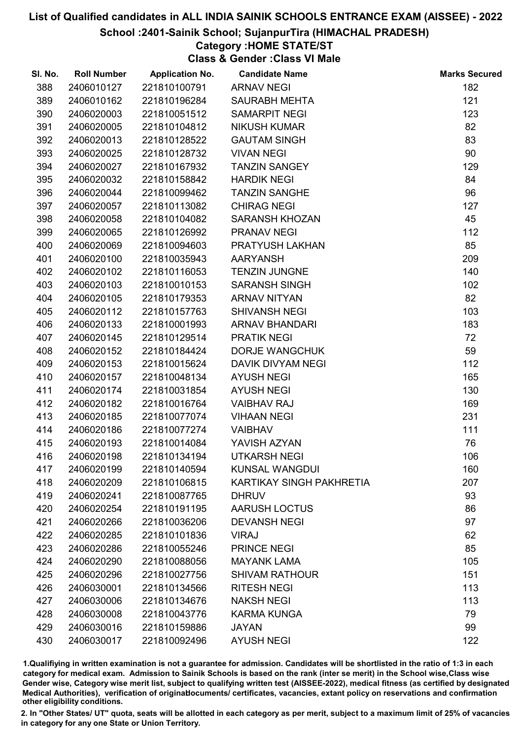School :2401-Sainik School; SujanpurTira (HIMACHAL PRADESH)

# Category :HOME STATE/ST

Class & Gender :Class VI Male

| SI. No. | <b>Roll Number</b> | <b>Application No.</b> | <b>Candidate Name</b>           | <b>Marks Secured</b> |
|---------|--------------------|------------------------|---------------------------------|----------------------|
| 388     | 2406010127         | 221810100791           | <b>ARNAV NEGI</b>               | 182                  |
| 389     | 2406010162         | 221810196284           | <b>SAURABH MEHTA</b>            | 121                  |
| 390     | 2406020003         | 221810051512           | <b>SAMARPIT NEGI</b>            | 123                  |
| 391     | 2406020005         | 221810104812           | <b>NIKUSH KUMAR</b>             | 82                   |
| 392     | 2406020013         | 221810128522           | <b>GAUTAM SINGH</b>             | 83                   |
| 393     | 2406020025         | 221810128732           | <b>VIVAN NEGI</b>               | 90                   |
| 394     | 2406020027         | 221810167932           | <b>TANZIN SANGEY</b>            | 129                  |
| 395     | 2406020032         | 221810158842           | <b>HARDIK NEGI</b>              | 84                   |
| 396     | 2406020044         | 221810099462           | <b>TANZIN SANGHE</b>            | 96                   |
| 397     | 2406020057         | 221810113082           | <b>CHIRAG NEGI</b>              | 127                  |
| 398     | 2406020058         | 221810104082           | <b>SARANSH KHOZAN</b>           | 45                   |
| 399     | 2406020065         | 221810126992           | <b>PRANAV NEGI</b>              | 112                  |
| 400     | 2406020069         | 221810094603           | PRATYUSH LAKHAN                 | 85                   |
| 401     | 2406020100         | 221810035943           | <b>AARYANSH</b>                 | 209                  |
| 402     | 2406020102         | 221810116053           | <b>TENZIN JUNGNE</b>            | 140                  |
| 403     | 2406020103         | 221810010153           | <b>SARANSH SINGH</b>            | 102                  |
| 404     | 2406020105         | 221810179353           | <b>ARNAV NITYAN</b>             | 82                   |
| 405     | 2406020112         | 221810157763           | <b>SHIVANSH NEGI</b>            | 103                  |
| 406     | 2406020133         | 221810001993           | <b>ARNAV BHANDARI</b>           | 183                  |
| 407     | 2406020145         | 221810129514           | <b>PRATIK NEGI</b>              | 72                   |
| 408     | 2406020152         | 221810184424           | <b>DORJE WANGCHUK</b>           | 59                   |
| 409     | 2406020153         | 221810015624           | <b>DAVIK DIVYAM NEGI</b>        | 112                  |
| 410     | 2406020157         | 221810048134           | <b>AYUSH NEGI</b>               | 165                  |
| 411     | 2406020174         | 221810031854           | <b>AYUSH NEGI</b>               | 130                  |
| 412     | 2406020182         | 221810016764           | <b>VAIBHAV RAJ</b>              | 169                  |
| 413     | 2406020185         | 221810077074           | <b>VIHAAN NEGI</b>              | 231                  |
| 414     | 2406020186         | 221810077274           | <b>VAIBHAV</b>                  | 111                  |
| 415     | 2406020193         | 221810014084           | YAVISH AZYAN                    | 76                   |
| 416     | 2406020198         | 221810134194           | <b>UTKARSH NEGI</b>             | 106                  |
| 417     | 2406020199         | 221810140594           | <b>KUNSAL WANGDUI</b>           | 160                  |
| 418     | 2406020209         | 221810106815           | <b>KARTIKAY SINGH PAKHRETIA</b> | 207                  |
| 419     | 2406020241         | 221810087765           | <b>DHRUV</b>                    | 93                   |
| 420     | 2406020254         | 221810191195           | <b>AARUSH LOCTUS</b>            | 86                   |
| 421     | 2406020266         | 221810036206           | <b>DEVANSH NEGI</b>             | 97                   |
| 422     | 2406020285         | 221810101836           | <b>VIRAJ</b>                    | 62                   |
| 423     | 2406020286         | 221810055246           | <b>PRINCE NEGI</b>              | 85                   |
| 424     | 2406020290         | 221810088056           | <b>MAYANK LAMA</b>              | 105                  |
| 425     | 2406020296         | 221810027756           | <b>SHIVAM RATHOUR</b>           | 151                  |
| 426     | 2406030001         | 221810134566           | <b>RITESH NEGI</b>              | 113                  |
| 427     | 2406030006         | 221810134676           | <b>NAKSH NEGI</b>               | 113                  |
| 428     | 2406030008         | 221810043776           | <b>KARMA KUNGA</b>              | 79                   |
| 429     | 2406030016         | 221810159886           | <b>JAYAN</b>                    | 99                   |
| 430     | 2406030017         | 221810092496           | <b>AYUSH NEGI</b>               | 122                  |

1.Qualifiying in written examination is not a guarantee for admission. Candidates will be shortlisted in the ratio of 1:3 in each category for medical exam. Admission to Sainik Schools is based on the rank (inter se merit) in the School wise,Class wise Gender wise, Category wise merit list, subject to qualifying written test (AISSEE-2022), medical fitness (as certified by designated Medical Authorities), verification of originablocuments/ certificates, vacancies, extant policy on reservations and confirmation other eligibility conditions.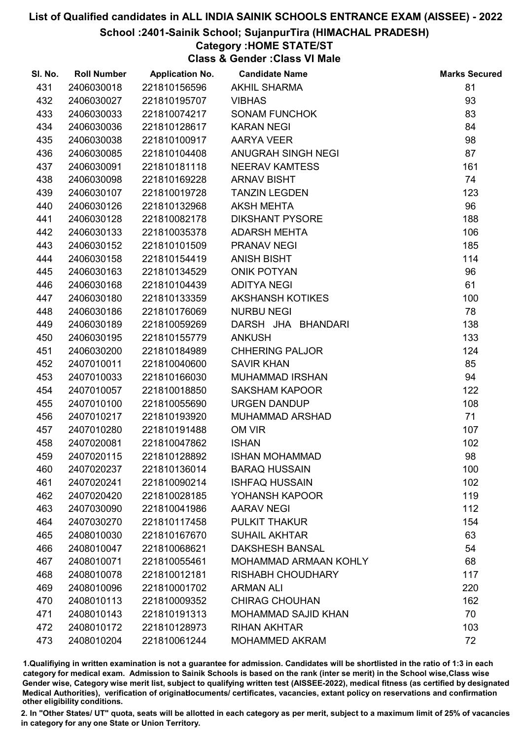### School :2401-Sainik School; SujanpurTira (HIMACHAL PRADESH)

# Category :HOME STATE/ST

Class & Gender :Class VI Male

| SI. No. | <b>Roll Number</b> | <b>Application No.</b> | <b>Candidate Name</b>        | <b>Marks Secured</b> |
|---------|--------------------|------------------------|------------------------------|----------------------|
| 431     | 2406030018         | 221810156596           | <b>AKHIL SHARMA</b>          | 81                   |
| 432     | 2406030027         | 221810195707           | <b>VIBHAS</b>                | 93                   |
| 433     | 2406030033         | 221810074217           | <b>SONAM FUNCHOK</b>         | 83                   |
| 434     | 2406030036         | 221810128617           | <b>KARAN NEGI</b>            | 84                   |
| 435     | 2406030038         | 221810100917           | AARYA VEER                   | 98                   |
| 436     | 2406030085         | 221810104408           | ANUGRAH SINGH NEGI           | 87                   |
| 437     | 2406030091         | 221810181118           | <b>NEERAV KAMTESS</b>        | 161                  |
| 438     | 2406030098         | 221810169228           | <b>ARNAV BISHT</b>           | 74                   |
| 439     | 2406030107         | 221810019728           | <b>TANZIN LEGDEN</b>         | 123                  |
| 440     | 2406030126         | 221810132968           | <b>AKSH MEHTA</b>            | 96                   |
| 441     | 2406030128         | 221810082178           | <b>DIKSHANT PYSORE</b>       | 188                  |
| 442     | 2406030133         | 221810035378           | <b>ADARSH MEHTA</b>          | 106                  |
| 443     | 2406030152         | 221810101509           | <b>PRANAV NEGI</b>           | 185                  |
| 444     | 2406030158         | 221810154419           | <b>ANISH BISHT</b>           | 114                  |
| 445     | 2406030163         | 221810134529           | <b>ONIK POTYAN</b>           | 96                   |
| 446     | 2406030168         | 221810104439           | <b>ADITYA NEGI</b>           | 61                   |
| 447     | 2406030180         | 221810133359           | <b>AKSHANSH KOTIKES</b>      | 100                  |
| 448     | 2406030186         | 221810176069           | <b>NURBU NEGI</b>            | 78                   |
| 449     | 2406030189         | 221810059269           | DARSH JHA BHANDARI           | 138                  |
| 450     | 2406030195         | 221810155779           | <b>ANKUSH</b>                | 133                  |
| 451     | 2406030200         | 221810184989           | <b>CHHERING PALJOR</b>       | 124                  |
| 452     | 2407010011         | 221810040600           | <b>SAVIR KHAN</b>            | 85                   |
| 453     | 2407010033         | 221810166030           | <b>MUHAMMAD IRSHAN</b>       | 94                   |
| 454     | 2407010057         | 221810018850           | <b>SAKSHAM KAPOOR</b>        | 122                  |
| 455     | 2407010100         | 221810055690           | <b>URGEN DANDUP</b>          | 108                  |
| 456     | 2407010217         | 221810193920           | <b>MUHAMMAD ARSHAD</b>       | 71                   |
| 457     | 2407010280         | 221810191488           | OM VIR                       | 107                  |
| 458     | 2407020081         | 221810047862           | <b>ISHAN</b>                 | 102                  |
| 459     | 2407020115         | 221810128892           | <b>ISHAN MOHAMMAD</b>        | 98                   |
| 460     | 2407020237         | 221810136014           | <b>BARAQ HUSSAIN</b>         | 100                  |
| 461     | 2407020241         | 221810090214           | <b>ISHFAQ HUSSAIN</b>        | 102                  |
| 462     | 2407020420         | 221810028185           | YOHANSH KAPOOR               | 119                  |
| 463     | 2407030090         | 221810041986           | <b>AARAV NEGI</b>            | 112                  |
| 464     | 2407030270         | 221810117458           | PULKIT THAKUR                | 154                  |
| 465     | 2408010030         | 221810167670           | <b>SUHAIL AKHTAR</b>         | 63                   |
| 466     | 2408010047         | 221810068621           | <b>DAKSHESH BANSAL</b>       | 54                   |
| 467     | 2408010071         | 221810055461           | <b>MOHAMMAD ARMAAN KOHLY</b> | 68                   |
| 468     | 2408010078         | 221810012181           | <b>RISHABH CHOUDHARY</b>     | 117                  |
| 469     | 2408010096         | 221810001702           | <b>ARMAN ALI</b>             | 220                  |
| 470     | 2408010113         | 221810009352           | <b>CHIRAG CHOUHAN</b>        | 162                  |
| 471     | 2408010143         | 221810191313           | <b>MOHAMMAD SAJID KHAN</b>   | 70                   |
| 472     | 2408010172         | 221810128973           | <b>RIHAN AKHTAR</b>          | 103                  |
| 473     | 2408010204         | 221810061244           | <b>MOHAMMED AKRAM</b>        | 72                   |

1.Qualifiying in written examination is not a guarantee for admission. Candidates will be shortlisted in the ratio of 1:3 in each category for medical exam. Admission to Sainik Schools is based on the rank (inter se merit) in the School wise,Class wise Gender wise, Category wise merit list, subject to qualifying written test (AISSEE-2022), medical fitness (as certified by designated Medical Authorities), verification of originablocuments/ certificates, vacancies, extant policy on reservations and confirmation other eligibility conditions.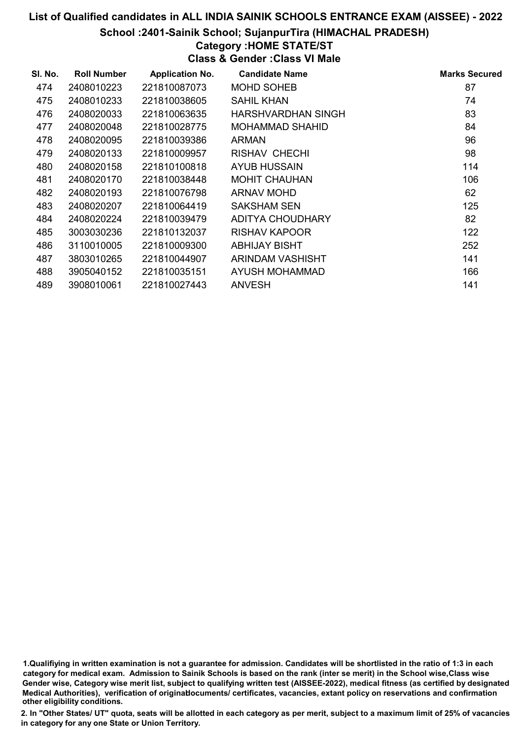### School :2401-Sainik School; SujanpurTira (HIMACHAL PRADESH)

## Category :HOME STATE/ST

Class & Gender :Class VI Male

| SI. No. | <b>Roll Number</b> | <b>Application No.</b> | <b>Candidate Name</b>     | <b>Marks Secured</b> |
|---------|--------------------|------------------------|---------------------------|----------------------|
| 474     | 2408010223         | 221810087073           | <b>MOHD SOHEB</b>         | 87                   |
| 475     | 2408010233         | 221810038605           | <b>SAHIL KHAN</b>         | 74                   |
| 476     | 2408020033         | 221810063635           | <b>HARSHVARDHAN SINGH</b> | 83                   |
| 477     | 2408020048         | 221810028775           | <b>MOHAMMAD SHAHID</b>    | 84                   |
| 478     | 2408020095         | 221810039386           | <b>ARMAN</b>              | 96                   |
| 479     | 2408020133         | 221810009957           | RISHAV CHECHI             | 98                   |
| 480     | 2408020158         | 221810100818           | AYUB HUSSAIN              | 114                  |
| 481     | 2408020170         | 221810038448           | <b>MOHIT CHAUHAN</b>      | 106                  |
| 482     | 2408020193         | 221810076798           | ARNAV MOHD                | 62                   |
| 483     | 2408020207         | 221810064419           | <b>SAKSHAM SEN</b>        | 125                  |
| 484     | 2408020224         | 221810039479           | ADITYA CHOUDHARY          | 82                   |
| 485     | 3003030236         | 221810132037           | RISHAV KAPOOR             | 122                  |
| 486     | 3110010005         | 221810009300           | <b>ABHIJAY BISHT</b>      | 252                  |
| 487     | 3803010265         | 221810044907           | ARINDAM VASHISHT          | 141                  |
| 488     | 3905040152         | 221810035151           | AYUSH MOHAMMAD            | 166                  |
| 489     | 3908010061         | 221810027443           | <b>ANVESH</b>             | 141                  |

1.Qualifiying in written examination is not a guarantee for admission. Candidates will be shortlisted in the ratio of 1:3 in each category for medical exam. Admission to Sainik Schools is based on the rank (inter se merit) in the School wise,Class wise Gender wise, Category wise merit list, subject to qualifying written test (AISSEE-2022), medical fitness (as certified by designated Medical Authorities), verification of originablocuments/ certificates, vacancies, extant policy on reservations and confirmation other eligibility conditions.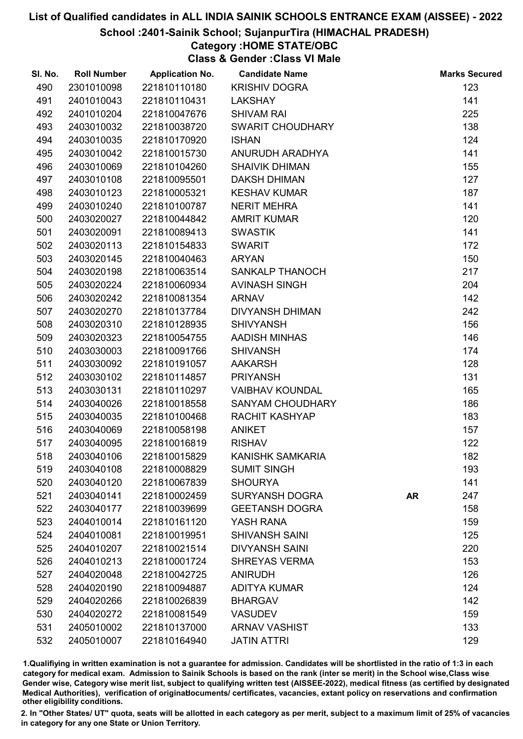### School :2401-Sainik School; SujanpurTira (HIMACHAL PRADESH)

# Category :HOME STATE/OBC

Class & Gender :Class VI Male

| SI. No. | <b>Roll Number</b> | <b>Application No.</b> | <b>Candidate Name</b>   |           | <b>Marks Secured</b> |
|---------|--------------------|------------------------|-------------------------|-----------|----------------------|
| 490     | 2301010098         | 221810110180           | <b>KRISHIV DOGRA</b>    |           | 123                  |
| 491     | 2401010043         | 221810110431           | <b>LAKSHAY</b>          |           | 141                  |
| 492     | 2401010204         | 221810047676           | <b>SHIVAM RAI</b>       |           | 225                  |
| 493     | 2403010032         | 221810038720           | SWARIT CHOUDHARY        |           | 138                  |
| 494     | 2403010035         | 221810170920           | <b>ISHAN</b>            |           | 124                  |
| 495     | 2403010042         | 221810015730           | ANURUDH ARADHYA         |           | 141                  |
| 496     | 2403010069         | 221810104260           | <b>SHAIVIK DHIMAN</b>   |           | 155                  |
| 497     | 2403010108         | 221810095501           | <b>DAKSH DHIMAN</b>     |           | 127                  |
| 498     | 2403010123         | 221810005321           | <b>KESHAV KUMAR</b>     |           | 187                  |
| 499     | 2403010240         | 221810100787           | <b>NERIT MEHRA</b>      |           | 141                  |
| 500     | 2403020027         | 221810044842           | <b>AMRIT KUMAR</b>      |           | 120                  |
| 501     | 2403020091         | 221810089413           | <b>SWASTIK</b>          |           | 141                  |
| 502     | 2403020113         | 221810154833           | <b>SWARIT</b>           |           | 172                  |
| 503     | 2403020145         | 221810040463           | <b>ARYAN</b>            |           | 150                  |
| 504     | 2403020198         | 221810063514           | <b>SANKALP THANOCH</b>  |           | 217                  |
| 505     | 2403020224         | 221810060934           | <b>AVINASH SINGH</b>    |           | 204                  |
| 506     | 2403020242         | 221810081354           | <b>ARNAV</b>            |           | 142                  |
| 507     | 2403020270         | 221810137784           | <b>DIVYANSH DHIMAN</b>  |           | 242                  |
| 508     | 2403020310         | 221810128935           | <b>SHIVYANSH</b>        |           | 156                  |
| 509     | 2403020323         | 221810054755           | <b>AADISH MINHAS</b>    |           | 146                  |
| 510     | 2403030003         | 221810091766           | <b>SHIVANSH</b>         |           | 174                  |
| 511     | 2403030092         | 221810191057           | <b>AAKARSH</b>          |           | 128                  |
| 512     | 2403030102         | 221810114857           | <b>PRIYANSH</b>         |           | 131                  |
| 513     | 2403030131         | 221810110297           | <b>VAIBHAV KOUNDAL</b>  |           | 165                  |
| 514     | 2403040026         | 221810018558           | <b>SANYAM CHOUDHARY</b> |           | 186                  |
| 515     | 2403040035         | 221810100468           | <b>RACHIT KASHYAP</b>   |           | 183                  |
| 516     | 2403040069         | 221810058198           | <b>ANIKET</b>           |           | 157                  |
| 517     | 2403040095         | 221810016819           | <b>RISHAV</b>           |           | 122                  |
| 518     | 2403040106         | 221810015829           | <b>KANISHK SAMKARIA</b> |           | 182                  |
| 519     | 2403040108         | 221810008829           | <b>SUMIT SINGH</b>      |           | 193                  |
| 520     | 2403040120         | 221810067839           | <b>SHOURYA</b>          |           | 141                  |
| 521     | 2403040141         | 221810002459           | <b>SURYANSH DOGRA</b>   | <b>AR</b> | 247                  |
| 522     | 2403040177         | 221810039699           | <b>GEETANSH DOGRA</b>   |           | 158                  |
| 523     | 2404010014         | 221810161120           | YASH RANA               |           | 159                  |
| 524     | 2404010081         | 221810019951           | <b>SHIVANSH SAINI</b>   |           | 125                  |
| 525     | 2404010207         | 221810021514           | <b>DIVYANSH SAINI</b>   |           | 220                  |
| 526     | 2404010213         | 221810001724           | <b>SHREYAS VERMA</b>    |           | 153                  |
| 527     | 2404020048         | 221810042725           | <b>ANIRUDH</b>          |           | 126                  |
| 528     | 2404020190         | 221810094887           | <b>ADITYA KUMAR</b>     |           | 124                  |
| 529     | 2404020266         | 221810026839           | <b>BHARGAV</b>          |           | 142                  |
| 530     | 2404020272         | 221810081549           | <b>VASUDEV</b>          |           | 159                  |
| 531     | 2405010002         | 221810137000           | <b>ARNAV VASHIST</b>    |           | 133                  |
| 532     | 2405010007         | 221810164940           | <b>JATIN ATTRI</b>      |           | 129                  |

1.Qualifiying in written examination is not a guarantee for admission. Candidates will be shortlisted in the ratio of 1:3 in each category for medical exam. Admission to Sainik Schools is based on the rank (inter se merit) in the School wise,Class wise Gender wise, Category wise merit list, subject to qualifying written test (AISSEE-2022), medical fitness (as certified by designated Medical Authorities), verification of originablocuments/ certificates, vacancies, extant policy on reservations and confirmation other eligibility conditions.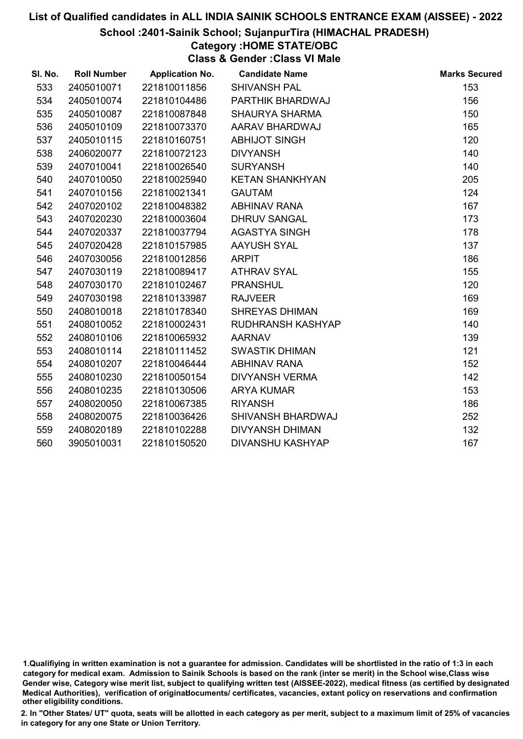### School :2401-Sainik School; SujanpurTira (HIMACHAL PRADESH)

# Category :HOME STATE/OBC

Class & Gender :Class VI Male

| SI. No. | <b>Roll Number</b> | <b>Application No.</b> | <b>Candidate Name</b>   | <b>Marks Secured</b> |
|---------|--------------------|------------------------|-------------------------|----------------------|
| 533     | 2405010071         | 221810011856           | <b>SHIVANSH PAL</b>     | 153                  |
| 534     | 2405010074         | 221810104486           | PARTHIK BHARDWAJ        | 156                  |
| 535     | 2405010087         | 221810087848           | <b>SHAURYA SHARMA</b>   | 150                  |
| 536     | 2405010109         | 221810073370           | AARAV BHARDWAJ          | 165                  |
| 537     | 2405010115         | 221810160751           | <b>ABHIJOT SINGH</b>    | 120                  |
| 538     | 2406020077         | 221810072123           | <b>DIVYANSH</b>         | 140                  |
| 539     | 2407010041         | 221810026540           | <b>SURYANSH</b>         | 140                  |
| 540     | 2407010050         | 221810025940           | <b>KETAN SHANKHYAN</b>  | 205                  |
| 541     | 2407010156         | 221810021341           | <b>GAUTAM</b>           | 124                  |
| 542     | 2407020102         | 221810048382           | <b>ABHINAV RANA</b>     | 167                  |
| 543     | 2407020230         | 221810003604           | <b>DHRUV SANGAL</b>     | 173                  |
| 544     | 2407020337         | 221810037794           | <b>AGASTYA SINGH</b>    | 178                  |
| 545     | 2407020428         | 221810157985           | <b>AAYUSH SYAL</b>      | 137                  |
| 546     | 2407030056         | 221810012856           | <b>ARPIT</b>            | 186                  |
| 547     | 2407030119         | 221810089417           | <b>ATHRAV SYAL</b>      | 155                  |
| 548     | 2407030170         | 221810102467           | <b>PRANSHUL</b>         | 120                  |
| 549     | 2407030198         | 221810133987           | <b>RAJVEER</b>          | 169                  |
| 550     | 2408010018         | 221810178340           | <b>SHREYAS DHIMAN</b>   | 169                  |
| 551     | 2408010052         | 221810002431           | RUDHRANSH KASHYAP       | 140                  |
| 552     | 2408010106         | 221810065932           | <b>AARNAV</b>           | 139                  |
| 553     | 2408010114         | 221810111452           | <b>SWASTIK DHIMAN</b>   | 121                  |
| 554     | 2408010207         | 221810046444           | <b>ABHINAV RANA</b>     | 152                  |
| 555     | 2408010230         | 221810050154           | <b>DIVYANSH VERMA</b>   | 142                  |
| 556     | 2408010235         | 221810130506           | <b>ARYA KUMAR</b>       | 153                  |
| 557     | 2408020050         | 221810067385           | <b>RIYANSH</b>          | 186                  |
| 558     | 2408020075         | 221810036426           | SHIVANSH BHARDWAJ       | 252                  |
| 559     | 2408020189         | 221810102288           | <b>DIVYANSH DHIMAN</b>  | 132                  |
| 560     | 3905010031         | 221810150520           | <b>DIVANSHU KASHYAP</b> | 167                  |

<sup>1.</sup>Qualifiying in written examination is not a guarantee for admission. Candidates will be shortlisted in the ratio of 1:3 in each category for medical exam. Admission to Sainik Schools is based on the rank (inter se merit) in the School wise,Class wise Gender wise, Category wise merit list, subject to qualifying written test (AISSEE-2022), medical fitness (as certified by designated Medical Authorities), verification of originablocuments/ certificates, vacancies, extant policy on reservations and confirmation other eligibility conditions.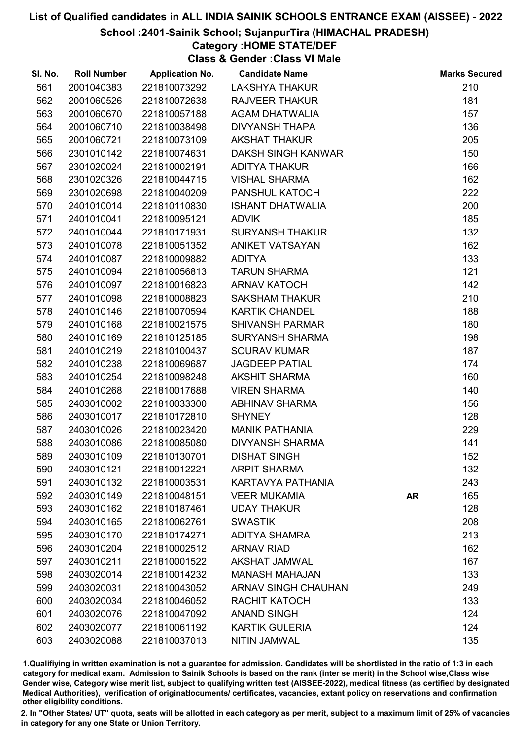### School :2401-Sainik School; SujanpurTira (HIMACHAL PRADESH)

## Category :HOME STATE/DEF

Class & Gender :Class VI Male

| SI. No. | <b>Roll Number</b> | <b>Application No.</b> | <b>Candidate Name</b>      |           | <b>Marks Secured</b> |
|---------|--------------------|------------------------|----------------------------|-----------|----------------------|
| 561     | 2001040383         | 221810073292           | <b>LAKSHYA THAKUR</b>      |           | 210                  |
| 562     | 2001060526         | 221810072638           | <b>RAJVEER THAKUR</b>      |           | 181                  |
| 563     | 2001060670         | 221810057188           | <b>AGAM DHATWALIA</b>      |           | 157                  |
| 564     | 2001060710         | 221810038498           | <b>DIVYANSH THAPA</b>      |           | 136                  |
| 565     | 2001060721         | 221810073109           | <b>AKSHAT THAKUR</b>       |           | 205                  |
| 566     | 2301010142         | 221810074631           | DAKSH SINGH KANWAR         |           | 150                  |
| 567     | 2301020024         | 221810002191           | <b>ADITYA THAKUR</b>       |           | 166                  |
| 568     | 2301020326         | 221810044715           | <b>VISHAL SHARMA</b>       |           | 162                  |
| 569     | 2301020698         | 221810040209           | PANSHUL KATOCH             |           | 222                  |
| 570     | 2401010014         | 221810110830           | <b>ISHANT DHATWALIA</b>    |           | 200                  |
| 571     | 2401010041         | 221810095121           | <b>ADVIK</b>               |           | 185                  |
| 572     | 2401010044         | 221810171931           | <b>SURYANSH THAKUR</b>     |           | 132                  |
| 573     | 2401010078         | 221810051352           | <b>ANIKET VATSAYAN</b>     |           | 162                  |
| 574     | 2401010087         | 221810009882           | <b>ADITYA</b>              |           | 133                  |
| 575     | 2401010094         | 221810056813           | <b>TARUN SHARMA</b>        |           | 121                  |
| 576     | 2401010097         | 221810016823           | <b>ARNAV KATOCH</b>        |           | 142                  |
| 577     | 2401010098         | 221810008823           | <b>SAKSHAM THAKUR</b>      |           | 210                  |
| 578     | 2401010146         | 221810070594           | <b>KARTIK CHANDEL</b>      |           | 188                  |
| 579     | 2401010168         | 221810021575           | <b>SHIVANSH PARMAR</b>     |           | 180                  |
| 580     | 2401010169         | 221810125185           | <b>SURYANSH SHARMA</b>     |           | 198                  |
| 581     | 2401010219         | 221810100437           | <b>SOURAV KUMAR</b>        |           | 187                  |
| 582     | 2401010238         | 221810069687           | <b>JAGDEEP PATIAL</b>      |           | 174                  |
| 583     | 2401010254         | 221810098248           | <b>AKSHIT SHARMA</b>       |           | 160                  |
| 584     | 2401010268         | 221810017688           | <b>VIREN SHARMA</b>        |           | 140                  |
| 585     | 2403010002         | 221810033300           | <b>ABHINAV SHARMA</b>      |           | 156                  |
| 586     | 2403010017         | 221810172810           | <b>SHYNEY</b>              |           | 128                  |
| 587     | 2403010026         | 221810023420           | <b>MANIK PATHANIA</b>      |           | 229                  |
| 588     | 2403010086         | 221810085080           | <b>DIVYANSH SHARMA</b>     |           | 141                  |
| 589     | 2403010109         | 221810130701           | <b>DISHAT SINGH</b>        |           | 152                  |
| 590     | 2403010121         | 221810012221           | <b>ARPIT SHARMA</b>        |           | 132                  |
| 591     | 2403010132         | 221810003531           | KARTAVYA PATHANIA          |           | 243                  |
| 592     | 2403010149         | 221810048151           | <b>VEER MUKAMIA</b>        | <b>AR</b> | 165                  |
| 593     | 2403010162         | 221810187461           | <b>UDAY THAKUR</b>         |           | 128                  |
| 594     | 2403010165         | 221810062761           | <b>SWASTIK</b>             |           | 208                  |
| 595     | 2403010170         | 221810174271           | <b>ADITYA SHAMRA</b>       |           | 213                  |
| 596     | 2403010204         | 221810002512           | <b>ARNAV RIAD</b>          |           | 162                  |
| 597     | 2403010211         | 221810001522           | <b>AKSHAT JAMWAL</b>       |           | 167                  |
| 598     | 2403020014         | 221810014232           | <b>MANASH MAHAJAN</b>      |           | 133                  |
| 599     | 2403020031         | 221810043052           | <b>ARNAV SINGH CHAUHAN</b> |           | 249                  |
| 600     | 2403020034         | 221810046052           | RACHIT KATOCH              |           | 133                  |
| 601     | 2403020076         | 221810047092           | <b>ANAND SINGH</b>         |           | 124                  |
| 602     | 2403020077         | 221810061192           | <b>KARTIK GULERIA</b>      |           | 124                  |
| 603     | 2403020088         | 221810037013           | NITIN JAMWAL               |           | 135                  |

1.Qualifiying in written examination is not a guarantee for admission. Candidates will be shortlisted in the ratio of 1:3 in each category for medical exam. Admission to Sainik Schools is based on the rank (inter se merit) in the School wise,Class wise Gender wise, Category wise merit list, subject to qualifying written test (AISSEE-2022), medical fitness (as certified by designated Medical Authorities), verification of originablocuments/ certificates, vacancies, extant policy on reservations and confirmation other eligibility conditions.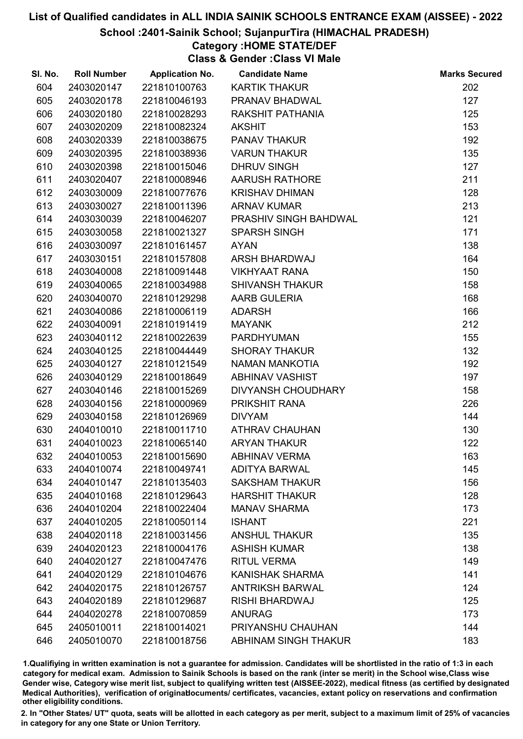### School :2401-Sainik School; SujanpurTira (HIMACHAL PRADESH)

# Category :HOME STATE/DEF

Class & Gender :Class VI Male

| SI. No. | <b>Roll Number</b> | <b>Application No.</b> | <b>Candidate Name</b>     | <b>Marks Secured</b> |
|---------|--------------------|------------------------|---------------------------|----------------------|
| 604     | 2403020147         | 221810100763           | <b>KARTIK THAKUR</b>      | 202                  |
| 605     | 2403020178         | 221810046193           | PRANAV BHADWAL            | 127                  |
| 606     | 2403020180         | 221810028293           | RAKSHIT PATHANIA          | 125                  |
| 607     | 2403020209         | 221810082324           | <b>AKSHIT</b>             | 153                  |
| 608     | 2403020339         | 221810038675           | <b>PANAV THAKUR</b>       | 192                  |
| 609     | 2403020395         | 221810038936           | <b>VARUN THAKUR</b>       | 135                  |
| 610     | 2403020398         | 221810015046           | <b>DHRUV SINGH</b>        | 127                  |
| 611     | 2403020407         | 221810008946           | <b>AARUSH RATHORE</b>     | 211                  |
| 612     | 2403030009         | 221810077676           | <b>KRISHAV DHIMAN</b>     | 128                  |
| 613     | 2403030027         | 221810011396           | <b>ARNAV KUMAR</b>        | 213                  |
| 614     | 2403030039         | 221810046207           | PRASHIV SINGH BAHDWAL     | 121                  |
| 615     | 2403030058         | 221810021327           | <b>SPARSH SINGH</b>       | 171                  |
| 616     | 2403030097         | 221810161457           | <b>AYAN</b>               | 138                  |
| 617     | 2403030151         | 221810157808           | ARSH BHARDWAJ             | 164                  |
| 618     | 2403040008         | 221810091448           | <b>VIKHYAAT RANA</b>      | 150                  |
| 619     | 2403040065         | 221810034988           | <b>SHIVANSH THAKUR</b>    | 158                  |
| 620     | 2403040070         | 221810129298           | AARB GULERIA              | 168                  |
| 621     | 2403040086         | 221810006119           | <b>ADARSH</b>             | 166                  |
| 622     | 2403040091         | 221810191419           | <b>MAYANK</b>             | 212                  |
| 623     | 2403040112         | 221810022639           | <b>PARDHYUMAN</b>         | 155                  |
| 624     | 2403040125         | 221810044449           | <b>SHORAY THAKUR</b>      | 132                  |
| 625     | 2403040127         | 221810121549           | <b>NAMAN MANKOTIA</b>     | 192                  |
| 626     | 2403040129         | 221810018649           | <b>ABHINAV VASHIST</b>    | 197                  |
| 627     | 2403040146         | 221810015269           | <b>DIVYANSH CHOUDHARY</b> | 158                  |
| 628     | 2403040156         | 221810000969           | PRIKSHIT RANA             | 226                  |
| 629     | 2403040158         | 221810126969           | <b>DIVYAM</b>             | 144                  |
| 630     | 2404010010         | 221810011710           | <b>ATHRAV CHAUHAN</b>     | 130                  |
| 631     | 2404010023         | 221810065140           | <b>ARYAN THAKUR</b>       | 122                  |
| 632     | 2404010053         | 221810015690           | <b>ABHINAV VERMA</b>      | 163                  |
| 633     | 2404010074         | 221810049741           | <b>ADITYA BARWAL</b>      | 145                  |
| 634     | 2404010147         | 221810135403           | <b>SAKSHAM THAKUR</b>     | 156                  |
| 635     | 2404010168         | 221810129643           | <b>HARSHIT THAKUR</b>     | 128                  |
| 636     | 2404010204         | 221810022404           | <b>MANAV SHARMA</b>       | 173                  |
| 637     | 2404010205         | 221810050114           | <b>ISHANT</b>             | 221                  |
| 638     | 2404020118         | 221810031456           | <b>ANSHUL THAKUR</b>      | 135                  |
| 639     | 2404020123         | 221810004176           | <b>ASHISH KUMAR</b>       | 138                  |
| 640     | 2404020127         | 221810047476           | <b>RITUL VERMA</b>        | 149                  |
| 641     | 2404020129         | 221810104676           | <b>KANISHAK SHARMA</b>    | 141                  |
| 642     | 2404020175         | 221810126757           | <b>ANTRIKSH BARWAL</b>    | 124                  |
| 643     | 2404020189         | 221810129687           | <b>RISHI BHARDWAJ</b>     | 125                  |
| 644     | 2404020278         | 221810070859           | <b>ANURAG</b>             | 173                  |
| 645     | 2405010011         | 221810014021           | PRIYANSHU CHAUHAN         | 144                  |
| 646     | 2405010070         | 221810018756           | ABHINAM SINGH THAKUR      | 183                  |

1.Qualifiying in written examination is not a guarantee for admission. Candidates will be shortlisted in the ratio of 1:3 in each category for medical exam. Admission to Sainik Schools is based on the rank (inter se merit) in the School wise,Class wise Gender wise, Category wise merit list, subject to qualifying written test (AISSEE-2022), medical fitness (as certified by designated Medical Authorities), verification of originablocuments/ certificates, vacancies, extant policy on reservations and confirmation other eligibility conditions.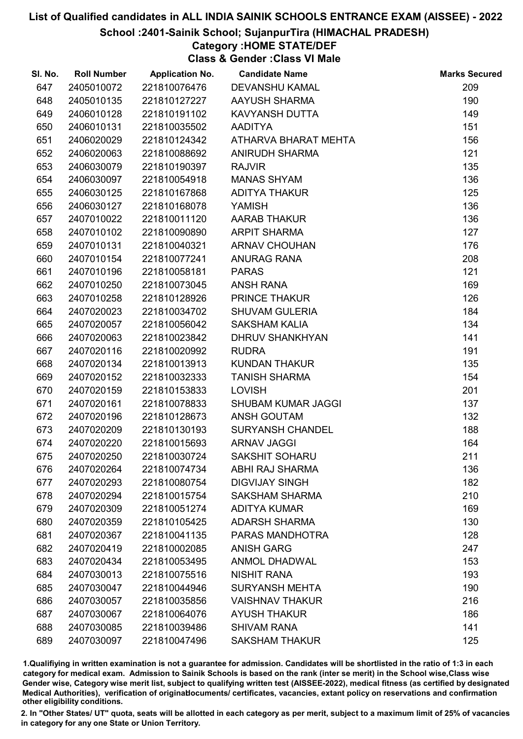### School :2401-Sainik School; SujanpurTira (HIMACHAL PRADESH)

## Category :HOME STATE/DEF

Class & Gender :Class VI Male

| SI. No. | <b>Roll Number</b> | <b>Application No.</b> | <b>Candidate Name</b>     | <b>Marks Secured</b> |
|---------|--------------------|------------------------|---------------------------|----------------------|
| 647     | 2405010072         | 221810076476           | <b>DEVANSHU KAMAL</b>     | 209                  |
| 648     | 2405010135         | 221810127227           | AAYUSH SHARMA             | 190                  |
| 649     | 2406010128         | 221810191102           | KAVYANSH DUTTA            | 149                  |
| 650     | 2406010131         | 221810035502           | <b>AADITYA</b>            | 151                  |
| 651     | 2406020029         | 221810124342           | ATHARVA BHARAT MEHTA      | 156                  |
| 652     | 2406020063         | 221810088692           | <b>ANIRUDH SHARMA</b>     | 121                  |
| 653     | 2406030079         | 221810190397           | <b>RAJVIR</b>             | 135                  |
| 654     | 2406030097         | 221810054918           | <b>MANAS SHYAM</b>        | 136                  |
| 655     | 2406030125         | 221810167868           | <b>ADITYA THAKUR</b>      | 125                  |
| 656     | 2406030127         | 221810168078           | YAMISH                    | 136                  |
| 657     | 2407010022         | 221810011120           | <b>AARAB THAKUR</b>       | 136                  |
| 658     | 2407010102         | 221810090890           | <b>ARPIT SHARMA</b>       | 127                  |
| 659     | 2407010131         | 221810040321           | <b>ARNAV CHOUHAN</b>      | 176                  |
| 660     | 2407010154         | 221810077241           | <b>ANURAG RANA</b>        | 208                  |
| 661     | 2407010196         | 221810058181           | <b>PARAS</b>              | 121                  |
| 662     | 2407010250         | 221810073045           | <b>ANSH RANA</b>          | 169                  |
| 663     | 2407010258         | 221810128926           | PRINCE THAKUR             | 126                  |
| 664     | 2407020023         | 221810034702           | <b>SHUVAM GULERIA</b>     | 184                  |
| 665     | 2407020057         | 221810056042           | <b>SAKSHAM KALIA</b>      | 134                  |
| 666     | 2407020063         | 221810023842           | <b>DHRUV SHANKHYAN</b>    | 141                  |
| 667     | 2407020116         | 221810020992           | <b>RUDRA</b>              | 191                  |
| 668     | 2407020134         | 221810013913           | <b>KUNDAN THAKUR</b>      | 135                  |
| 669     | 2407020152         | 221810032333           | <b>TANISH SHARMA</b>      | 154                  |
| 670     | 2407020159         | 221810153833           | <b>LOVISH</b>             | 201                  |
| 671     | 2407020161         | 221810078833           | <b>SHUBAM KUMAR JAGGI</b> | 137                  |
| 672     | 2407020196         | 221810128673           | ANSH GOUTAM               | 132                  |
| 673     | 2407020209         | 221810130193           | <b>SURYANSH CHANDEL</b>   | 188                  |
| 674     | 2407020220         | 221810015693           | <b>ARNAV JAGGI</b>        | 164                  |
| 675     | 2407020250         | 221810030724           | <b>SAKSHIT SOHARU</b>     | 211                  |
| 676     | 2407020264         | 221810074734           | ABHI RAJ SHARMA           | 136                  |
| 677     | 2407020293         | 221810080754           | <b>DIGVIJAY SINGH</b>     | 182                  |
| 678     | 2407020294         | 221810015754           | <b>SAKSHAM SHARMA</b>     | 210                  |
| 679     | 2407020309         | 221810051274           | <b>ADITYA KUMAR</b>       | 169                  |
| 680     | 2407020359         | 221810105425           | <b>ADARSH SHARMA</b>      | 130                  |
| 681     | 2407020367         | 221810041135           | PARAS MANDHOTRA           | 128                  |
| 682     | 2407020419         | 221810002085           | <b>ANISH GARG</b>         | 247                  |
| 683     | 2407020434         | 221810053495           | <b>ANMOL DHADWAL</b>      | 153                  |
| 684     | 2407030013         | 221810075516           | <b>NISHIT RANA</b>        | 193                  |
| 685     | 2407030047         | 221810044946           | <b>SURYANSH MEHTA</b>     | 190                  |
| 686     | 2407030057         | 221810035856           | <b>VAISHNAV THAKUR</b>    | 216                  |
| 687     | 2407030067         | 221810064076           | <b>AYUSH THAKUR</b>       | 186                  |
| 688     | 2407030085         | 221810039486           | <b>SHIVAM RANA</b>        | 141                  |
| 689     | 2407030097         | 221810047496           | <b>SAKSHAM THAKUR</b>     | 125                  |

1.Qualifiying in written examination is not a guarantee for admission. Candidates will be shortlisted in the ratio of 1:3 in each category for medical exam. Admission to Sainik Schools is based on the rank (inter se merit) in the School wise,Class wise Gender wise, Category wise merit list, subject to qualifying written test (AISSEE-2022), medical fitness (as certified by designated Medical Authorities), verification of originablocuments/ certificates, vacancies, extant policy on reservations and confirmation other eligibility conditions.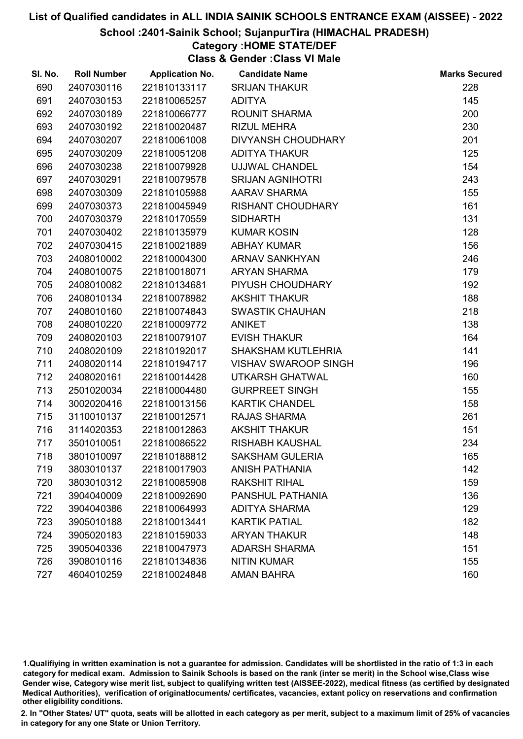#### School :2401-Sainik School; SujanpurTira (HIMACHAL PRADESH)

## Category :HOME STATE/DEF

Class & Gender :Class VI Male

| SI. No. | <b>Roll Number</b> | <b>Application No.</b> | <b>Candidate Name</b>       | <b>Marks Secured</b> |
|---------|--------------------|------------------------|-----------------------------|----------------------|
| 690     | 2407030116         | 221810133117           | <b>SRIJAN THAKUR</b>        | 228                  |
| 691     | 2407030153         | 221810065257           | <b>ADITYA</b>               | 145                  |
| 692     | 2407030189         | 221810066777           | <b>ROUNIT SHARMA</b>        | 200                  |
| 693     | 2407030192         | 221810020487           | <b>RIZUL MEHRA</b>          | 230                  |
| 694     | 2407030207         | 221810061008           | <b>DIVYANSH CHOUDHARY</b>   | 201                  |
| 695     | 2407030209         | 221810051208           | <b>ADITYA THAKUR</b>        | 125                  |
| 696     | 2407030238         | 221810079928           | <b>UJJWAL CHANDEL</b>       | 154                  |
| 697     | 2407030291         | 221810079578           | <b>SRIJAN AGNIHOTRI</b>     | 243                  |
| 698     | 2407030309         | 221810105988           | <b>AARAV SHARMA</b>         | 155                  |
| 699     | 2407030373         | 221810045949           | <b>RISHANT CHOUDHARY</b>    | 161                  |
| 700     | 2407030379         | 221810170559           | <b>SIDHARTH</b>             | 131                  |
| 701     | 2407030402         | 221810135979           | <b>KUMAR KOSIN</b>          | 128                  |
| 702     | 2407030415         | 221810021889           | <b>ABHAY KUMAR</b>          | 156                  |
| 703     | 2408010002         | 221810004300           | <b>ARNAV SANKHYAN</b>       | 246                  |
| 704     | 2408010075         | 221810018071           | <b>ARYAN SHARMA</b>         | 179                  |
| 705     | 2408010082         | 221810134681           | PIYUSH CHOUDHARY            | 192                  |
| 706     | 2408010134         | 221810078982           | <b>AKSHIT THAKUR</b>        | 188                  |
| 707     | 2408010160         | 221810074843           | <b>SWASTIK CHAUHAN</b>      | 218                  |
| 708     | 2408010220         | 221810009772           | <b>ANIKET</b>               | 138                  |
| 709     | 2408020103         | 221810079107           | <b>EVISH THAKUR</b>         | 164                  |
| 710     | 2408020109         | 221810192017           | <b>SHAKSHAM KUTLEHRIA</b>   | 141                  |
| 711     | 2408020114         | 221810194717           | <b>VISHAV SWAROOP SINGH</b> | 196                  |
| 712     | 2408020161         | 221810014428           | UTKARSH GHATWAL             | 160                  |
| 713     | 2501020034         | 221810004480           | <b>GURPREET SINGH</b>       | 155                  |
| 714     | 3002020416         | 221810013156           | <b>KARTIK CHANDEL</b>       | 158                  |
| 715     | 3110010137         | 221810012571           | RAJAS SHARMA                | 261                  |
| 716     | 3114020353         | 221810012863           | <b>AKSHIT THAKUR</b>        | 151                  |
| 717     | 3501010051         | 221810086522           | <b>RISHABH KAUSHAL</b>      | 234                  |
| 718     | 3801010097         | 221810188812           | <b>SAKSHAM GULERIA</b>      | 165                  |
| 719     | 3803010137         | 221810017903           | <b>ANISH PATHANIA</b>       | 142                  |
| 720     | 3803010312         | 221810085908           | <b>RAKSHIT RIHAL</b>        | 159                  |
| 721     | 3904040009         | 221810092690           | <b>PANSHUL PATHANIA</b>     | 136                  |
| 722     | 3904040386         | 221810064993           | <b>ADITYA SHARMA</b>        | 129                  |
| 723     | 3905010188         | 221810013441           | <b>KARTIK PATIAL</b>        | 182                  |
| 724     | 3905020183         | 221810159033           | <b>ARYAN THAKUR</b>         | 148                  |
| 725     | 3905040336         | 221810047973           | <b>ADARSH SHARMA</b>        | 151                  |
| 726     | 3908010116         | 221810134836           | <b>NITIN KUMAR</b>          | 155                  |
| 727     | 4604010259         | 221810024848           | <b>AMAN BAHRA</b>           | 160                  |

1.Qualifiying in written examination is not a guarantee for admission. Candidates will be shortlisted in the ratio of 1:3 in each category for medical exam. Admission to Sainik Schools is based on the rank (inter se merit) in the School wise,Class wise Gender wise, Category wise merit list, subject to qualifying written test (AISSEE-2022), medical fitness (as certified by designated Medical Authorities), verification of originablocuments/ certificates, vacancies, extant policy on reservations and confirmation other eligibility conditions.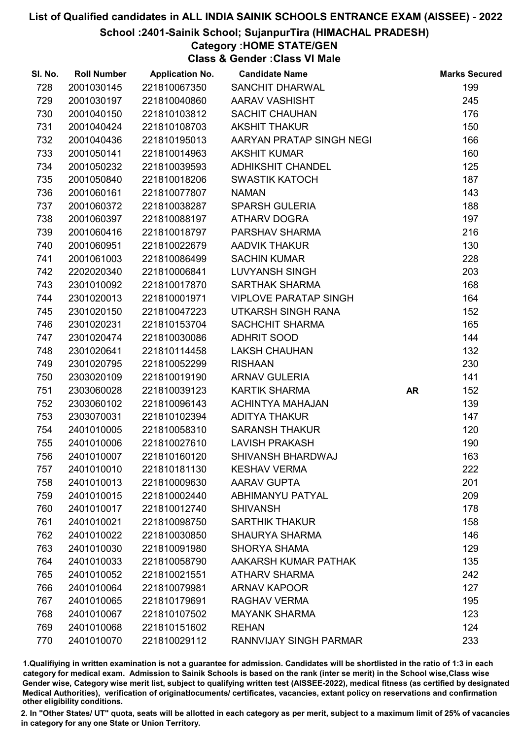### School :2401-Sainik School; SujanpurTira (HIMACHAL PRADESH)

# Category :HOME STATE/GEN

Class & Gender :Class VI Male

| SI. No. | <b>Roll Number</b> | <b>Application No.</b> | <b>Candidate Name</b>        |           | <b>Marks Secured</b> |
|---------|--------------------|------------------------|------------------------------|-----------|----------------------|
| 728     | 2001030145         | 221810067350           | <b>SANCHIT DHARWAL</b>       |           | 199                  |
| 729     | 2001030197         | 221810040860           | AARAV VASHISHT               |           | 245                  |
| 730     | 2001040150         | 221810103812           | SACHIT CHAUHAN               |           | 176                  |
| 731     | 2001040424         | 221810108703           | <b>AKSHIT THAKUR</b>         |           | 150                  |
| 732     | 2001040436         | 221810195013           | AARYAN PRATAP SINGH NEGI     |           | 166                  |
| 733     | 2001050141         | 221810014963           | <b>AKSHIT KUMAR</b>          |           | 160                  |
| 734     | 2001050232         | 221810039593           | <b>ADHIKSHIT CHANDEL</b>     |           | 125                  |
| 735     | 2001050840         | 221810018206           | <b>SWASTIK KATOCH</b>        |           | 187                  |
| 736     | 2001060161         | 221810077807           | <b>NAMAN</b>                 |           | 143                  |
| 737     | 2001060372         | 221810038287           | <b>SPARSH GULERIA</b>        |           | 188                  |
| 738     | 2001060397         | 221810088197           | <b>ATHARV DOGRA</b>          |           | 197                  |
| 739     | 2001060416         | 221810018797           | PARSHAV SHARMA               |           | 216                  |
| 740     | 2001060951         | 221810022679           | <b>AADVIK THAKUR</b>         |           | 130                  |
| 741     | 2001061003         | 221810086499           | <b>SACHIN KUMAR</b>          |           | 228                  |
| 742     | 2202020340         | 221810006841           | <b>LUVYANSH SINGH</b>        |           | 203                  |
| 743     | 2301010092         | 221810017870           | <b>SARTHAK SHARMA</b>        |           | 168                  |
| 744     | 2301020013         | 221810001971           | <b>VIPLOVE PARATAP SINGH</b> |           | 164                  |
| 745     | 2301020150         | 221810047223           | UTKARSH SINGH RANA           |           | 152                  |
| 746     | 2301020231         | 221810153704           | <b>SACHCHIT SHARMA</b>       |           | 165                  |
| 747     | 2301020474         | 221810030086           | <b>ADHRIT SOOD</b>           |           | 144                  |
| 748     | 2301020641         | 221810114458           | <b>LAKSH CHAUHAN</b>         |           | 132                  |
| 749     | 2301020795         | 221810052299           | <b>RISHAAN</b>               |           | 230                  |
| 750     | 2303020109         | 221810019190           | <b>ARNAV GULERIA</b>         |           | 141                  |
| 751     | 2303060028         | 221810039123           | <b>KARTIK SHARMA</b>         | <b>AR</b> | 152                  |
| 752     | 2303060102         | 221810096143           | <b>ACHINTYA MAHAJAN</b>      |           | 139                  |
| 753     | 2303070031         | 221810102394           | <b>ADITYA THAKUR</b>         |           | 147                  |
| 754     | 2401010005         | 221810058310           | <b>SARANSH THAKUR</b>        |           | 120                  |
| 755     | 2401010006         | 221810027610           | <b>LAVISH PRAKASH</b>        |           | 190                  |
| 756     | 2401010007         | 221810160120           | SHIVANSH BHARDWAJ            |           | 163                  |
| 757     | 2401010010         | 221810181130           | <b>KESHAV VERMA</b>          |           | 222                  |
| 758     | 2401010013         | 221810009630           | <b>AARAV GUPTA</b>           |           | 201                  |
| 759     | 2401010015         | 221810002440           | <b>ABHIMANYU PATYAL</b>      |           | 209                  |
| 760     | 2401010017         | 221810012740           | <b>SHIVANSH</b>              |           | 178                  |
| 761     | 2401010021         | 221810098750           | <b>SARTHIK THAKUR</b>        |           | 158                  |
| 762     | 2401010022         | 221810030850           | <b>SHAURYA SHARMA</b>        |           | 146                  |
| 763     | 2401010030         | 221810091980           | <b>SHORYA SHAMA</b>          |           | 129                  |
| 764     | 2401010033         | 221810058790           | AAKARSH KUMAR PATHAK         |           | 135                  |
| 765     | 2401010052         | 221810021551           | <b>ATHARV SHARMA</b>         |           | 242                  |
| 766     | 2401010064         | 221810079981           | <b>ARNAV KAPOOR</b>          |           | 127                  |
| 767     | 2401010065         | 221810179691           | <b>RAGHAV VERMA</b>          |           | 195                  |
| 768     | 2401010067         | 221810107502           | <b>MAYANK SHARMA</b>         |           | 123                  |
| 769     | 2401010068         | 221810151602           | <b>REHAN</b>                 |           | 124                  |
| 770     | 2401010070         | 221810029112           | RANNVIJAY SINGH PARMAR       |           | 233                  |

1.Qualifiying in written examination is not a guarantee for admission. Candidates will be shortlisted in the ratio of 1:3 in each category for medical exam. Admission to Sainik Schools is based on the rank (inter se merit) in the School wise,Class wise Gender wise, Category wise merit list, subject to qualifying written test (AISSEE-2022), medical fitness (as certified by designated Medical Authorities), verification of originablocuments/ certificates, vacancies, extant policy on reservations and confirmation other eligibility conditions.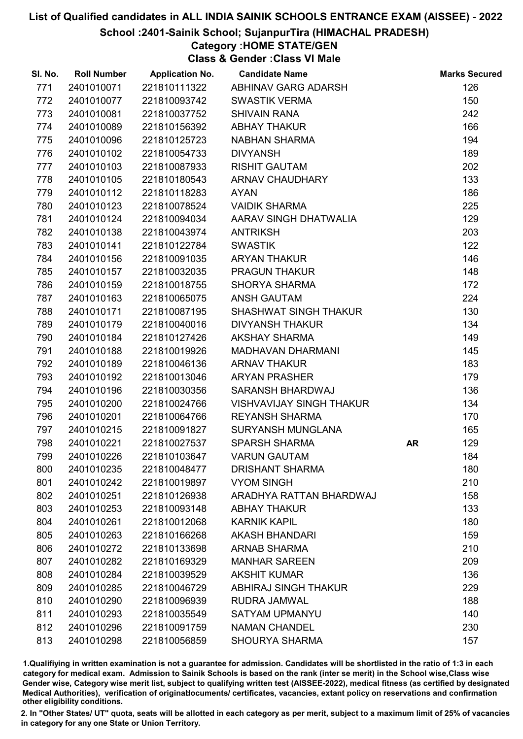### School :2401-Sainik School; SujanpurTira (HIMACHAL PRADESH)

## Category :HOME STATE/GEN

Class & Gender :Class VI Male

| SI. No. | <b>Roll Number</b> | <b>Application No.</b> | <b>Candidate Name</b>           |    | <b>Marks Secured</b> |
|---------|--------------------|------------------------|---------------------------------|----|----------------------|
| 771     | 2401010071         | 221810111322           | ABHINAV GARG ADARSH             |    | 126                  |
| 772     | 2401010077         | 221810093742           | <b>SWASTIK VERMA</b>            |    | 150                  |
| 773     | 2401010081         | 221810037752           | <b>SHIVAIN RANA</b>             |    | 242                  |
| 774     | 2401010089         | 221810156392           | ABHAY THAKUR                    |    | 166                  |
| 775     | 2401010096         | 221810125723           | <b>NABHAN SHARMA</b>            |    | 194                  |
| 776     | 2401010102         | 221810054733           | <b>DIVYANSH</b>                 |    | 189                  |
| 777     | 2401010103         | 221810087933           | <b>RISHIT GAUTAM</b>            |    | 202                  |
| 778     | 2401010105         | 221810180543           | ARNAV CHAUDHARY                 |    | 133                  |
| 779     | 2401010112         | 221810118283           | <b>AYAN</b>                     |    | 186                  |
| 780     | 2401010123         | 221810078524           | <b>VAIDIK SHARMA</b>            |    | 225                  |
| 781     | 2401010124         | 221810094034           | AARAV SINGH DHATWALIA           |    | 129                  |
| 782     | 2401010138         | 221810043974           | <b>ANTRIKSH</b>                 |    | 203                  |
| 783     | 2401010141         | 221810122784           | <b>SWASTIK</b>                  |    | 122                  |
| 784     | 2401010156         | 221810091035           | <b>ARYAN THAKUR</b>             |    | 146                  |
| 785     | 2401010157         | 221810032035           | <b>PRAGUN THAKUR</b>            |    | 148                  |
| 786     | 2401010159         | 221810018755           | <b>SHORYA SHARMA</b>            |    | 172                  |
| 787     | 2401010163         | 221810065075           | <b>ANSH GAUTAM</b>              |    | 224                  |
| 788     | 2401010171         | 221810087195           | <b>SHASHWAT SINGH THAKUR</b>    |    | 130                  |
| 789     | 2401010179         | 221810040016           | <b>DIVYANSH THAKUR</b>          |    | 134                  |
| 790     | 2401010184         | 221810127426           | <b>AKSHAY SHARMA</b>            |    | 149                  |
| 791     | 2401010188         | 221810019926           | MADHAVAN DHARMANI               |    | 145                  |
| 792     | 2401010189         | 221810046136           | <b>ARNAV THAKUR</b>             |    | 183                  |
| 793     | 2401010192         | 221810013046           | <b>ARYAN PRASHER</b>            |    | 179                  |
| 794     | 2401010196         | 221810030356           | SARANSH BHARDWAJ                |    | 136                  |
| 795     | 2401010200         | 221810024766           | <b>VISHVAVIJAY SINGH THAKUR</b> |    | 134                  |
| 796     | 2401010201         | 221810064766           | <b>REYANSH SHARMA</b>           |    | 170                  |
| 797     | 2401010215         | 221810091827           | <b>SURYANSH MUNGLANA</b>        |    | 165                  |
| 798     | 2401010221         | 221810027537           | <b>SPARSH SHARMA</b>            | AR | 129                  |
| 799     | 2401010226         | 221810103647           | <b>VARUN GAUTAM</b>             |    | 184                  |
| 800     | 2401010235         | 221810048477           | <b>DRISHANT SHARMA</b>          |    | 180                  |
| 801     | 2401010242         | 221810019897           | <b>VYOM SINGH</b>               |    | 210                  |
| 802     | 2401010251         | 221810126938           | ARADHYA RATTAN BHARDWAJ         |    | 158                  |
| 803     | 2401010253         | 221810093148           | <b>ABHAY THAKUR</b>             |    | 133                  |
| 804     | 2401010261         | 221810012068           | <b>KARNIK KAPIL</b>             |    | 180                  |
| 805     | 2401010263         | 221810166268           | <b>AKASH BHANDARI</b>           |    | 159                  |
| 806     | 2401010272         | 221810133698           | <b>ARNAB SHARMA</b>             |    | 210                  |
| 807     | 2401010282         | 221810169329           | <b>MANHAR SAREEN</b>            |    | 209                  |
| 808     | 2401010284         | 221810039529           | <b>AKSHIT KUMAR</b>             |    | 136                  |
| 809     | 2401010285         | 221810046729           | <b>ABHIRAJ SINGH THAKUR</b>     |    | 229                  |
| 810     | 2401010290         | 221810096939           | <b>RUDRA JAMWAL</b>             |    | 188                  |
| 811     | 2401010293         | 221810035549           | <b>SATYAM UPMANYU</b>           |    | 140                  |
| 812     | 2401010296         | 221810091759           | <b>NAMAN CHANDEL</b>            |    | 230                  |
| 813     | 2401010298         | 221810056859           | <b>SHOURYA SHARMA</b>           |    | 157                  |

1.Qualifiying in written examination is not a guarantee for admission. Candidates will be shortlisted in the ratio of 1:3 in each category for medical exam. Admission to Sainik Schools is based on the rank (inter se merit) in the School wise,Class wise Gender wise, Category wise merit list, subject to qualifying written test (AISSEE-2022), medical fitness (as certified by designated Medical Authorities), verification of originablocuments/ certificates, vacancies, extant policy on reservations and confirmation other eligibility conditions.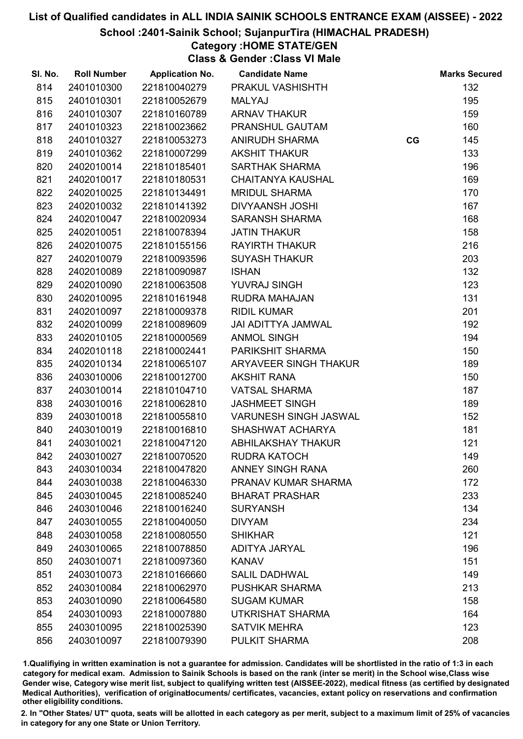### School :2401-Sainik School; SujanpurTira (HIMACHAL PRADESH)

## Category :HOME STATE/GEN

Class & Gender :Class VI Male

| SI. No. | <b>Roll Number</b> | <b>Application No.</b> | <b>Candidate Name</b>        |    | <b>Marks Secured</b> |
|---------|--------------------|------------------------|------------------------------|----|----------------------|
| 814     | 2401010300         | 221810040279           | PRAKUL VASHISHTH             |    | 132                  |
| 815     | 2401010301         | 221810052679           | <b>MALYAJ</b>                |    | 195                  |
| 816     | 2401010307         | 221810160789           | <b>ARNAV THAKUR</b>          |    | 159                  |
| 817     | 2401010323         | 221810023662           | PRANSHUL GAUTAM              |    | 160                  |
| 818     | 2401010327         | 221810053273           | <b>ANIRUDH SHARMA</b>        | CG | 145                  |
| 819     | 2401010362         | 221810007299           | <b>AKSHIT THAKUR</b>         |    | 133                  |
| 820     | 2402010014         | 221810185401           | <b>SARTHAK SHARMA</b>        |    | 196                  |
| 821     | 2402010017         | 221810180531           | <b>CHAITANYA KAUSHAL</b>     |    | 169                  |
| 822     | 2402010025         | 221810134491           | <b>MRIDUL SHARMA</b>         |    | 170                  |
| 823     | 2402010032         | 221810141392           | <b>DIVYAANSH JOSHI</b>       |    | 167                  |
| 824     | 2402010047         | 221810020934           | <b>SARANSH SHARMA</b>        |    | 168                  |
| 825     | 2402010051         | 221810078394           | <b>JATIN THAKUR</b>          |    | 158                  |
| 826     | 2402010075         | 221810155156           | <b>RAYIRTH THAKUR</b>        |    | 216                  |
| 827     | 2402010079         | 221810093596           | <b>SUYASH THAKUR</b>         |    | 203                  |
| 828     | 2402010089         | 221810090987           | <b>ISHAN</b>                 |    | 132                  |
| 829     | 2402010090         | 221810063508           | <b>YUVRAJ SINGH</b>          |    | 123                  |
| 830     | 2402010095         | 221810161948           | <b>RUDRA MAHAJAN</b>         |    | 131                  |
| 831     | 2402010097         | 221810009378           | <b>RIDIL KUMAR</b>           |    | 201                  |
| 832     | 2402010099         | 221810089609           | <b>JAI ADITTYA JAMWAL</b>    |    | 192                  |
| 833     | 2402010105         | 221810000569           | <b>ANMOL SINGH</b>           |    | 194                  |
| 834     | 2402010118         | 221810002441           | PARIKSHIT SHARMA             |    | 150                  |
| 835     | 2402010134         | 221810065107           | <b>ARYAVEER SINGH THAKUR</b> |    | 189                  |
| 836     | 2403010006         | 221810012700           | <b>AKSHIT RANA</b>           |    | 150                  |
| 837     | 2403010014         | 221810104710           | <b>VATSAL SHARMA</b>         |    | 187                  |
| 838     | 2403010016         | 221810062810           | <b>JASHMEET SINGH</b>        |    | 189                  |
| 839     | 2403010018         | 221810055810           | <b>VARUNESH SINGH JASWAL</b> |    | 152                  |
| 840     | 2403010019         | 221810016810           | SHASHWAT ACHARYA             |    | 181                  |
| 841     | 2403010021         | 221810047120           | <b>ABHILAKSHAY THAKUR</b>    |    | 121                  |
| 842     | 2403010027         | 221810070520           | <b>RUDRA KATOCH</b>          |    | 149                  |
| 843     | 2403010034         | 221810047820           | <b>ANNEY SINGH RANA</b>      |    | 260                  |
| 844     | 2403010038         | 221810046330           | PRANAV KUMAR SHARMA          |    | 172                  |
| 845     | 2403010045         | 221810085240           | <b>BHARAT PRASHAR</b>        |    | 233                  |
| 846     | 2403010046         | 221810016240           | <b>SURYANSH</b>              |    | 134                  |
| 847     | 2403010055         | 221810040050           | <b>DIVYAM</b>                |    | 234                  |
| 848     | 2403010058         | 221810080550           | <b>SHIKHAR</b>               |    | 121                  |
| 849     | 2403010065         | 221810078850           | <b>ADITYA JARYAL</b>         |    | 196                  |
| 850     | 2403010071         | 221810097360           | <b>KANAV</b>                 |    | 151                  |
| 851     | 2403010073         | 221810166660           | <b>SALIL DADHWAL</b>         |    | 149                  |
| 852     | 2403010084         | 221810062970           | <b>PUSHKAR SHARMA</b>        |    | 213                  |
| 853     | 2403010090         | 221810064580           | <b>SUGAM KUMAR</b>           |    | 158                  |
| 854     | 2403010093         | 221810007880           | UTKRISHAT SHARMA             |    | 164                  |
| 855     | 2403010095         | 221810025390           | <b>SATVIK MEHRA</b>          |    | 123                  |
| 856     | 2403010097         | 221810079390           | PULKIT SHARMA                |    | 208                  |

1.Qualifiying in written examination is not a guarantee for admission. Candidates will be shortlisted in the ratio of 1:3 in each category for medical exam. Admission to Sainik Schools is based on the rank (inter se merit) in the School wise,Class wise Gender wise, Category wise merit list, subject to qualifying written test (AISSEE-2022), medical fitness (as certified by designated Medical Authorities), verification of originablocuments/ certificates, vacancies, extant policy on reservations and confirmation other eligibility conditions.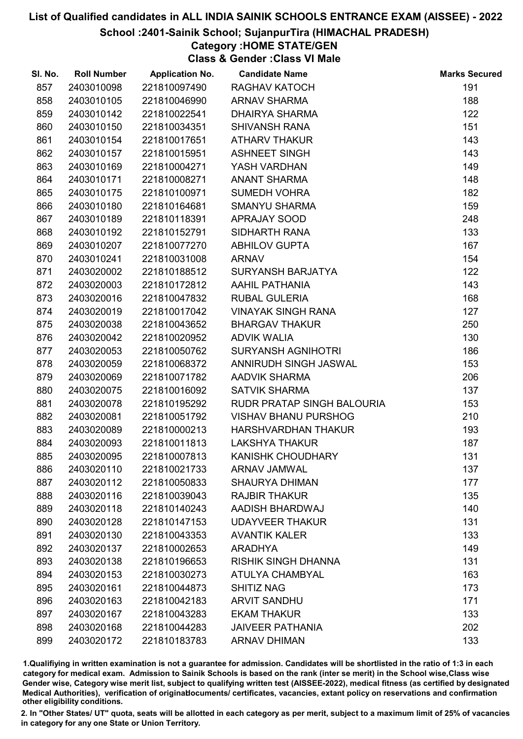### School :2401-Sainik School; SujanpurTira (HIMACHAL PRADESH)

## Category :HOME STATE/GEN

Class & Gender :Class VI Male

| SI. No. | <b>Roll Number</b> | <b>Application No.</b> | <b>Candidate Name</b>       | <b>Marks Secured</b> |
|---------|--------------------|------------------------|-----------------------------|----------------------|
| 857     | 2403010098         | 221810097490           | RAGHAV KATOCH               | 191                  |
| 858     | 2403010105         | 221810046990           | <b>ARNAV SHARMA</b>         | 188                  |
| 859     | 2403010142         | 221810022541           | <b>DHAIRYA SHARMA</b>       | 122                  |
| 860     | 2403010150         | 221810034351           | <b>SHIVANSH RANA</b>        | 151                  |
| 861     | 2403010154         | 221810017651           | <b>ATHARV THAKUR</b>        | 143                  |
| 862     | 2403010157         | 221810015951           | <b>ASHNEET SINGH</b>        | 143                  |
| 863     | 2403010169         | 221810004271           | YASH VARDHAN                | 149                  |
| 864     | 2403010171         | 221810008271           | <b>ANANT SHARMA</b>         | 148                  |
| 865     | 2403010175         | 221810100971           | <b>SUMEDH VOHRA</b>         | 182                  |
| 866     | 2403010180         | 221810164681           | <b>SMANYU SHARMA</b>        | 159                  |
| 867     | 2403010189         | 221810118391           | APRAJAY SOOD                | 248                  |
| 868     | 2403010192         | 221810152791           | SIDHARTH RANA               | 133                  |
| 869     | 2403010207         | 221810077270           | <b>ABHILOV GUPTA</b>        | 167                  |
| 870     | 2403010241         | 221810031008           | <b>ARNAV</b>                | 154                  |
| 871     | 2403020002         | 221810188512           | <b>SURYANSH BARJATYA</b>    | 122                  |
| 872     | 2403020003         | 221810172812           | <b>AAHIL PATHANIA</b>       | 143                  |
| 873     | 2403020016         | 221810047832           | <b>RUBAL GULERIA</b>        | 168                  |
| 874     | 2403020019         | 221810017042           | <b>VINAYAK SINGH RANA</b>   | 127                  |
| 875     | 2403020038         | 221810043652           | <b>BHARGAV THAKUR</b>       | 250                  |
| 876     | 2403020042         | 221810020952           | <b>ADVIK WALIA</b>          | 130                  |
| 877     | 2403020053         | 221810050762           | <b>SURYANSH AGNIHOTRI</b>   | 186                  |
| 878     | 2403020059         | 221810068372           | ANNIRUDH SINGH JASWAL       | 153                  |
| 879     | 2403020069         | 221810071782           | <b>AADVIK SHARMA</b>        | 206                  |
| 880     | 2403020075         | 221810016092           | <b>SATVIK SHARMA</b>        | 137                  |
| 881     | 2403020078         | 221810195292           | RUDR PRATAP SINGH BALOURIA  | 153                  |
| 882     | 2403020081         | 221810051792           | <b>VISHAV BHANU PURSHOG</b> | 210                  |
| 883     | 2403020089         | 221810000213           | <b>HARSHVARDHAN THAKUR</b>  | 193                  |
| 884     | 2403020093         | 221810011813           | <b>LAKSHYA THAKUR</b>       | 187                  |
| 885     | 2403020095         | 221810007813           | <b>KANISHK CHOUDHARY</b>    | 131                  |
| 886     | 2403020110         | 221810021733           | <b>ARNAV JAMWAL</b>         | 137                  |
| 887     | 2403020112         | 221810050833           | <b>SHAURYA DHIMAN</b>       | 177                  |
| 888     | 2403020116         | 221810039043           | <b>RAJBIR THAKUR</b>        | 135                  |
| 889     | 2403020118         | 221810140243           | AADISH BHARDWAJ             | 140                  |
| 890     | 2403020128         | 221810147153           | <b>UDAYVEER THAKUR</b>      | 131                  |
| 891     | 2403020130         | 221810043353           | <b>AVANTIK KALER</b>        | 133                  |
| 892     | 2403020137         | 221810002653           | <b>ARADHYA</b>              | 149                  |
| 893     | 2403020138         | 221810196653           | <b>RISHIK SINGH DHANNA</b>  | 131                  |
| 894     | 2403020153         | 221810030273           | <b>ATULYA CHAMBYAL</b>      | 163                  |
| 895     | 2403020161         | 221810044873           | <b>SHITIZ NAG</b>           | 173                  |
| 896     | 2403020163         | 221810042183           | <b>ARVIT SANDHU</b>         | 171                  |
| 897     | 2403020167         | 221810043283           | <b>EKAM THAKUR</b>          | 133                  |
| 898     | 2403020168         | 221810044283           | <b>JAIVEER PATHANIA</b>     | 202                  |
| 899     | 2403020172         | 221810183783           | <b>ARNAV DHIMAN</b>         | 133                  |

1.Qualifiying in written examination is not a guarantee for admission. Candidates will be shortlisted in the ratio of 1:3 in each category for medical exam. Admission to Sainik Schools is based on the rank (inter se merit) in the School wise,Class wise Gender wise, Category wise merit list, subject to qualifying written test (AISSEE-2022), medical fitness (as certified by designated Medical Authorities), verification of originablocuments/ certificates, vacancies, extant policy on reservations and confirmation other eligibility conditions.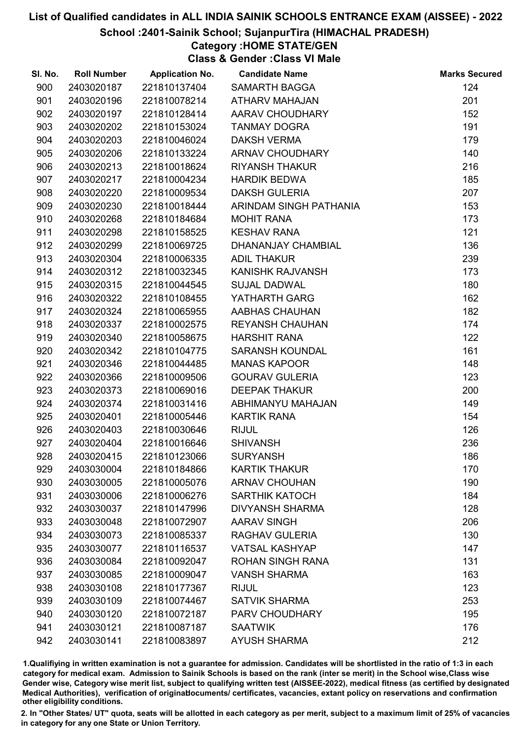### School :2401-Sainik School; SujanpurTira (HIMACHAL PRADESH)

## Category :HOME STATE/GEN

Class & Gender :Class VI Male

| SI. No. | <b>Roll Number</b> | <b>Application No.</b> | <b>Candidate Name</b>   | <b>Marks Secured</b> |
|---------|--------------------|------------------------|-------------------------|----------------------|
| 900     | 2403020187         | 221810137404           | <b>SAMARTH BAGGA</b>    | 124                  |
| 901     | 2403020196         | 221810078214           | <b>ATHARV MAHAJAN</b>   | 201                  |
| 902     | 2403020197         | 221810128414           | AARAV CHOUDHARY         | 152                  |
| 903     | 2403020202         | 221810153024           | <b>TANMAY DOGRA</b>     | 191                  |
| 904     | 2403020203         | 221810046024           | <b>DAKSH VERMA</b>      | 179                  |
| 905     | 2403020206         | 221810133224           | ARNAV CHOUDHARY         | 140                  |
| 906     | 2403020213         | 221810018624           | <b>RIYANSH THAKUR</b>   | 216                  |
| 907     | 2403020217         | 221810004234           | <b>HARDIK BEDWA</b>     | 185                  |
| 908     | 2403020220         | 221810009534           | <b>DAKSH GULERIA</b>    | 207                  |
| 909     | 2403020230         | 221810018444           | ARINDAM SINGH PATHANIA  | 153                  |
| 910     | 2403020268         | 221810184684           | <b>MOHIT RANA</b>       | 173                  |
| 911     | 2403020298         | 221810158525           | <b>KESHAV RANA</b>      | 121                  |
| 912     | 2403020299         | 221810069725           | DHANANJAY CHAMBIAL      | 136                  |
| 913     | 2403020304         | 221810006335           | <b>ADIL THAKUR</b>      | 239                  |
| 914     | 2403020312         | 221810032345           | <b>KANISHK RAJVANSH</b> | 173                  |
| 915     | 2403020315         | 221810044545           | <b>SUJAL DADWAL</b>     | 180                  |
| 916     | 2403020322         | 221810108455           | YATHARTH GARG           | 162                  |
| 917     | 2403020324         | 221810065955           | AABHAS CHAUHAN          | 182                  |
| 918     | 2403020337         | 221810002575           | <b>REYANSH CHAUHAN</b>  | 174                  |
| 919     | 2403020340         | 221810058675           | <b>HARSHIT RANA</b>     | 122                  |
| 920     | 2403020342         | 221810104775           | <b>SARANSH KOUNDAL</b>  | 161                  |
| 921     | 2403020346         | 221810044485           | <b>MANAS KAPOOR</b>     | 148                  |
| 922     | 2403020366         | 221810009506           | <b>GOURAV GULERIA</b>   | 123                  |
| 923     | 2403020373         | 221810069016           | <b>DEEPAK THAKUR</b>    | 200                  |
| 924     | 2403020374         | 221810031416           | ABHIMANYU MAHAJAN       | 149                  |
| 925     | 2403020401         | 221810005446           | <b>KARTIK RANA</b>      | 154                  |
| 926     | 2403020403         | 221810030646           | <b>RIJUL</b>            | 126                  |
| 927     | 2403020404         | 221810016646           | <b>SHIVANSH</b>         | 236                  |
| 928     | 2403020415         | 221810123066           | <b>SURYANSH</b>         | 186                  |
| 929     | 2403030004         | 221810184866           | <b>KARTIK THAKUR</b>    | 170                  |
| 930     | 2403030005         | 221810005076           | <b>ARNAV CHOUHAN</b>    | 190                  |
| 931     | 2403030006         | 221810006276           | <b>SARTHIK KATOCH</b>   | 184                  |
| 932     | 2403030037         | 221810147996           | <b>DIVYANSH SHARMA</b>  | 128                  |
| 933     | 2403030048         | 221810072907           | <b>AARAV SINGH</b>      | 206                  |
| 934     | 2403030073         | 221810085337           | <b>RAGHAV GULERIA</b>   | 130                  |
| 935     | 2403030077         | 221810116537           | <b>VATSAL KASHYAP</b>   | 147                  |
| 936     | 2403030084         | 221810092047           | <b>ROHAN SINGH RANA</b> | 131                  |
| 937     | 2403030085         | 221810009047           | <b>VANSH SHARMA</b>     | 163                  |
| 938     | 2403030108         | 221810177367           | <b>RIJUL</b>            | 123                  |
| 939     | 2403030109         | 221810074467           | <b>SATVIK SHARMA</b>    | 253                  |
| 940     | 2403030120         | 221810072187           | PARV CHOUDHARY          | 195                  |
| 941     | 2403030121         | 221810087187           | <b>SAATWIK</b>          | 176                  |
| 942     | 2403030141         | 221810083897           | <b>AYUSH SHARMA</b>     | 212                  |

1.Qualifiying in written examination is not a guarantee for admission. Candidates will be shortlisted in the ratio of 1:3 in each category for medical exam. Admission to Sainik Schools is based on the rank (inter se merit) in the School wise,Class wise Gender wise, Category wise merit list, subject to qualifying written test (AISSEE-2022), medical fitness (as certified by designated Medical Authorities), verification of originablocuments/ certificates, vacancies, extant policy on reservations and confirmation other eligibility conditions.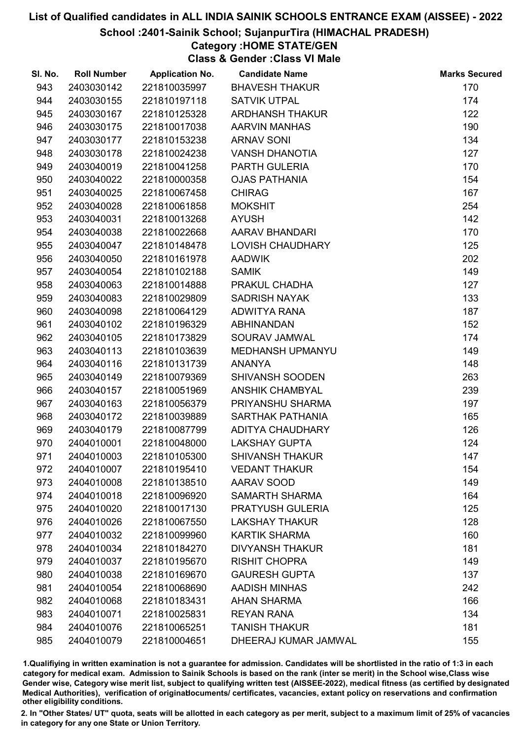### School :2401-Sainik School; SujanpurTira (HIMACHAL PRADESH)

# Category :HOME STATE/GEN

Class & Gender :Class VI Male

| SI. No. | <b>Roll Number</b> | <b>Application No.</b> | <b>Candidate Name</b>   | <b>Marks Secured</b> |
|---------|--------------------|------------------------|-------------------------|----------------------|
| 943     | 2403030142         | 221810035997           | <b>BHAVESH THAKUR</b>   | 170                  |
| 944     | 2403030155         | 221810197118           | <b>SATVIK UTPAL</b>     | 174                  |
| 945     | 2403030167         | 221810125328           | <b>ARDHANSH THAKUR</b>  | 122                  |
| 946     | 2403030175         | 221810017038           | <b>AARVIN MANHAS</b>    | 190                  |
| 947     | 2403030177         | 221810153238           | <b>ARNAV SONI</b>       | 134                  |
| 948     | 2403030178         | 221810024238           | <b>VANSH DHANOTIA</b>   | 127                  |
| 949     | 2403040019         | 221810041258           | PARTH GULERIA           | 170                  |
| 950     | 2403040022         | 221810000358           | <b>OJAS PATHANIA</b>    | 154                  |
| 951     | 2403040025         | 221810067458           | <b>CHIRAG</b>           | 167                  |
| 952     | 2403040028         | 221810061858           | <b>MOKSHIT</b>          | 254                  |
| 953     | 2403040031         | 221810013268           | <b>AYUSH</b>            | 142                  |
| 954     | 2403040038         | 221810022668           | AARAV BHANDARI          | 170                  |
| 955     | 2403040047         | 221810148478           | <b>LOVISH CHAUDHARY</b> | 125                  |
| 956     | 2403040050         | 221810161978           | <b>AADWIK</b>           | 202                  |
| 957     | 2403040054         | 221810102188           | <b>SAMIK</b>            | 149                  |
| 958     | 2403040063         | 221810014888           | PRAKUL CHADHA           | 127                  |
| 959     | 2403040083         | 221810029809           | <b>SADRISH NAYAK</b>    | 133                  |
| 960     | 2403040098         | 221810064129           | ADWITYA RANA            | 187                  |
| 961     | 2403040102         | 221810196329           | <b>ABHINANDAN</b>       | 152                  |
| 962     | 2403040105         | 221810173829           | SOURAV JAMWAL           | 174                  |
| 963     | 2403040113         | 221810103639           | MEDHANSH UPMANYU        | 149                  |
| 964     | 2403040116         | 221810131739           | <b>ANANYA</b>           | 148                  |
| 965     | 2403040149         | 221810079369           | <b>SHIVANSH SOODEN</b>  | 263                  |
| 966     | 2403040157         | 221810051969           | <b>ANSHIK CHAMBYAL</b>  | 239                  |
| 967     | 2403040163         | 221810056379           | PRIYANSHU SHARMA        | 197                  |
| 968     | 2403040172         | 221810039889           | SARTHAK PATHANIA        | 165                  |
| 969     | 2403040179         | 221810087799           | ADITYA CHAUDHARY        | 126                  |
| 970     | 2404010001         | 221810048000           | <b>LAKSHAY GUPTA</b>    | 124                  |
| 971     | 2404010003         | 221810105300           | <b>SHIVANSH THAKUR</b>  | 147                  |
| 972     | 2404010007         | 221810195410           | <b>VEDANT THAKUR</b>    | 154                  |
| 973     | 2404010008         | 221810138510           | AARAV SOOD              | 149                  |
| 974     | 2404010018         | 221810096920           | <b>SAMARTH SHARMA</b>   | 164                  |
| 975     | 2404010020         | 221810017130           | <b>PRATYUSH GULERIA</b> | 125                  |
| 976     | 2404010026         | 221810067550           | <b>LAKSHAY THAKUR</b>   | 128                  |
| 977     | 2404010032         | 221810099960           | <b>KARTIK SHARMA</b>    | 160                  |
| 978     | 2404010034         | 221810184270           | <b>DIVYANSH THAKUR</b>  | 181                  |
| 979     | 2404010037         | 221810195670           | <b>RISHIT CHOPRA</b>    | 149                  |
| 980     | 2404010038         | 221810169670           | <b>GAURESH GUPTA</b>    | 137                  |
| 981     | 2404010054         | 221810068690           | <b>AADISH MINHAS</b>    | 242                  |
| 982     | 2404010068         | 221810183431           | <b>AHAN SHARMA</b>      | 166                  |
| 983     | 2404010071         | 221810025831           | <b>REYAN RANA</b>       | 134                  |
| 984     | 2404010076         | 221810065251           | <b>TANISH THAKUR</b>    | 181                  |
| 985     | 2404010079         | 221810004651           | DHEERAJ KUMAR JAMWAL    | 155                  |

1.Qualifiying in written examination is not a guarantee for admission. Candidates will be shortlisted in the ratio of 1:3 in each category for medical exam. Admission to Sainik Schools is based on the rank (inter se merit) in the School wise,Class wise Gender wise, Category wise merit list, subject to qualifying written test (AISSEE-2022), medical fitness (as certified by designated Medical Authorities), verification of originablocuments/ certificates, vacancies, extant policy on reservations and confirmation other eligibility conditions.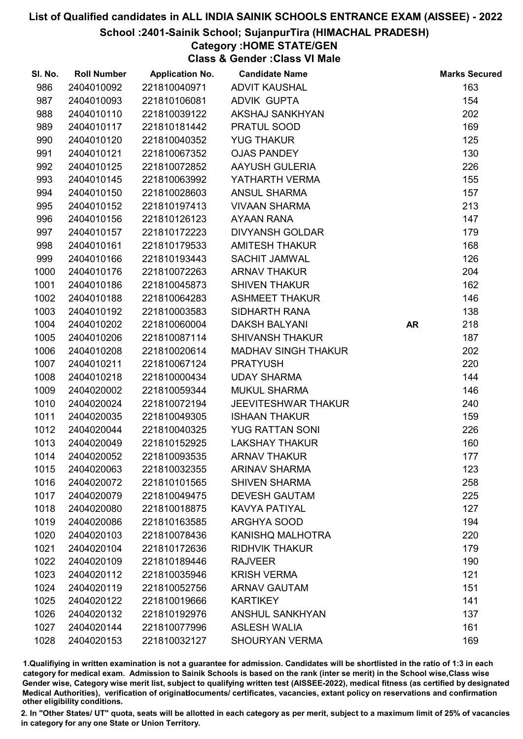### School :2401-Sainik School; SujanpurTira (HIMACHAL PRADESH)

# Category :HOME STATE/GEN

Class & Gender :Class VI Male

| SI. No. | <b>Roll Number</b> | <b>Application No.</b> | <b>Candidate Name</b>      |           | <b>Marks Secured</b> |
|---------|--------------------|------------------------|----------------------------|-----------|----------------------|
| 986     | 2404010092         | 221810040971           | <b>ADVIT KAUSHAL</b>       |           | 163                  |
| 987     | 2404010093         | 221810106081           | <b>ADVIK GUPTA</b>         |           | 154                  |
| 988     | 2404010110         | 221810039122           | AKSHAJ SANKHYAN            |           | 202                  |
| 989     | 2404010117         | 221810181442           | PRATUL SOOD                |           | 169                  |
| 990     | 2404010120         | 221810040352           | <b>YUG THAKUR</b>          |           | 125                  |
| 991     | 2404010121         | 221810067352           | <b>OJAS PANDEY</b>         |           | 130                  |
| 992     | 2404010125         | 221810072852           | <b>AAYUSH GULERIA</b>      |           | 226                  |
| 993     | 2404010145         | 221810063992           | YATHARTH VERMA             |           | 155                  |
| 994     | 2404010150         | 221810028603           | <b>ANSUL SHARMA</b>        |           | 157                  |
| 995     | 2404010152         | 221810197413           | <b>VIVAAN SHARMA</b>       |           | 213                  |
| 996     | 2404010156         | 221810126123           | <b>AYAAN RANA</b>          |           | 147                  |
| 997     | 2404010157         | 221810172223           | <b>DIVYANSH GOLDAR</b>     |           | 179                  |
| 998     | 2404010161         | 221810179533           | <b>AMITESH THAKUR</b>      |           | 168                  |
| 999     | 2404010166         | 221810193443           | <b>SACHIT JAMWAL</b>       |           | 126                  |
| 1000    | 2404010176         | 221810072263           | <b>ARNAV THAKUR</b>        |           | 204                  |
| 1001    | 2404010186         | 221810045873           | <b>SHIVEN THAKUR</b>       |           | 162                  |
| 1002    | 2404010188         | 221810064283           | <b>ASHMEET THAKUR</b>      |           | 146                  |
| 1003    | 2404010192         | 221810003583           | <b>SIDHARTH RANA</b>       |           | 138                  |
| 1004    | 2404010202         | 221810060004           | <b>DAKSH BALYANI</b>       | <b>AR</b> | 218                  |
| 1005    | 2404010206         | 221810087114           | <b>SHIVANSH THAKUR</b>     |           | 187                  |
| 1006    | 2404010208         | 221810020614           | <b>MADHAV SINGH THAKUR</b> |           | 202                  |
| 1007    | 2404010211         | 221810067124           | <b>PRATYUSH</b>            |           | 220                  |
| 1008    | 2404010218         | 221810000434           | <b>UDAY SHARMA</b>         |           | 144                  |
| 1009    | 2404020002         | 221810059344           | <b>MUKUL SHARMA</b>        |           | 146                  |
| 1010    | 2404020024         | 221810072194           | <b>JEEVITESHWAR THAKUR</b> |           | 240                  |
| 1011    | 2404020035         | 221810049305           | <b>ISHAAN THAKUR</b>       |           | 159                  |
| 1012    | 2404020044         | 221810040325           | <b>YUG RATTAN SONI</b>     |           | 226                  |
| 1013    | 2404020049         | 221810152925           | <b>LAKSHAY THAKUR</b>      |           | 160                  |
| 1014    | 2404020052         | 221810093535           | <b>ARNAV THAKUR</b>        |           | 177                  |
| 1015    | 2404020063         | 221810032355           | <b>ARINAV SHARMA</b>       |           | 123                  |
| 1016    | 2404020072         | 221810101565           | <b>SHIVEN SHARMA</b>       |           | 258                  |
| 1017    | 2404020079         | 221810049475           | <b>DEVESH GAUTAM</b>       |           | 225                  |
| 1018    | 2404020080         | 221810018875           | <b>KAVYA PATIYAL</b>       |           | 127                  |
| 1019    | 2404020086         | 221810163585           | <b>ARGHYA SOOD</b>         |           | 194                  |
| 1020    | 2404020103         | 221810078436           | <b>KANISHQ MALHOTRA</b>    |           | 220                  |
| 1021    | 2404020104         | 221810172636           | <b>RIDHVIK THAKUR</b>      |           | 179                  |
| 1022    | 2404020109         | 221810189446           | <b>RAJVEER</b>             |           | 190                  |
| 1023    | 2404020112         | 221810035946           | <b>KRISH VERMA</b>         |           | 121                  |
| 1024    | 2404020119         | 221810052756           | <b>ARNAV GAUTAM</b>        |           | 151                  |
| 1025    | 2404020122         | 221810019666           | <b>KARTIKEY</b>            |           | 141                  |
| 1026    | 2404020132         | 221810192976           | <b>ANSHUL SANKHYAN</b>     |           | 137                  |
| 1027    | 2404020144         | 221810077996           | <b>ASLESH WALIA</b>        |           | 161                  |
| 1028    | 2404020153         | 221810032127           | <b>SHOURYAN VERMA</b>      |           | 169                  |

1.Qualifiying in written examination is not a guarantee for admission. Candidates will be shortlisted in the ratio of 1:3 in each category for medical exam. Admission to Sainik Schools is based on the rank (inter se merit) in the School wise,Class wise Gender wise, Category wise merit list, subject to qualifying written test (AISSEE-2022), medical fitness (as certified by designated Medical Authorities), verification of originablocuments/ certificates, vacancies, extant policy on reservations and confirmation other eligibility conditions.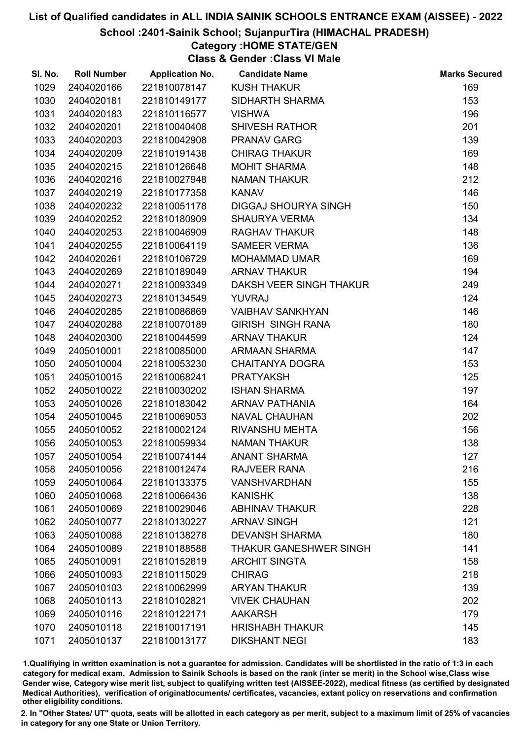### School :2401-Sainik School; SujanpurTira (HIMACHAL PRADESH)

## Category :HOME STATE/GEN

Class & Gender :Class VI Male

| SI. No. | <b>Roll Number</b> | <b>Application No.</b> | <b>Candidate Name</b>       | <b>Marks Secured</b> |
|---------|--------------------|------------------------|-----------------------------|----------------------|
| 1029    | 2404020166         | 221810078147           | <b>KUSH THAKUR</b>          | 169                  |
| 1030    | 2404020181         | 221810149177           | SIDHARTH SHARMA             | 153                  |
| 1031    | 2404020183         | 221810116577           | <b>VISHWA</b>               | 196                  |
| 1032    | 2404020201         | 221810040408           | <b>SHIVESH RATHOR</b>       | 201                  |
| 1033    | 2404020203         | 221810042908           | <b>PRANAV GARG</b>          | 139                  |
| 1034    | 2404020209         | 221810191438           | <b>CHIRAG THAKUR</b>        | 169                  |
| 1035    | 2404020215         | 221810126648           | <b>MOHIT SHARMA</b>         | 148                  |
| 1036    | 2404020216         | 221810027948           | <b>NAMAN THAKUR</b>         | 212                  |
| 1037    | 2404020219         | 221810177358           | <b>KANAV</b>                | 146                  |
| 1038    | 2404020232         | 221810051178           | <b>DIGGAJ SHOURYA SINGH</b> | 150                  |
| 1039    | 2404020252         | 221810180909           | <b>SHAURYA VERMA</b>        | 134                  |
| 1040    | 2404020253         | 221810046909           | <b>RAGHAV THAKUR</b>        | 148                  |
| 1041    | 2404020255         | 221810064119           | <b>SAMEER VERMA</b>         | 136                  |
| 1042    | 2404020261         | 221810106729           | <b>MOHAMMAD UMAR</b>        | 169                  |
| 1043    | 2404020269         | 221810189049           | <b>ARNAV THAKUR</b>         | 194                  |
| 1044    | 2404020271         | 221810093349           | DAKSH VEER SINGH THAKUR     | 249                  |
| 1045    | 2404020273         | 221810134549           | <b>YUVRAJ</b>               | 124                  |
| 1046    | 2404020285         | 221810086869           | <b>VAIBHAV SANKHYAN</b>     | 146                  |
| 1047    | 2404020288         | 221810070189           | <b>GIRISH SINGH RANA</b>    | 180                  |
| 1048    | 2404020300         | 221810044599           | <b>ARNAV THAKUR</b>         | 124                  |
| 1049    | 2405010001         | 221810085000           | ARMAAN SHARMA               | 147                  |
| 1050    | 2405010004         | 221810053230           | <b>CHAITANYA DOGRA</b>      | 153                  |
| 1051    | 2405010015         | 221810068241           | <b>PRATYAKSH</b>            | 125                  |
| 1052    | 2405010022         | 221810030202           | <b>ISHAN SHARMA</b>         | 197                  |
| 1053    | 2405010026         | 221810183042           | <b>ARNAV PATHANIA</b>       | 164                  |
| 1054    | 2405010045         | 221810069053           | <b>NAVAL CHAUHAN</b>        | 202                  |
| 1055    | 2405010052         | 221810002124           | <b>RIVANSHU MEHTA</b>       | 156                  |
| 1056    | 2405010053         | 221810059934           | <b>NAMAN THAKUR</b>         | 138                  |
| 1057    | 2405010054         | 221810074144           | <b>ANANT SHARMA</b>         | 127                  |
| 1058    | 2405010056         | 221810012474           | RAJVEER RANA                | 216                  |
| 1059    | 2405010064         | 221810133375           | <b>VANSHVARDHAN</b>         | 155                  |
| 1060    | 2405010068         | 221810066436           | <b>KANISHK</b>              | 138                  |
| 1061    | 2405010069         | 221810029046           | <b>ABHINAV THAKUR</b>       | 228                  |
| 1062    | 2405010077         | 221810130227           | <b>ARNAV SINGH</b>          | 121                  |
| 1063    | 2405010088         | 221810138278           | <b>DEVANSH SHARMA</b>       | 180                  |
| 1064    | 2405010089         | 221810188588           | THAKUR GANESHWER SINGH      | 141                  |
| 1065    | 2405010091         | 221810152819           | <b>ARCHIT SINGTA</b>        | 158                  |
| 1066    | 2405010093         | 221810115029           | <b>CHIRAG</b>               | 218                  |
| 1067    | 2405010103         | 221810062999           | <b>ARYAN THAKUR</b>         | 139                  |
| 1068    | 2405010113         | 221810102821           | <b>VIVEK CHAUHAN</b>        | 202                  |
| 1069    | 2405010116         | 221810122171           | <b>AAKARSH</b>              | 179                  |
| 1070    | 2405010118         | 221810017191           | <b>HRISHABH THAKUR</b>      | 145                  |
| 1071    | 2405010137         | 221810013177           | <b>DIKSHANT NEGI</b>        | 183                  |

1.Qualifiying in written examination is not a guarantee for admission. Candidates will be shortlisted in the ratio of 1:3 in each category for medical exam. Admission to Sainik Schools is based on the rank (inter se merit) in the School wise,Class wise Gender wise, Category wise merit list, subject to qualifying written test (AISSEE-2022), medical fitness (as certified by designated Medical Authorities), verification of originablocuments/ certificates, vacancies, extant policy on reservations and confirmation other eligibility conditions.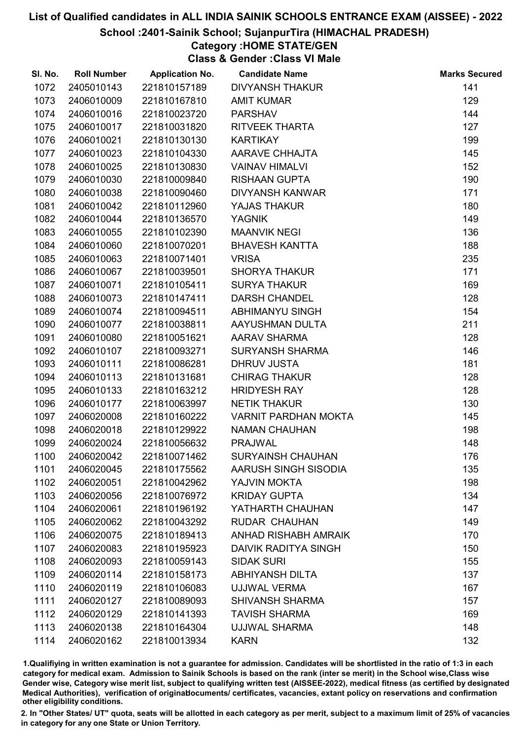### School :2401-Sainik School; SujanpurTira (HIMACHAL PRADESH)

## Category :HOME STATE/GEN

Class & Gender :Class VI Male

| SI. No. | <b>Roll Number</b> | <b>Application No.</b> | <b>Candidate Name</b>       | <b>Marks Secured</b> |
|---------|--------------------|------------------------|-----------------------------|----------------------|
| 1072    | 2405010143         | 221810157189           | <b>DIVYANSH THAKUR</b>      | 141                  |
| 1073    | 2406010009         | 221810167810           | <b>AMIT KUMAR</b>           | 129                  |
| 1074    | 2406010016         | 221810023720           | <b>PARSHAV</b>              | 144                  |
| 1075    | 2406010017         | 221810031820           | RITVEEK THARTA              | 127                  |
| 1076    | 2406010021         | 221810130130           | <b>KARTIKAY</b>             | 199                  |
| 1077    | 2406010023         | 221810104330           | <b>AARAVE CHHAJTA</b>       | 145                  |
| 1078    | 2406010025         | 221810130830           | <b>VAINAV HIMALVI</b>       | 152                  |
| 1079    | 2406010030         | 221810009840           | <b>RISHAAN GUPTA</b>        | 190                  |
| 1080    | 2406010038         | 221810090460           | DIVYANSH KANWAR             | 171                  |
| 1081    | 2406010042         | 221810112960           | YAJAS THAKUR                | 180                  |
| 1082    | 2406010044         | 221810136570           | <b>YAGNIK</b>               | 149                  |
| 1083    | 2406010055         | 221810102390           | <b>MAANVIK NEGI</b>         | 136                  |
| 1084    | 2406010060         | 221810070201           | <b>BHAVESH KANTTA</b>       | 188                  |
| 1085    | 2406010063         | 221810071401           | <b>VRISA</b>                | 235                  |
| 1086    | 2406010067         | 221810039501           | <b>SHORYA THAKUR</b>        | 171                  |
| 1087    | 2406010071         | 221810105411           | <b>SURYA THAKUR</b>         | 169                  |
| 1088    | 2406010073         | 221810147411           | <b>DARSH CHANDEL</b>        | 128                  |
| 1089    | 2406010074         | 221810094511           | ABHIMANYU SINGH             | 154                  |
| 1090    | 2406010077         | 221810038811           | AAYUSHMAN DULTA             | 211                  |
| 1091    | 2406010080         | 221810051621           | AARAV SHARMA                | 128                  |
| 1092    | 2406010107         | 221810093271           | <b>SURYANSH SHARMA</b>      | 146                  |
| 1093    | 2406010111         | 221810086281           | <b>DHRUV JUSTA</b>          | 181                  |
| 1094    | 2406010113         | 221810131681           | <b>CHIRAG THAKUR</b>        | 128                  |
| 1095    | 2406010133         | 221810163212           | <b>HRIDYESH RAY</b>         | 128                  |
| 1096    | 2406010177         | 221810063997           | <b>NETIK THAKUR</b>         | 130                  |
| 1097    | 2406020008         | 221810160222           | <b>VARNIT PARDHAN MOKTA</b> | 145                  |
| 1098    | 2406020018         | 221810129922           | <b>NAMAN CHAUHAN</b>        | 198                  |
| 1099    | 2406020024         | 221810056632           | <b>PRAJWAL</b>              | 148                  |
| 1100    | 2406020042         | 221810071462           | <b>SURYAINSH CHAUHAN</b>    | 176                  |
| 1101    | 2406020045         | 221810175562           | AARUSH SINGH SISODIA        | 135                  |
| 1102    | 2406020051         | 221810042962           | YAJVIN MOKTA                | 198                  |
| 1103    | 2406020056         | 221810076972           | <b>KRIDAY GUPTA</b>         | 134                  |
| 1104    | 2406020061         | 221810196192           | YATHARTH CHAUHAN            | 147                  |
| 1105    | 2406020062         | 221810043292           | <b>RUDAR CHAUHAN</b>        | 149                  |
| 1106    | 2406020075         | 221810189413           | ANHAD RISHABH AMRAIK        | 170                  |
| 1107    | 2406020083         | 221810195923           | <b>DAIVIK RADITYA SINGH</b> | 150                  |
| 1108    | 2406020093         | 221810059143           | <b>SIDAK SURI</b>           | 155                  |
| 1109    | 2406020114         | 221810158173           | <b>ABHIYANSH DILTA</b>      | 137                  |
| 1110    | 2406020119         | 221810106083           | UJJWAL VERMA                | 167                  |
| 1111    | 2406020127         | 221810089093           | <b>SHIVANSH SHARMA</b>      | 157                  |
| 1112    | 2406020129         | 221810141393           | <b>TAVISH SHARMA</b>        | 169                  |
| 1113    | 2406020138         | 221810164304           | <b>UJJWAL SHARMA</b>        | 148                  |
| 1114    | 2406020162         | 221810013934           | <b>KARN</b>                 | 132                  |

1.Qualifiying in written examination is not a guarantee for admission. Candidates will be shortlisted in the ratio of 1:3 in each category for medical exam. Admission to Sainik Schools is based on the rank (inter se merit) in the School wise,Class wise Gender wise, Category wise merit list, subject to qualifying written test (AISSEE-2022), medical fitness (as certified by designated Medical Authorities), verification of originablocuments/ certificates, vacancies, extant policy on reservations and confirmation other eligibility conditions.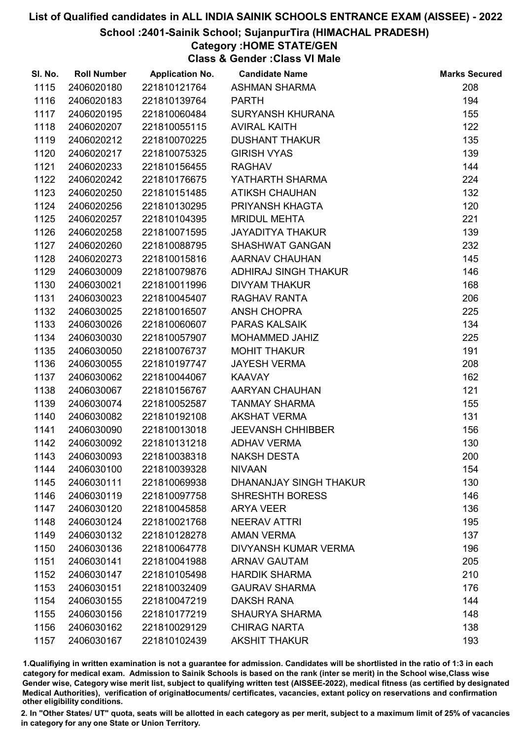### School :2401-Sainik School; SujanpurTira (HIMACHAL PRADESH)

## Category :HOME STATE/GEN

Class & Gender :Class VI Male

| SI. No. | <b>Roll Number</b> | <b>Application No.</b> | <b>Candidate Name</b>       | <b>Marks Secured</b> |
|---------|--------------------|------------------------|-----------------------------|----------------------|
| 1115    | 2406020180         | 221810121764           | <b>ASHMAN SHARMA</b>        | 208                  |
| 1116    | 2406020183         | 221810139764           | <b>PARTH</b>                | 194                  |
| 1117    | 2406020195         | 221810060484           | <b>SURYANSH KHURANA</b>     | 155                  |
| 1118    | 2406020207         | 221810055115           | <b>AVIRAL KAITH</b>         | 122                  |
| 1119    | 2406020212         | 221810070225           | <b>DUSHANT THAKUR</b>       | 135                  |
| 1120    | 2406020217         | 221810075325           | <b>GIRISH VYAS</b>          | 139                  |
| 1121    | 2406020233         | 221810156455           | <b>RAGHAV</b>               | 144                  |
| 1122    | 2406020242         | 221810176675           | YATHARTH SHARMA             | 224                  |
| 1123    | 2406020250         | 221810151485           | <b>ATIKSH CHAUHAN</b>       | 132                  |
| 1124    | 2406020256         | 221810130295           | PRIYANSH KHAGTA             | 120                  |
| 1125    | 2406020257         | 221810104395           | <b>MRIDUL MEHTA</b>         | 221                  |
| 1126    | 2406020258         | 221810071595           | <b>JAYADITYA THAKUR</b>     | 139                  |
| 1127    | 2406020260         | 221810088795           | <b>SHASHWAT GANGAN</b>      | 232                  |
| 1128    | 2406020273         | 221810015816           | AARNAV CHAUHAN              | 145                  |
| 1129    | 2406030009         | 221810079876           | ADHIRAJ SINGH THAKUR        | 146                  |
| 1130    | 2406030021         | 221810011996           | <b>DIVYAM THAKUR</b>        | 168                  |
| 1131    | 2406030023         | 221810045407           | RAGHAV RANTA                | 206                  |
| 1132    | 2406030025         | 221810016507           | ANSH CHOPRA                 | 225                  |
| 1133    | 2406030026         | 221810060607           | <b>PARAS KALSAIK</b>        | 134                  |
| 1134    | 2406030030         | 221810057907           | MOHAMMED JAHIZ              | 225                  |
| 1135    | 2406030050         | 221810076737           | <b>MOHIT THAKUR</b>         | 191                  |
| 1136    | 2406030055         | 221810197747           | <b>JAYESH VERMA</b>         | 208                  |
| 1137    | 2406030062         | 221810044067           | <b>KAAVAY</b>               | 162                  |
| 1138    | 2406030067         | 221810156767           | AARYAN CHAUHAN              | 121                  |
| 1139    | 2406030074         | 221810052587           | <b>TANMAY SHARMA</b>        | 155                  |
| 1140    | 2406030082         | 221810192108           | <b>AKSHAT VERMA</b>         | 131                  |
| 1141    | 2406030090         | 221810013018           | <b>JEEVANSH CHHIBBER</b>    | 156                  |
| 1142    | 2406030092         | 221810131218           | <b>ADHAV VERMA</b>          | 130                  |
| 1143    | 2406030093         | 221810038318           | <b>NAKSH DESTA</b>          | 200                  |
| 1144    | 2406030100         | 221810039328           | <b>NIVAAN</b>               | 154                  |
| 1145    | 2406030111         | 221810069938           | DHANANJAY SINGH THAKUR      | 130                  |
| 1146    | 2406030119         | 221810097758           | <b>SHRESHTH BORESS</b>      | 146                  |
| 1147    | 2406030120         | 221810045858           | <b>ARYA VEER</b>            | 136                  |
| 1148    | 2406030124         | 221810021768           | <b>NEERAV ATTRI</b>         | 195                  |
| 1149    | 2406030132         | 221810128278           | <b>AMAN VERMA</b>           | 137                  |
| 1150    | 2406030136         | 221810064778           | <b>DIVYANSH KUMAR VERMA</b> | 196                  |
| 1151    | 2406030141         | 221810041988           | <b>ARNAV GAUTAM</b>         | 205                  |
| 1152    | 2406030147         | 221810105498           | <b>HARDIK SHARMA</b>        | 210                  |
| 1153    | 2406030151         | 221810032409           | <b>GAURAV SHARMA</b>        | 176                  |
| 1154    | 2406030155         | 221810047219           | <b>DAKSH RANA</b>           | 144                  |
| 1155    | 2406030156         | 221810177219           | <b>SHAURYA SHARMA</b>       | 148                  |
| 1156    | 2406030162         | 221810029129           | <b>CHIRAG NARTA</b>         | 138                  |
| 1157    | 2406030167         | 221810102439           | <b>AKSHIT THAKUR</b>        | 193                  |

1.Qualifiying in written examination is not a guarantee for admission. Candidates will be shortlisted in the ratio of 1:3 in each category for medical exam. Admission to Sainik Schools is based on the rank (inter se merit) in the School wise,Class wise Gender wise, Category wise merit list, subject to qualifying written test (AISSEE-2022), medical fitness (as certified by designated Medical Authorities), verification of originablocuments/ certificates, vacancies, extant policy on reservations and confirmation other eligibility conditions.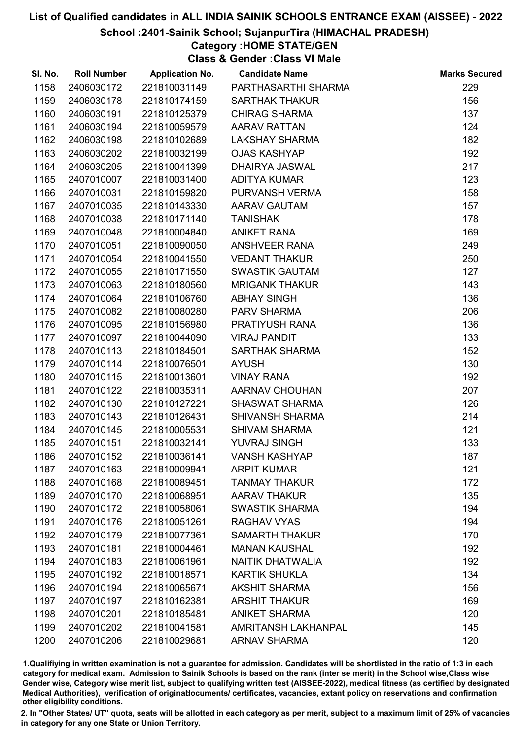### School :2401-Sainik School; SujanpurTira (HIMACHAL PRADESH)

## Category :HOME STATE/GEN

Class & Gender :Class VI Male

| SI. No. | <b>Roll Number</b> | <b>Application No.</b> | <b>Candidate Name</b>      | <b>Marks Secured</b> |
|---------|--------------------|------------------------|----------------------------|----------------------|
| 1158    | 2406030172         | 221810031149           | PARTHASARTHI SHARMA        | 229                  |
| 1159    | 2406030178         | 221810174159           | <b>SARTHAK THAKUR</b>      | 156                  |
| 1160    | 2406030191         | 221810125379           | <b>CHIRAG SHARMA</b>       | 137                  |
| 1161    | 2406030194         | 221810059579           | <b>AARAV RATTAN</b>        | 124                  |
| 1162    | 2406030198         | 221810102689           | <b>LAKSHAY SHARMA</b>      | 182                  |
| 1163    | 2406030202         | 221810032199           | <b>OJAS KASHYAP</b>        | 192                  |
| 1164    | 2406030205         | 221810041399           | DHAIRYA JASWAL             | 217                  |
| 1165    | 2407010007         | 221810031400           | <b>ADITYA KUMAR</b>        | 123                  |
| 1166    | 2407010031         | 221810159820           | PURVANSH VERMA             | 158                  |
| 1167    | 2407010035         | 221810143330           | AARAV GAUTAM               | 157                  |
| 1168    | 2407010038         | 221810171140           | <b>TANISHAK</b>            | 178                  |
| 1169    | 2407010048         | 221810004840           | <b>ANIKET RANA</b>         | 169                  |
| 1170    | 2407010051         | 221810090050           | <b>ANSHVEER RANA</b>       | 249                  |
| 1171    | 2407010054         | 221810041550           | <b>VEDANT THAKUR</b>       | 250                  |
| 1172    | 2407010055         | 221810171550           | <b>SWASTIK GAUTAM</b>      | 127                  |
| 1173    | 2407010063         | 221810180560           | <b>MRIGANK THAKUR</b>      | 143                  |
| 1174    | 2407010064         | 221810106760           | <b>ABHAY SINGH</b>         | 136                  |
| 1175    | 2407010082         | 221810080280           | PARV SHARMA                | 206                  |
| 1176    | 2407010095         | 221810156980           | PRATIYUSH RANA             | 136                  |
| 1177    | 2407010097         | 221810044090           | <b>VIRAJ PANDIT</b>        | 133                  |
| 1178    | 2407010113         | 221810184501           | <b>SARTHAK SHARMA</b>      | 152                  |
| 1179    | 2407010114         | 221810076501           | <b>AYUSH</b>               | 130                  |
| 1180    | 2407010115         | 221810013601           | <b>VINAY RANA</b>          | 192                  |
| 1181    | 2407010122         | 221810035311           | AARNAV CHOUHAN             | 207                  |
| 1182    | 2407010130         | 221810127221           | <b>SHASWAT SHARMA</b>      | 126                  |
| 1183    | 2407010143         | 221810126431           | <b>SHIVANSH SHARMA</b>     | 214                  |
| 1184    | 2407010145         | 221810005531           | <b>SHIVAM SHARMA</b>       | 121                  |
| 1185    | 2407010151         | 221810032141           | <b>YUVRAJ SINGH</b>        | 133                  |
| 1186    | 2407010152         | 221810036141           | <b>VANSH KASHYAP</b>       | 187                  |
| 1187    | 2407010163         | 221810009941           | <b>ARPIT KUMAR</b>         | 121                  |
| 1188    | 2407010168         | 221810089451           | <b>TANMAY THAKUR</b>       | 172                  |
| 1189    | 2407010170         | 221810068951           | <b>AARAV THAKUR</b>        | 135                  |
| 1190    | 2407010172         | 221810058061           | <b>SWASTIK SHARMA</b>      | 194                  |
| 1191    | 2407010176         | 221810051261           | <b>RAGHAV VYAS</b>         | 194                  |
| 1192    | 2407010179         | 221810077361           | <b>SAMARTH THAKUR</b>      | 170                  |
| 1193    | 2407010181         | 221810004461           | <b>MANAN KAUSHAL</b>       | 192                  |
| 1194    | 2407010183         | 221810061961           | <b>NAITIK DHATWALIA</b>    | 192                  |
| 1195    | 2407010192         | 221810018571           | <b>KARTIK SHUKLA</b>       | 134                  |
| 1196    | 2407010194         | 221810065671           | <b>AKSHIT SHARMA</b>       | 156                  |
| 1197    | 2407010197         | 221810162381           | <b>ARSHIT THAKUR</b>       | 169                  |
| 1198    | 2407010201         | 221810185481           | <b>ANIKET SHARMA</b>       | 120                  |
| 1199    | 2407010202         | 221810041581           | <b>AMRITANSH LAKHANPAL</b> | 145                  |
| 1200    | 2407010206         | 221810029681           | <b>ARNAV SHARMA</b>        | 120                  |

1.Qualifiying in written examination is not a guarantee for admission. Candidates will be shortlisted in the ratio of 1:3 in each category for medical exam. Admission to Sainik Schools is based on the rank (inter se merit) in the School wise,Class wise Gender wise, Category wise merit list, subject to qualifying written test (AISSEE-2022), medical fitness (as certified by designated Medical Authorities), verification of originablocuments/ certificates, vacancies, extant policy on reservations and confirmation other eligibility conditions.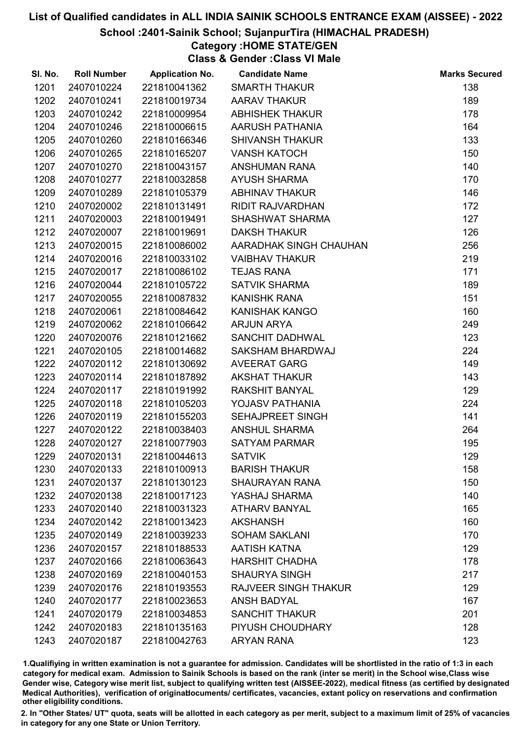### School :2401-Sainik School; SujanpurTira (HIMACHAL PRADESH)

# Category :HOME STATE/GEN

Class & Gender :Class VI Male

| SI. No. | <b>Roll Number</b> | <b>Application No.</b> | <b>Candidate Name</b>       | <b>Marks Secured</b> |
|---------|--------------------|------------------------|-----------------------------|----------------------|
| 1201    | 2407010224         | 221810041362           | <b>SMARTH THAKUR</b>        | 138                  |
| 1202    | 2407010241         | 221810019734           | <b>AARAV THAKUR</b>         | 189                  |
| 1203    | 2407010242         | 221810009954           | <b>ABHISHEK THAKUR</b>      | 178                  |
| 1204    | 2407010246         | 221810006615           | AARUSH PATHANIA             | 164                  |
| 1205    | 2407010260         | 221810166346           | <b>SHIVANSH THAKUR</b>      | 133                  |
| 1206    | 2407010265         | 221810165207           | <b>VANSH KATOCH</b>         | 150                  |
| 1207    | 2407010270         | 221810043157           | <b>ANSHUMAN RANA</b>        | 140                  |
| 1208    | 2407010277         | 221810032858           | <b>AYUSH SHARMA</b>         | 170                  |
| 1209    | 2407010289         | 221810105379           | <b>ABHINAV THAKUR</b>       | 146                  |
| 1210    | 2407020002         | 221810131491           | RIDIT RAJVARDHAN            | 172                  |
| 1211    | 2407020003         | 221810019491           | <b>SHASHWAT SHARMA</b>      | 127                  |
| 1212    | 2407020007         | 221810019691           | <b>DAKSH THAKUR</b>         | 126                  |
| 1213    | 2407020015         | 221810086002           | AARADHAK SINGH CHAUHAN      | 256                  |
| 1214    | 2407020016         | 221810033102           | <b>VAIBHAV THAKUR</b>       | 219                  |
| 1215    | 2407020017         | 221810086102           | <b>TEJAS RANA</b>           | 171                  |
| 1216    | 2407020044         | 221810105722           | <b>SATVIK SHARMA</b>        | 189                  |
| 1217    | 2407020055         | 221810087832           | <b>KANISHK RANA</b>         | 151                  |
| 1218    | 2407020061         | 221810084642           | KANISHAK KANGO              | 160                  |
| 1219    | 2407020062         | 221810106642           | <b>ARJUN ARYA</b>           | 249                  |
| 1220    | 2407020076         | 221810121662           | SANCHIT DADHWAL             | 123                  |
| 1221    | 2407020105         | 221810014682           | SAKSHAM BHARDWAJ            | 224                  |
| 1222    | 2407020112         | 221810130692           | <b>AVEERAT GARG</b>         | 149                  |
| 1223    | 2407020114         | 221810187892           | <b>AKSHAT THAKUR</b>        | 143                  |
| 1224    | 2407020117         | 221810191992           | <b>RAKSHIT BANYAL</b>       | 129                  |
| 1225    | 2407020118         | 221810105203           | YOJASV PATHANIA             | 224                  |
| 1226    | 2407020119         | 221810155203           | <b>SEHAJPREET SINGH</b>     | 141                  |
| 1227    | 2407020122         | 221810038403           | <b>ANSHUL SHARMA</b>        | 264                  |
| 1228    | 2407020127         | 221810077903           | <b>SATYAM PARMAR</b>        | 195                  |
| 1229    | 2407020131         | 221810044613           | <b>SATVIK</b>               | 129                  |
| 1230    | 2407020133         | 221810100913           | <b>BARISH THAKUR</b>        | 158                  |
| 1231    | 2407020137         | 221810130123           | <b>SHAURAYAN RANA</b>       | 150                  |
| 1232    | 2407020138         | 221810017123           | YASHAJ SHARMA               | 140                  |
| 1233    | 2407020140         | 221810031323           | <b>ATHARV BANYAL</b>        | 165                  |
| 1234    | 2407020142         | 221810013423           | <b>AKSHANSH</b>             | 160                  |
| 1235    | 2407020149         | 221810039233           | <b>SOHAM SAKLANI</b>        | 170                  |
| 1236    | 2407020157         | 221810188533           | <b>AATISH KATNA</b>         | 129                  |
| 1237    | 2407020166         | 221810063643           | <b>HARSHIT CHADHA</b>       | 178                  |
| 1238    | 2407020169         | 221810040153           | <b>SHAURYA SINGH</b>        | 217                  |
| 1239    | 2407020176         | 221810193553           | <b>RAJVEER SINGH THAKUR</b> | 129                  |
| 1240    | 2407020177         | 221810023653           | <b>ANSH BADYAL</b>          | 167                  |
| 1241    | 2407020179         | 221810034853           | <b>SANCHIT THAKUR</b>       | 201                  |
| 1242    | 2407020183         | 221810135163           | PIYUSH CHOUDHARY            | 128                  |
| 1243    | 2407020187         | 221810042763           | <b>ARYAN RANA</b>           | 123                  |

1.Qualifiying in written examination is not a guarantee for admission. Candidates will be shortlisted in the ratio of 1:3 in each category for medical exam. Admission to Sainik Schools is based on the rank (inter se merit) in the School wise,Class wise Gender wise, Category wise merit list, subject to qualifying written test (AISSEE-2022), medical fitness (as certified by designated Medical Authorities), verification of originablocuments/ certificates, vacancies, extant policy on reservations and confirmation other eligibility conditions.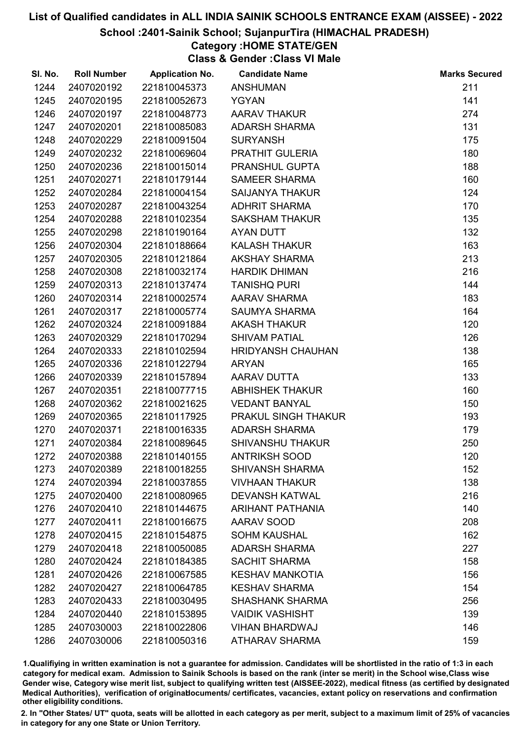#### School :2401-Sainik School; SujanpurTira (HIMACHAL PRADESH)

## Category :HOME STATE/GEN

Class & Gender :Class VI Male

| SI. No. | <b>Roll Number</b> | <b>Application No.</b> | <b>Candidate Name</b>    | <b>Marks Secured</b> |
|---------|--------------------|------------------------|--------------------------|----------------------|
| 1244    | 2407020192         | 221810045373           | <b>ANSHUMAN</b>          | 211                  |
| 1245    | 2407020195         | 221810052673           | <b>YGYAN</b>             | 141                  |
| 1246    | 2407020197         | 221810048773           | <b>AARAV THAKUR</b>      | 274                  |
| 1247    | 2407020201         | 221810085083           | <b>ADARSH SHARMA</b>     | 131                  |
| 1248    | 2407020229         | 221810091504           | <b>SURYANSH</b>          | 175                  |
| 1249    | 2407020232         | 221810069604           | PRATHIT GULERIA          | 180                  |
| 1250    | 2407020236         | 221810015014           | <b>PRANSHUL GUPTA</b>    | 188                  |
| 1251    | 2407020271         | 221810179144           | <b>SAMEER SHARMA</b>     | 160                  |
| 1252    | 2407020284         | 221810004154           | <b>SAIJANYA THAKUR</b>   | 124                  |
| 1253    | 2407020287         | 221810043254           | <b>ADHRIT SHARMA</b>     | 170                  |
| 1254    | 2407020288         | 221810102354           | <b>SAKSHAM THAKUR</b>    | 135                  |
| 1255    | 2407020298         | 221810190164           | <b>AYAN DUTT</b>         | 132                  |
| 1256    | 2407020304         | 221810188664           | <b>KALASH THAKUR</b>     | 163                  |
| 1257    | 2407020305         | 221810121864           | <b>AKSHAY SHARMA</b>     | 213                  |
| 1258    | 2407020308         | 221810032174           | <b>HARDIK DHIMAN</b>     | 216                  |
| 1259    | 2407020313         | 221810137474           | <b>TANISHQ PURI</b>      | 144                  |
| 1260    | 2407020314         | 221810002574           | AARAV SHARMA             | 183                  |
| 1261    | 2407020317         | 221810005774           | <b>SAUMYA SHARMA</b>     | 164                  |
| 1262    | 2407020324         | 221810091884           | <b>AKASH THAKUR</b>      | 120                  |
| 1263    | 2407020329         | 221810170294           | <b>SHIVAM PATIAL</b>     | 126                  |
| 1264    | 2407020333         | 221810102594           | <b>HRIDYANSH CHAUHAN</b> | 138                  |
| 1265    | 2407020336         | 221810122794           | <b>ARYAN</b>             | 165                  |
| 1266    | 2407020339         | 221810157894           | AARAV DUTTA              | 133                  |
| 1267    | 2407020351         | 221810077715           | <b>ABHISHEK THAKUR</b>   | 160                  |
| 1268    | 2407020362         | 221810021625           | <b>VEDANT BANYAL</b>     | 150                  |
| 1269    | 2407020365         | 221810117925           | PRAKUL SINGH THAKUR      | 193                  |
| 1270    | 2407020371         | 221810016335           | <b>ADARSH SHARMA</b>     | 179                  |
| 1271    | 2407020384         | 221810089645           | <b>SHIVANSHU THAKUR</b>  | 250                  |
| 1272    | 2407020388         | 221810140155           | <b>ANTRIKSH SOOD</b>     | 120                  |
| 1273    | 2407020389         | 221810018255           | <b>SHIVANSH SHARMA</b>   | 152                  |
| 1274    | 2407020394         | 221810037855           | <b>VIVHAAN THAKUR</b>    | 138                  |
| 1275    | 2407020400         | 221810080965           | <b>DEVANSH KATWAL</b>    | 216                  |
| 1276    | 2407020410         | 221810144675           | <b>ARIHANT PATHANIA</b>  | 140                  |
| 1277    | 2407020411         | 221810016675           | AARAV SOOD               | 208                  |
| 1278    | 2407020415         | 221810154875           | <b>SOHM KAUSHAL</b>      | 162                  |
| 1279    | 2407020418         | 221810050085           | <b>ADARSH SHARMA</b>     | 227                  |
| 1280    | 2407020424         | 221810184385           | <b>SACHIT SHARMA</b>     | 158                  |
| 1281    | 2407020426         | 221810067585           | <b>KESHAV MANKOTIA</b>   | 156                  |
| 1282    | 2407020427         | 221810064785           | <b>KESHAV SHARMA</b>     | 154                  |
| 1283    | 2407020433         | 221810030495           | <b>SHASHANK SHARMA</b>   | 256                  |
| 1284    | 2407020440         | 221810153895           | <b>VAIDIK VASHISHT</b>   | 139                  |
| 1285    | 2407030003         | 221810022806           | <b>VIHAN BHARDWAJ</b>    | 146                  |
| 1286    | 2407030006         | 221810050316           | <b>ATHARAV SHARMA</b>    | 159                  |

1.Qualifiying in written examination is not a guarantee for admission. Candidates will be shortlisted in the ratio of 1:3 in each category for medical exam. Admission to Sainik Schools is based on the rank (inter se merit) in the School wise,Class wise Gender wise, Category wise merit list, subject to qualifying written test (AISSEE-2022), medical fitness (as certified by designated Medical Authorities), verification of originablocuments/ certificates, vacancies, extant policy on reservations and confirmation other eligibility conditions.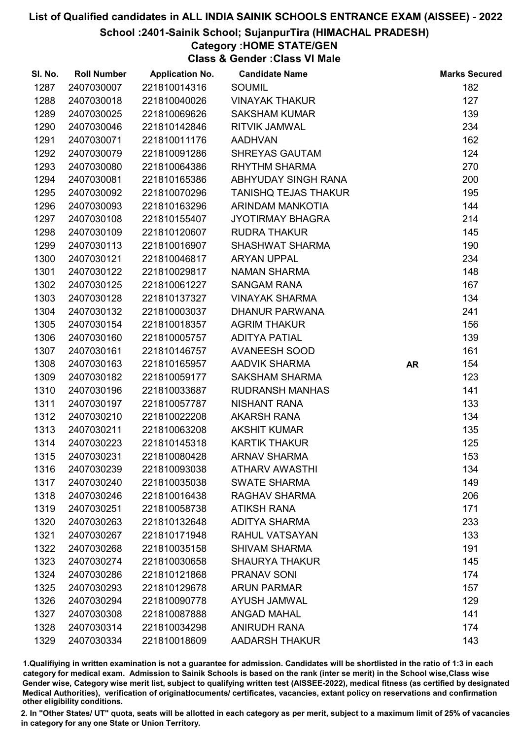#### School :2401-Sainik School; SujanpurTira (HIMACHAL PRADESH)

# Category :HOME STATE/GEN

Class & Gender :Class VI Male

| SI. No. | <b>Roll Number</b> | <b>Application No.</b> | <b>Candidate Name</b>       |           | <b>Marks Secured</b> |
|---------|--------------------|------------------------|-----------------------------|-----------|----------------------|
| 1287    | 2407030007         | 221810014316           | <b>SOUMIL</b>               |           | 182                  |
| 1288    | 2407030018         | 221810040026           | <b>VINAYAK THAKUR</b>       |           | 127                  |
| 1289    | 2407030025         | 221810069626           | <b>SAKSHAM KUMAR</b>        |           | 139                  |
| 1290    | 2407030046         | 221810142846           | <b>RITVIK JAMWAL</b>        |           | 234                  |
| 1291    | 2407030071         | 221810011176           | <b>AADHVAN</b>              |           | 162                  |
| 1292    | 2407030079         | 221810091286           | <b>SHREYAS GAUTAM</b>       |           | 124                  |
| 1293    | 2407030080         | 221810064386           | <b>RHYTHM SHARMA</b>        |           | 270                  |
| 1294    | 2407030081         | 221810165386           | ABHYUDAY SINGH RANA         |           | 200                  |
| 1295    | 2407030092         | 221810070296           | <b>TANISHQ TEJAS THAKUR</b> |           | 195                  |
| 1296    | 2407030093         | 221810163296           | ARINDAM MANKOTIA            |           | 144                  |
| 1297    | 2407030108         | 221810155407           | <b>JYOTIRMAY BHAGRA</b>     |           | 214                  |
| 1298    | 2407030109         | 221810120607           | <b>RUDRA THAKUR</b>         |           | 145                  |
| 1299    | 2407030113         | 221810016907           | <b>SHASHWAT SHARMA</b>      |           | 190                  |
| 1300    | 2407030121         | 221810046817           | <b>ARYAN UPPAL</b>          |           | 234                  |
| 1301    | 2407030122         | 221810029817           | <b>NAMAN SHARMA</b>         |           | 148                  |
| 1302    | 2407030125         | 221810061227           | <b>SANGAM RANA</b>          |           | 167                  |
| 1303    | 2407030128         | 221810137327           | <b>VINAYAK SHARMA</b>       |           | 134                  |
| 1304    | 2407030132         | 221810003037           | <b>DHANUR PARWANA</b>       |           | 241                  |
| 1305    | 2407030154         | 221810018357           | <b>AGRIM THAKUR</b>         |           | 156                  |
| 1306    | 2407030160         | 221810005757           | <b>ADITYA PATIAL</b>        |           | 139                  |
| 1307    | 2407030161         | 221810146757           | AVANEESH SOOD               |           | 161                  |
| 1308    | 2407030163         | 221810165957           | <b>AADVIK SHARMA</b>        | <b>AR</b> | 154                  |
| 1309    | 2407030182         | 221810059177           | <b>SAKSHAM SHARMA</b>       |           | 123                  |
| 1310    | 2407030196         | 221810033687           | <b>RUDRANSH MANHAS</b>      |           | 141                  |
| 1311    | 2407030197         | 221810057787           | <b>NISHANT RANA</b>         |           | 133                  |
| 1312    | 2407030210         | 221810022208           | <b>AKARSH RANA</b>          |           | 134                  |
| 1313    | 2407030211         | 221810063208           | <b>AKSHIT KUMAR</b>         |           | 135                  |
| 1314    | 2407030223         | 221810145318           | <b>KARTIK THAKUR</b>        |           | 125                  |
| 1315    | 2407030231         | 221810080428           | <b>ARNAV SHARMA</b>         |           | 153                  |
| 1316    | 2407030239         | 221810093038           | <b>ATHARV AWASTHI</b>       |           | 134                  |
| 1317    | 2407030240         | 221810035038           | <b>SWATE SHARMA</b>         |           | 149                  |
| 1318    | 2407030246         | 221810016438           | <b>RAGHAV SHARMA</b>        |           | 206                  |
| 1319    | 2407030251         | 221810058738           | <b>ATIKSH RANA</b>          |           | 171                  |
| 1320    | 2407030263         | 221810132648           | <b>ADITYA SHARMA</b>        |           | 233                  |
| 1321    | 2407030267         | 221810171948           | <b>RAHUL VATSAYAN</b>       |           | 133                  |
| 1322    | 2407030268         | 221810035158           | <b>SHIVAM SHARMA</b>        |           | 191                  |
| 1323    | 2407030274         | 221810030658           | <b>SHAURYA THAKUR</b>       |           | 145                  |
| 1324    | 2407030286         | 221810121868           | <b>PRANAV SONI</b>          |           | 174                  |
| 1325    | 2407030293         | 221810129678           | <b>ARUN PARMAR</b>          |           | 157                  |
| 1326    | 2407030294         | 221810090778           | <b>AYUSH JAMWAL</b>         |           | 129                  |
| 1327    | 2407030308         | 221810087888           | <b>ANGAD MAHAL</b>          |           | 141                  |
| 1328    | 2407030314         | 221810034298           | <b>ANIRUDH RANA</b>         |           | 174                  |
| 1329    | 2407030334         | 221810018609           | <b>AADARSH THAKUR</b>       |           | 143                  |

1.Qualifiying in written examination is not a guarantee for admission. Candidates will be shortlisted in the ratio of 1:3 in each category for medical exam. Admission to Sainik Schools is based on the rank (inter se merit) in the School wise,Class wise Gender wise, Category wise merit list, subject to qualifying written test (AISSEE-2022), medical fitness (as certified by designated Medical Authorities), verification of originablocuments/ certificates, vacancies, extant policy on reservations and confirmation other eligibility conditions.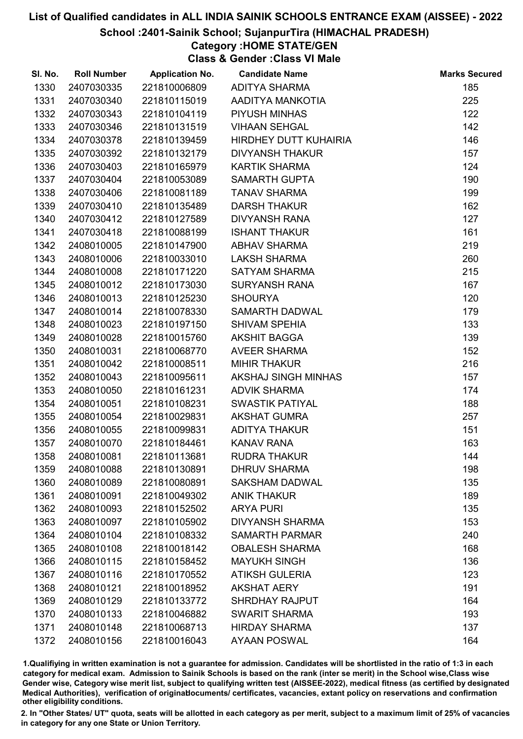### School :2401-Sainik School; SujanpurTira (HIMACHAL PRADESH)

# Category :HOME STATE/GEN

Class & Gender :Class VI Male

| SI. No. | <b>Roll Number</b> | <b>Application No.</b> | <b>Candidate Name</b>  | <b>Marks Secured</b> |
|---------|--------------------|------------------------|------------------------|----------------------|
| 1330    | 2407030335         | 221810006809           | <b>ADITYA SHARMA</b>   | 185                  |
| 1331    | 2407030340         | 221810115019           | AADITYA MANKOTIA       | 225                  |
| 1332    | 2407030343         | 221810104119           | PIYUSH MINHAS          | 122                  |
| 1333    | 2407030346         | 221810131519           | <b>VIHAAN SEHGAL</b>   | 142                  |
| 1334    | 2407030378         | 221810139459           | HIRDHEY DUTT KUHAIRIA  | 146                  |
| 1335    | 2407030392         | 221810132179           | <b>DIVYANSH THAKUR</b> | 157                  |
| 1336    | 2407030403         | 221810165979           | <b>KARTIK SHARMA</b>   | 124                  |
| 1337    | 2407030404         | 221810053089           | <b>SAMARTH GUPTA</b>   | 190                  |
| 1338    | 2407030406         | 221810081189           | <b>TANAV SHARMA</b>    | 199                  |
| 1339    | 2407030410         | 221810135489           | <b>DARSH THAKUR</b>    | 162                  |
| 1340    | 2407030412         | 221810127589           | <b>DIVYANSH RANA</b>   | 127                  |
| 1341    | 2407030418         | 221810088199           | <b>ISHANT THAKUR</b>   | 161                  |
| 1342    | 2408010005         | 221810147900           | <b>ABHAV SHARMA</b>    | 219                  |
| 1343    | 2408010006         | 221810033010           | <b>LAKSH SHARMA</b>    | 260                  |
| 1344    | 2408010008         | 221810171220           | <b>SATYAM SHARMA</b>   | 215                  |
| 1345    | 2408010012         | 221810173030           | <b>SURYANSH RANA</b>   | 167                  |
| 1346    | 2408010013         | 221810125230           | <b>SHOURYA</b>         | 120                  |
| 1347    | 2408010014         | 221810078330           | <b>SAMARTH DADWAL</b>  | 179                  |
| 1348    | 2408010023         | 221810197150           | <b>SHIVAM SPEHIA</b>   | 133                  |
| 1349    | 2408010028         | 221810015760           | <b>AKSHIT BAGGA</b>    | 139                  |
| 1350    | 2408010031         | 221810068770           | <b>AVEER SHARMA</b>    | 152                  |
| 1351    | 2408010042         | 221810008511           | <b>MIHIR THAKUR</b>    | 216                  |
| 1352    | 2408010043         | 221810095611           | AKSHAJ SINGH MINHAS    | 157                  |
| 1353    | 2408010050         | 221810161231           | <b>ADVIK SHARMA</b>    | 174                  |
| 1354    | 2408010051         | 221810108231           | <b>SWASTIK PATIYAL</b> | 188                  |
| 1355    | 2408010054         | 221810029831           | <b>AKSHAT GUMRA</b>    | 257                  |
| 1356    | 2408010055         | 221810099831           | <b>ADITYA THAKUR</b>   | 151                  |
| 1357    | 2408010070         | 221810184461           | <b>KANAV RANA</b>      | 163                  |
| 1358    | 2408010081         | 221810113681           | <b>RUDRA THAKUR</b>    | 144                  |
| 1359    | 2408010088         | 221810130891           | <b>DHRUV SHARMA</b>    | 198                  |
| 1360    | 2408010089         | 221810080891           | <b>SAKSHAM DADWAL</b>  | 135                  |
| 1361    | 2408010091         | 221810049302           | <b>ANIK THAKUR</b>     | 189                  |
| 1362    | 2408010093         | 221810152502           | <b>ARYA PURI</b>       | 135                  |
| 1363    | 2408010097         | 221810105902           | <b>DIVYANSH SHARMA</b> | 153                  |
| 1364    | 2408010104         | 221810108332           | <b>SAMARTH PARMAR</b>  | 240                  |
| 1365    | 2408010108         | 221810018142           | <b>OBALESH SHARMA</b>  | 168                  |
| 1366    | 2408010115         | 221810158452           | <b>MAYUKH SINGH</b>    | 136                  |
| 1367    | 2408010116         | 221810170552           | <b>ATIKSH GULERIA</b>  | 123                  |
| 1368    | 2408010121         | 221810018952           | <b>AKSHAT AERY</b>     | 191                  |
| 1369    | 2408010129         | 221810133772           | <b>SHRDHAY RAJPUT</b>  | 164                  |
| 1370    | 2408010133         | 221810046882           | <b>SWARIT SHARMA</b>   | 193                  |
| 1371    | 2408010148         | 221810068713           | <b>HIRDAY SHARMA</b>   | 137                  |
| 1372    | 2408010156         | 221810016043           | <b>AYAAN POSWAL</b>    | 164                  |

1.Qualifiying in written examination is not a guarantee for admission. Candidates will be shortlisted in the ratio of 1:3 in each category for medical exam. Admission to Sainik Schools is based on the rank (inter se merit) in the School wise,Class wise Gender wise, Category wise merit list, subject to qualifying written test (AISSEE-2022), medical fitness (as certified by designated Medical Authorities), verification of originablocuments/ certificates, vacancies, extant policy on reservations and confirmation other eligibility conditions.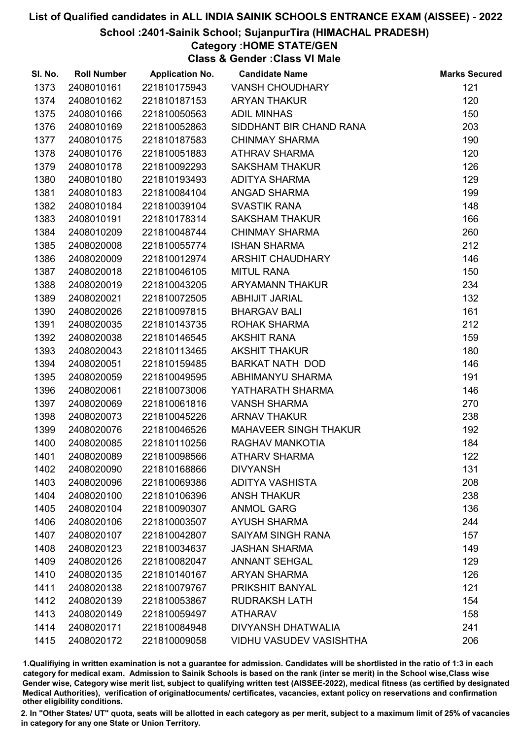### School :2401-Sainik School; SujanpurTira (HIMACHAL PRADESH)

# Category :HOME STATE/GEN

Class & Gender :Class VI Male

| SI. No. | <b>Roll Number</b> | <b>Application No.</b> | <b>Candidate Name</b>          | <b>Marks Secured</b> |
|---------|--------------------|------------------------|--------------------------------|----------------------|
| 1373    | 2408010161         | 221810175943           | <b>VANSH CHOUDHARY</b>         | 121                  |
| 1374    | 2408010162         | 221810187153           | <b>ARYAN THAKUR</b>            | 120                  |
| 1375    | 2408010166         | 221810050563           | <b>ADIL MINHAS</b>             | 150                  |
| 1376    | 2408010169         | 221810052863           | SIDDHANT BIR CHAND RANA        | 203                  |
| 1377    | 2408010175         | 221810187583           | <b>CHINMAY SHARMA</b>          | 190                  |
| 1378    | 2408010176         | 221810051883           | <b>ATHRAV SHARMA</b>           | 120                  |
| 1379    | 2408010178         | 221810092293           | <b>SAKSHAM THAKUR</b>          | 126                  |
| 1380    | 2408010180         | 221810193493           | <b>ADITYA SHARMA</b>           | 129                  |
| 1381    | 2408010183         | 221810084104           | ANGAD SHARMA                   | 199                  |
| 1382    | 2408010184         | 221810039104           | <b>SVASTIK RANA</b>            | 148                  |
| 1383    | 2408010191         | 221810178314           | <b>SAKSHAM THAKUR</b>          | 166                  |
| 1384    | 2408010209         | 221810048744           | <b>CHINMAY SHARMA</b>          | 260                  |
| 1385    | 2408020008         | 221810055774           | <b>ISHAN SHARMA</b>            | 212                  |
| 1386    | 2408020009         | 221810012974           | ARSHIT CHAUDHARY               | 146                  |
| 1387    | 2408020018         | 221810046105           | <b>MITUL RANA</b>              | 150                  |
| 1388    | 2408020019         | 221810043205           | ARYAMANN THAKUR                | 234                  |
| 1389    | 2408020021         | 221810072505           | <b>ABHIJIT JARIAL</b>          | 132                  |
| 1390    | 2408020026         | 221810097815           | <b>BHARGAV BALI</b>            | 161                  |
| 1391    | 2408020035         | 221810143735           | ROHAK SHARMA                   | 212                  |
| 1392    | 2408020038         | 221810146545           | <b>AKSHIT RANA</b>             | 159                  |
| 1393    | 2408020043         | 221810113465           | <b>AKSHIT THAKUR</b>           | 180                  |
| 1394    | 2408020051         | 221810159485           | <b>BARKAT NATH DOD</b>         | 146                  |
| 1395    | 2408020059         | 221810049595           | ABHIMANYU SHARMA               | 191                  |
| 1396    | 2408020061         | 221810073006           | YATHARATH SHARMA               | 146                  |
| 1397    | 2408020069         | 221810061816           | <b>VANSH SHARMA</b>            | 270                  |
| 1398    | 2408020073         | 221810045226           | <b>ARNAV THAKUR</b>            | 238                  |
| 1399    | 2408020076         | 221810046526           | MAHAVEER SINGH THAKUR          | 192                  |
| 1400    | 2408020085         | 221810110256           | RAGHAV MANKOTIA                | 184                  |
| 1401    | 2408020089         | 221810098566           | <b>ATHARV SHARMA</b>           | 122                  |
| 1402    | 2408020090         | 221810168866           | <b>DIVYANSH</b>                | 131                  |
| 1403    | 2408020096         | 221810069386           | <b>ADITYA VASHISTA</b>         | 208                  |
| 1404    | 2408020100         | 221810106396           | <b>ANSH THAKUR</b>             | 238                  |
| 1405    | 2408020104         | 221810090307           | <b>ANMOL GARG</b>              | 136                  |
| 1406    | 2408020106         | 221810003507           | <b>AYUSH SHARMA</b>            | 244                  |
| 1407    | 2408020107         | 221810042807           | <b>SAIYAM SINGH RANA</b>       | 157                  |
| 1408    | 2408020123         | 221810034637           | <b>JASHAN SHARMA</b>           | 149                  |
| 1409    | 2408020126         | 221810082047           | <b>ANNANT SEHGAL</b>           | 129                  |
| 1410    | 2408020135         | 221810140167           | <b>ARYAN SHARMA</b>            | 126                  |
| 1411    | 2408020138         | 221810079767           | PRIKSHIT BANYAL                | 121                  |
| 1412    | 2408020139         | 221810053867           | <b>RUDRAKSH LATH</b>           | 154                  |
| 1413    | 2408020149         | 221810059497           | <b>ATHARAV</b>                 | 158                  |
| 1414    | 2408020171         | 221810084948           | DIVYANSH DHATWALIA             | 241                  |
| 1415    | 2408020172         | 221810009058           | <b>VIDHU VASUDEV VASISHTHA</b> | 206                  |

1.Qualifiying in written examination is not a guarantee for admission. Candidates will be shortlisted in the ratio of 1:3 in each category for medical exam. Admission to Sainik Schools is based on the rank (inter se merit) in the School wise,Class wise Gender wise, Category wise merit list, subject to qualifying written test (AISSEE-2022), medical fitness (as certified by designated Medical Authorities), verification of originablocuments/ certificates, vacancies, extant policy on reservations and confirmation other eligibility conditions.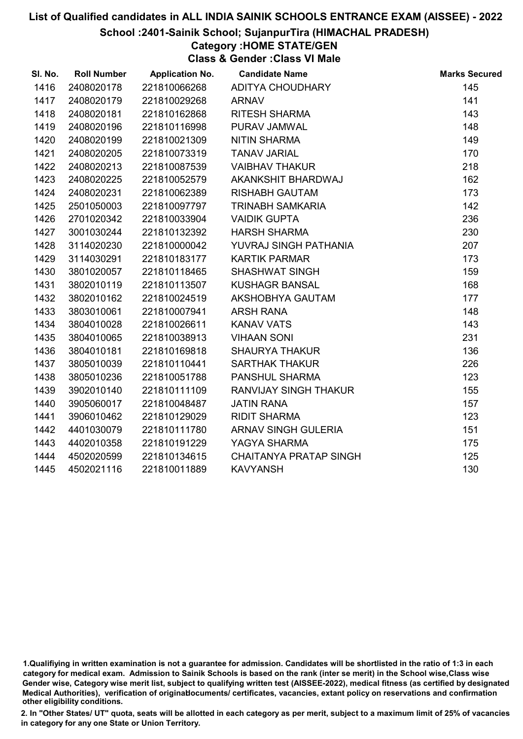#### School :2401-Sainik School; SujanpurTira (HIMACHAL PRADESH)

# Category :HOME STATE/GEN

Class & Gender :Class VI Male

| SI. No. | <b>Roll Number</b> | <b>Application No.</b> | <b>Candidate Name</b>         | <b>Marks Secured</b> |
|---------|--------------------|------------------------|-------------------------------|----------------------|
| 1416    | 2408020178         | 221810066268           | ADITYA CHOUDHARY              | 145                  |
| 1417    | 2408020179         | 221810029268           | <b>ARNAV</b>                  | 141                  |
| 1418    | 2408020181         | 221810162868           | RITESH SHARMA                 | 143                  |
| 1419    | 2408020196         | 221810116998           | PURAV JAMWAL                  | 148                  |
| 1420    | 2408020199         | 221810021309           | <b>NITIN SHARMA</b>           | 149                  |
| 1421    | 2408020205         | 221810073319           | <b>TANAV JARIAL</b>           | 170                  |
| 1422    | 2408020213         | 221810087539           | <b>VAIBHAV THAKUR</b>         | 218                  |
| 1423    | 2408020225         | 221810052579           | AKANKSHIT BHARDWAJ            | 162                  |
| 1424    | 2408020231         | 221810062389           | <b>RISHABH GAUTAM</b>         | 173                  |
| 1425    | 2501050003         | 221810097797           | <b>TRINABH SAMKARIA</b>       | 142                  |
| 1426    | 2701020342         | 221810033904           | <b>VAIDIK GUPTA</b>           | 236                  |
| 1427    | 3001030244         | 221810132392           | <b>HARSH SHARMA</b>           | 230                  |
| 1428    | 3114020230         | 221810000042           | YUVRAJ SINGH PATHANIA         | 207                  |
| 1429    | 3114030291         | 221810183177           | <b>KARTIK PARMAR</b>          | 173                  |
| 1430    | 3801020057         | 221810118465           | <b>SHASHWAT SINGH</b>         | 159                  |
| 1431    | 3802010119         | 221810113507           | <b>KUSHAGR BANSAL</b>         | 168                  |
| 1432    | 3802010162         | 221810024519           | AKSHOBHYA GAUTAM              | 177                  |
| 1433    | 3803010061         | 221810007941           | <b>ARSH RANA</b>              | 148                  |
| 1434    | 3804010028         | 221810026611           | <b>KANAV VATS</b>             | 143                  |
| 1435    | 3804010065         | 221810038913           | <b>VIHAAN SONI</b>            | 231                  |
| 1436    | 3804010181         | 221810169818           | <b>SHAURYA THAKUR</b>         | 136                  |
| 1437    | 3805010039         | 221810110441           | <b>SARTHAK THAKUR</b>         | 226                  |
| 1438    | 3805010236         | 221810051788           | PANSHUL SHARMA                | 123                  |
| 1439    | 3902010140         | 221810111109           | RANVIJAY SINGH THAKUR         | 155                  |
| 1440    | 3905060017         | 221810048487           | <b>JATIN RANA</b>             | 157                  |
| 1441    | 3906010462         | 221810129029           | <b>RIDIT SHARMA</b>           | 123                  |
| 1442    | 4401030079         | 221810111780           | ARNAV SINGH GULERIA           | 151                  |
| 1443    | 4402010358         | 221810191229           | YAGYA SHARMA                  | 175                  |
| 1444    | 4502020599         | 221810134615           | <b>CHAITANYA PRATAP SINGH</b> | 125                  |
| 1445    | 4502021116         | 221810011889           | <b>KAVYANSH</b>               | 130                  |

<sup>1.</sup>Qualifiying in written examination is not a guarantee for admission. Candidates will be shortlisted in the ratio of 1:3 in each category for medical exam. Admission to Sainik Schools is based on the rank (inter se merit) in the School wise,Class wise Gender wise, Category wise merit list, subject to qualifying written test (AISSEE-2022), medical fitness (as certified by designated Medical Authorities), verification of originablocuments/ certificates, vacancies, extant policy on reservations and confirmation other eligibility conditions.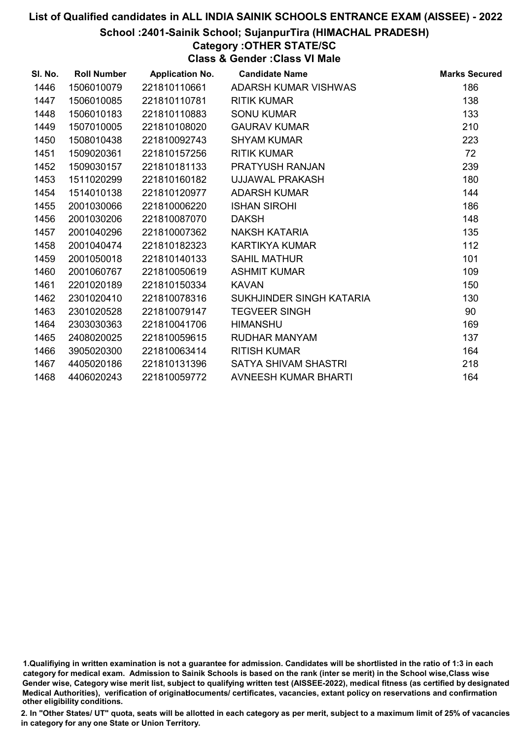### School :2401-Sainik School; SujanpurTira (HIMACHAL PRADESH)

# Category :OTHER STATE/SC

Class & Gender :Class VI Male

| SI. No. | <b>Roll Number</b> | <b>Application No.</b> | <b>Candidate Name</b>       | <b>Marks Secured</b> |
|---------|--------------------|------------------------|-----------------------------|----------------------|
| 1446    | 1506010079         | 221810110661           | ADARSH KUMAR VISHWAS        | 186                  |
| 1447    | 1506010085         | 221810110781           | <b>RITIK KUMAR</b>          | 138                  |
| 1448    | 1506010183         | 221810110883           | <b>SONU KUMAR</b>           | 133                  |
| 1449    | 1507010005         | 221810108020           | <b>GAURAV KUMAR</b>         | 210                  |
| 1450    | 1508010438         | 221810092743           | <b>SHYAM KUMAR</b>          | 223                  |
| 1451    | 1509020361         | 221810157256           | <b>RITIK KUMAR</b>          | 72                   |
| 1452    | 1509030157         | 221810181133           | <b>PRATYUSH RANJAN</b>      | 239                  |
| 1453    | 1511020299         | 221810160182           | UJJAWAL PRAKASH             | 180                  |
| 1454    | 1514010138         | 221810120977           | <b>ADARSH KUMAR</b>         | 144                  |
| 1455    | 2001030066         | 221810006220           | <b>ISHAN SIROHI</b>         | 186                  |
| 1456    | 2001030206         | 221810087070           | <b>DAKSH</b>                | 148                  |
| 1457    | 2001040296         | 221810007362           | NAKSH KATARIA               | 135                  |
| 1458    | 2001040474         | 221810182323           | <b>KARTIKYA KUMAR</b>       | 112                  |
| 1459    | 2001050018         | 221810140133           | <b>SAHIL MATHUR</b>         | 101                  |
| 1460    | 2001060767         | 221810050619           | <b>ASHMIT KUMAR</b>         | 109                  |
| 1461    | 2201020189         | 221810150334           | <b>KAVAN</b>                | 150                  |
| 1462    | 2301020410         | 221810078316           | SUKHJINDER SINGH KATARIA    | 130                  |
| 1463    | 2301020528         | 221810079147           | <b>TEGVEER SINGH</b>        | 90                   |
| 1464    | 2303030363         | 221810041706           | <b>HIMANSHU</b>             | 169                  |
| 1465    | 2408020025         | 221810059615           | RUDHAR MANYAM               | 137                  |
| 1466    | 3905020300         | 221810063414           | <b>RITISH KUMAR</b>         | 164                  |
| 1467    | 4405020186         | 221810131396           | SATYA SHIVAM SHASTRI        | 218                  |
| 1468    | 4406020243         | 221810059772           | <b>AVNEESH KUMAR BHARTI</b> | 164                  |

<sup>1.</sup>Qualifiying in written examination is not a guarantee for admission. Candidates will be shortlisted in the ratio of 1:3 in each category for medical exam. Admission to Sainik Schools is based on the rank (inter se merit) in the School wise,Class wise Gender wise, Category wise merit list, subject to qualifying written test (AISSEE-2022), medical fitness (as certified by designated Medical Authorities), verification of originablocuments/ certificates, vacancies, extant policy on reservations and confirmation other eligibility conditions.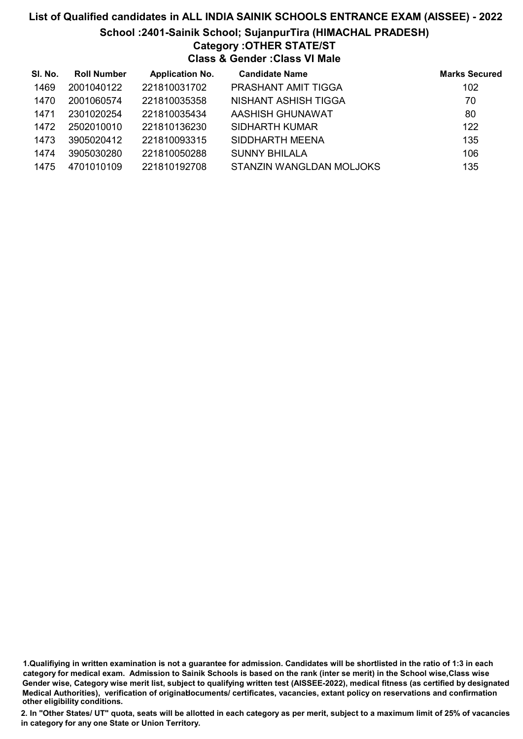### List of Qualified candidates in ALL INDIA SAINIK SCHOOLS ENTRANCE EXAM (AISSEE) - 2022 School :2401-Sainik School; SujanpurTira (HIMACHAL PRADESH) Category :OTHER STATE/ST Class & Gender :Class VI Male

| SI. No. | <b>Roll Number</b> | <b>Application No.</b> | <b>Candidate Name</b>      | <b>Marks Secured</b> |
|---------|--------------------|------------------------|----------------------------|----------------------|
| 1469    | 2001040122         | 221810031702           | <b>PRASHANT AMIT TIGGA</b> | 102                  |
| 1470    | 2001060574         | 221810035358           | NISHANT ASHISH TIGGA       | 70                   |
| 1471    | 2301020254         | 221810035434           | AASHISH GHUNAWAT           | 80                   |
| 1472    | 2502010010         | 221810136230           | SIDHARTH KUMAR             | 122                  |
| 1473    | 3905020412         | 221810093315           | SIDDHARTH MEENA            | 135                  |
| 1474    | 3905030280         | 221810050288           | <b>SUNNY BHILALA</b>       | 106                  |
| 1475    | 4701010109         | 221810192708           | STANZIN WANGLDAN MOLJOKS   | 135                  |

<sup>1.</sup>Qualifiying in written examination is not a guarantee for admission. Candidates will be shortlisted in the ratio of 1:3 in each category for medical exam. Admission to Sainik Schools is based on the rank (inter se merit) in the School wise,Class wise Gender wise, Category wise merit list, subject to qualifying written test (AISSEE-2022), medical fitness (as certified by designated Medical Authorities), verification of originablocuments/ certificates, vacancies, extant policy on reservations and confirmation other eligibility conditions.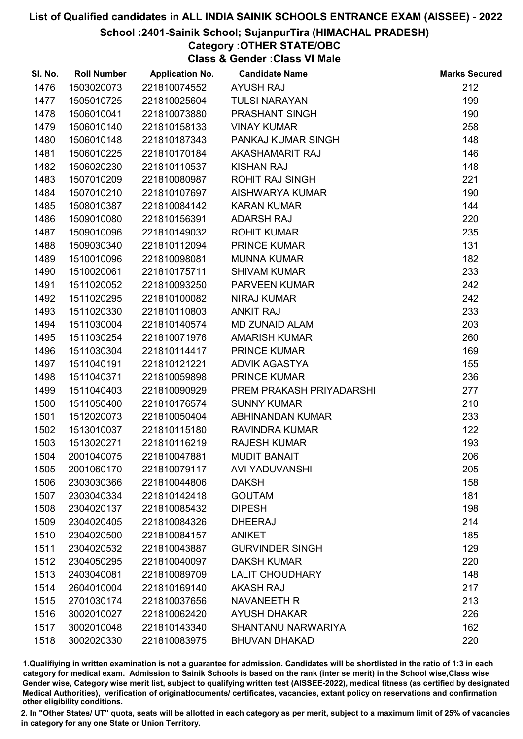#### School :2401-Sainik School; SujanpurTira (HIMACHAL PRADESH)

# Category :OTHER STATE/OBC

Class & Gender :Class VI Male

| SI. No. | <b>Roll Number</b> | <b>Application No.</b> | <b>Candidate Name</b>     | <b>Marks Secured</b> |
|---------|--------------------|------------------------|---------------------------|----------------------|
| 1476    | 1503020073         | 221810074552           | <b>AYUSH RAJ</b>          | 212                  |
| 1477    | 1505010725         | 221810025604           | <b>TULSI NARAYAN</b>      | 199                  |
| 1478    | 1506010041         | 221810073880           | PRASHANT SINGH            | 190                  |
| 1479    | 1506010140         | 221810158133           | <b>VINAY KUMAR</b>        | 258                  |
| 1480    | 1506010148         | 221810187343           | PANKAJ KUMAR SINGH        | 148                  |
| 1481    | 1506010225         | 221810170184           | AKASHAMARIT RAJ           | 146                  |
| 1482    | 1506020230         | 221810110537           | <b>KISHAN RAJ</b>         | 148                  |
| 1483    | 1507010209         | 221810080987           | <b>ROHIT RAJ SINGH</b>    | 221                  |
| 1484    | 1507010210         | 221810107697           | AISHWARYA KUMAR           | 190                  |
| 1485    | 1508010387         | 221810084142           | <b>KARAN KUMAR</b>        | 144                  |
| 1486    | 1509010080         | 221810156391           | <b>ADARSH RAJ</b>         | 220                  |
| 1487    | 1509010096         | 221810149032           | <b>ROHIT KUMAR</b>        | 235                  |
| 1488    | 1509030340         | 221810112094           | <b>PRINCE KUMAR</b>       | 131                  |
| 1489    | 1510010096         | 221810098081           | <b>MUNNA KUMAR</b>        | 182                  |
| 1490    | 1510020061         | 221810175711           | <b>SHIVAM KUMAR</b>       | 233                  |
| 1491    | 1511020052         | 221810093250           | <b>PARVEEN KUMAR</b>      | 242                  |
| 1492    | 1511020295         | 221810100082           | <b>NIRAJ KUMAR</b>        | 242                  |
| 1493    | 1511020330         | 221810110803           | <b>ANKIT RAJ</b>          | 233                  |
| 1494    | 1511030004         | 221810140574           | <b>MD ZUNAID ALAM</b>     | 203                  |
| 1495    | 1511030254         | 221810071976           | <b>AMARISH KUMAR</b>      | 260                  |
| 1496    | 1511030304         | 221810114417           | <b>PRINCE KUMAR</b>       | 169                  |
| 1497    | 1511040191         | 221810121221           | <b>ADVIK AGASTYA</b>      | 155                  |
| 1498    | 1511040371         | 221810059898           | <b>PRINCE KUMAR</b>       | 236                  |
| 1499    | 1511040403         | 221810090929           | PREM PRAKASH PRIYADARSHI  | 277                  |
| 1500    | 1511050400         | 221810176574           | <b>SUNNY KUMAR</b>        | 210                  |
| 1501    | 1512020073         | 221810050404           | ABHINANDAN KUMAR          | 233                  |
| 1502    | 1513010037         | 221810115180           | <b>RAVINDRA KUMAR</b>     | 122                  |
| 1503    | 1513020271         | 221810116219           | <b>RAJESH KUMAR</b>       | 193                  |
| 1504    | 2001040075         | 221810047881           | <b>MUDIT BANAIT</b>       | 206                  |
| 1505    | 2001060170         | 221810079117           | <b>AVI YADUVANSHI</b>     | 205                  |
| 1506    | 2303030366         | 221810044806           | <b>DAKSH</b>              | 158                  |
| 1507    | 2303040334         | 221810142418           | <b>GOUTAM</b>             | 181                  |
| 1508    | 2304020137         | 221810085432           | <b>DIPESH</b>             | 198                  |
| 1509    | 2304020405         | 221810084326           | <b>DHEERAJ</b>            | 214                  |
| 1510    | 2304020500         | 221810084157           | <b>ANIKET</b>             | 185                  |
| 1511    | 2304020532         | 221810043887           | <b>GURVINDER SINGH</b>    | 129                  |
| 1512    | 2304050295         | 221810040097           | <b>DAKSH KUMAR</b>        | 220                  |
| 1513    | 2403040081         | 221810089709           | <b>LALIT CHOUDHARY</b>    | 148                  |
| 1514    | 2604010004         | 221810169140           | <b>AKASH RAJ</b>          | 217                  |
| 1515    | 2701030174         | 221810037656           | <b>NAVANEETH R</b>        | 213                  |
| 1516    | 3002010027         | 221810062420           | <b>AYUSH DHAKAR</b>       | 226                  |
| 1517    | 3002010048         | 221810143340           | <b>SHANTANU NARWARIYA</b> | 162                  |
| 1518    | 3002020330         | 221810083975           | <b>BHUVAN DHAKAD</b>      | 220                  |

1.Qualifiying in written examination is not a guarantee for admission. Candidates will be shortlisted in the ratio of 1:3 in each category for medical exam. Admission to Sainik Schools is based on the rank (inter se merit) in the School wise,Class wise Gender wise, Category wise merit list, subject to qualifying written test (AISSEE-2022), medical fitness (as certified by designated Medical Authorities), verification of originablocuments/ certificates, vacancies, extant policy on reservations and confirmation other eligibility conditions.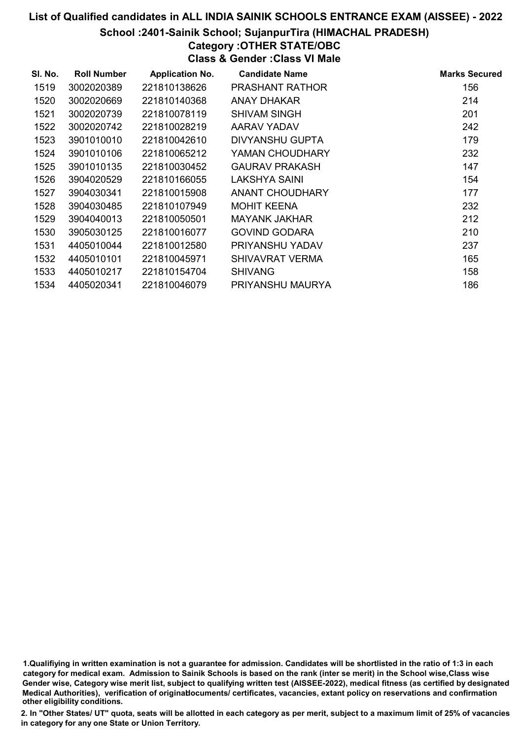### School :2401-Sainik School; SujanpurTira (HIMACHAL PRADESH)

# Category :OTHER STATE/OBC

Class & Gender :Class VI Male

| SI. No. | <b>Roll Number</b> | <b>Application No.</b> | <b>Candidate Name</b>  | <b>Marks Secured</b> |
|---------|--------------------|------------------------|------------------------|----------------------|
| 1519    | 3002020389         | 221810138626           | <b>PRASHANT RATHOR</b> | 156                  |
| 1520    | 3002020669         | 221810140368           | ANAY DHAKAR            | 214                  |
| 1521    | 3002020739         | 221810078119           | SHIVAM SINGH           | 201                  |
| 1522    | 3002020742         | 221810028219           | AARAV YADAV            | 242                  |
| 1523    | 3901010010         | 221810042610           | DIVYANSHU GUPTA        | 179                  |
| 1524    | 3901010106         | 221810065212           | YAMAN CHOUDHARY        | 232                  |
| 1525    | 3901010135         | 221810030452           | <b>GAURAV PRAKASH</b>  | 147                  |
| 1526    | 3904020529         | 221810166055           | LAKSHYA SAINI          | 154                  |
| 1527    | 3904030341         | 221810015908           | ANANT CHOUDHARY        | 177                  |
| 1528    | 3904030485         | 221810107949           | <b>MOHIT KEENA</b>     | 232                  |
| 1529    | 3904040013         | 221810050501           | <b>MAYANK JAKHAR</b>   | 212                  |
| 1530    | 3905030125         | 221810016077           | <b>GOVIND GODARA</b>   | 210                  |
| 1531    | 4405010044         | 221810012580           | PRIYANSHU YADAV        | 237                  |
| 1532    | 4405010101         | 221810045971           | SHIVAVRAT VERMA        | 165                  |
| 1533    | 4405010217         | 221810154704           | <b>SHIVANG</b>         | 158                  |
| 1534    | 4405020341         | 221810046079           | PRIYANSHU MAURYA       | 186                  |

1.Qualifiying in written examination is not a guarantee for admission. Candidates will be shortlisted in the ratio of 1:3 in each category for medical exam. Admission to Sainik Schools is based on the rank (inter se merit) in the School wise,Class wise Gender wise, Category wise merit list, subject to qualifying written test (AISSEE-2022), medical fitness (as certified by designated Medical Authorities), verification of originablocuments/ certificates, vacancies, extant policy on reservations and confirmation other eligibility conditions.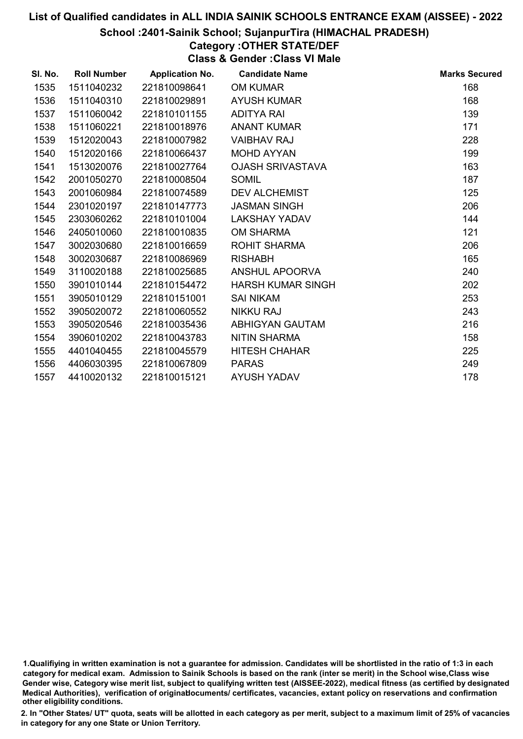#### School :2401-Sainik School; SujanpurTira (HIMACHAL PRADESH)

# Category :OTHER STATE/DEF

Class & Gender :Class VI Male

| SI. No. | <b>Roll Number</b> | <b>Application No.</b> | <b>Candidate Name</b>    | <b>Marks Secured</b> |
|---------|--------------------|------------------------|--------------------------|----------------------|
| 1535    | 1511040232         | 221810098641           | <b>OM KUMAR</b>          | 168                  |
| 1536    | 1511040310         | 221810029891           | <b>AYUSH KUMAR</b>       | 168                  |
| 1537    | 1511060042         | 221810101155           | <b>ADITYA RAI</b>        | 139                  |
| 1538    | 1511060221         | 221810018976           | <b>ANANT KUMAR</b>       | 171                  |
| 1539    | 1512020043         | 221810007982           | <b>VAIBHAV RAJ</b>       | 228                  |
| 1540    | 1512020166         | 221810066437           | <b>MOHD AYYAN</b>        | 199                  |
| 1541    | 1513020076         | 221810027764           | <b>OJASH SRIVASTAVA</b>  | 163                  |
| 1542    | 2001050270         | 221810008504           | <b>SOMIL</b>             | 187                  |
| 1543    | 2001060984         | 221810074589           | <b>DEV ALCHEMIST</b>     | 125                  |
| 1544    | 2301020197         | 221810147773           | <b>JASMAN SINGH</b>      | 206                  |
| 1545    | 2303060262         | 221810101004           | <b>LAKSHAY YADAV</b>     | 144                  |
| 1546    | 2405010060         | 221810010835           | <b>OM SHARMA</b>         | 121                  |
| 1547    | 3002030680         | 221810016659           | <b>ROHIT SHARMA</b>      | 206                  |
| 1548    | 3002030687         | 221810086969           | <b>RISHABH</b>           | 165                  |
| 1549    | 3110020188         | 221810025685           | ANSHUL APOORVA           | 240                  |
| 1550    | 3901010144         | 221810154472           | <b>HARSH KUMAR SINGH</b> | 202                  |
| 1551    | 3905010129         | 221810151001           | <b>SAI NIKAM</b>         | 253                  |
| 1552    | 3905020072         | 221810060552           | <b>NIKKU RAJ</b>         | 243                  |
| 1553    | 3905020546         | 221810035436           | ABHIGYAN GAUTAM          | 216                  |
| 1554    | 3906010202         | 221810043783           | <b>NITIN SHARMA</b>      | 158                  |
| 1555    | 4401040455         | 221810045579           | <b>HITESH CHAHAR</b>     | 225                  |
| 1556    | 4406030395         | 221810067809           | <b>PARAS</b>             | 249                  |
| 1557    | 4410020132         | 221810015121           | <b>AYUSH YADAV</b>       | 178                  |

<sup>1.</sup>Qualifiying in written examination is not a guarantee for admission. Candidates will be shortlisted in the ratio of 1:3 in each category for medical exam. Admission to Sainik Schools is based on the rank (inter se merit) in the School wise,Class wise Gender wise, Category wise merit list, subject to qualifying written test (AISSEE-2022), medical fitness (as certified by designated Medical Authorities), verification of originablocuments/ certificates, vacancies, extant policy on reservations and confirmation other eligibility conditions.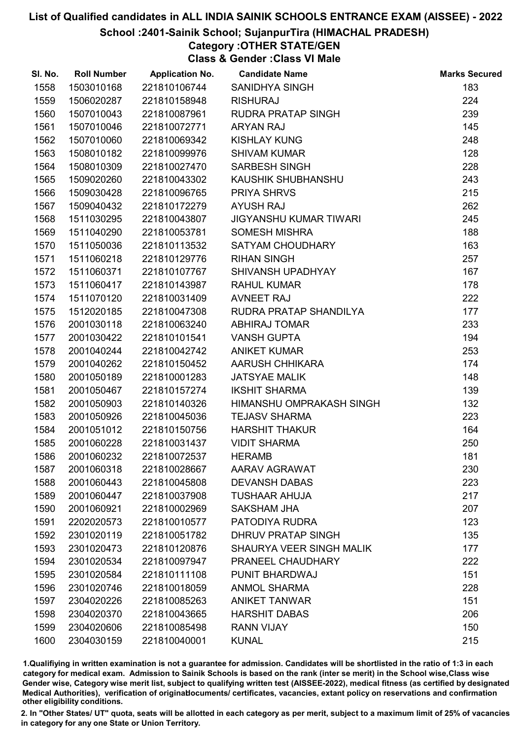### School :2401-Sainik School; SujanpurTira (HIMACHAL PRADESH)

# Category :OTHER STATE/GEN

Class & Gender :Class VI Male

| SI. No. | <b>Roll Number</b> | <b>Application No.</b> | <b>Candidate Name</b>         | <b>Marks Secured</b> |
|---------|--------------------|------------------------|-------------------------------|----------------------|
| 1558    | 1503010168         | 221810106744           | <b>SANIDHYA SINGH</b>         | 183                  |
| 1559    | 1506020287         | 221810158948           | <b>RISHURAJ</b>               | 224                  |
| 1560    | 1507010043         | 221810087961           | <b>RUDRA PRATAP SINGH</b>     | 239                  |
| 1561    | 1507010046         | 221810072771           | <b>ARYAN RAJ</b>              | 145                  |
| 1562    | 1507010060         | 221810069342           | <b>KISHLAY KUNG</b>           | 248                  |
| 1563    | 1508010182         | 221810099976           | <b>SHIVAM KUMAR</b>           | 128                  |
| 1564    | 1508010309         | 221810027470           | <b>SARBESH SINGH</b>          | 228                  |
| 1565    | 1509020260         | 221810043302           | KAUSHIK SHUBHANSHU            | 243                  |
| 1566    | 1509030428         | 221810096765           | <b>PRIYA SHRVS</b>            | 215                  |
| 1567    | 1509040432         | 221810172279           | <b>AYUSH RAJ</b>              | 262                  |
| 1568    | 1511030295         | 221810043807           | <b>JIGYANSHU KUMAR TIWARI</b> | 245                  |
| 1569    | 1511040290         | 221810053781           | <b>SOMESH MISHRA</b>          | 188                  |
| 1570    | 1511050036         | 221810113532           | SATYAM CHOUDHARY              | 163                  |
| 1571    | 1511060218         | 221810129776           | <b>RIHAN SINGH</b>            | 257                  |
| 1572    | 1511060371         | 221810107767           | SHIVANSH UPADHYAY             | 167                  |
| 1573    | 1511060417         | 221810143987           | <b>RAHUL KUMAR</b>            | 178                  |
| 1574    | 1511070120         | 221810031409           | <b>AVNEET RAJ</b>             | 222                  |
| 1575    | 1512020185         | 221810047308           | RUDRA PRATAP SHANDILYA        | 177                  |
| 1576    | 2001030118         | 221810063240           | <b>ABHIRAJ TOMAR</b>          | 233                  |
| 1577    | 2001030422         | 221810101541           | <b>VANSH GUPTA</b>            | 194                  |
| 1578    | 2001040244         | 221810042742           | <b>ANIKET KUMAR</b>           | 253                  |
| 1579    | 2001040262         | 221810150452           | AARUSH CHHIKARA               | 174                  |
| 1580    | 2001050189         | 221810001283           | <b>JATSYAE MALIK</b>          | 148                  |
| 1581    | 2001050467         | 221810157274           | <b>IKSHIT SHARMA</b>          | 139                  |
| 1582    | 2001050903         | 221810140326           | HIMANSHU OMPRAKASH SINGH      | 132                  |
| 1583    | 2001050926         | 221810045036           | <b>TEJASV SHARMA</b>          | 223                  |
| 1584    | 2001051012         | 221810150756           | <b>HARSHIT THAKUR</b>         | 164                  |
| 1585    | 2001060228         | 221810031437           | <b>VIDIT SHARMA</b>           | 250                  |
| 1586    | 2001060232         | 221810072537           | <b>HERAMB</b>                 | 181                  |
| 1587    | 2001060318         | 221810028667           | AARAV AGRAWAT                 | 230                  |
| 1588    | 2001060443         | 221810045808           | <b>DEVANSH DABAS</b>          | 223                  |
| 1589    | 2001060447         | 221810037908           | <b>TUSHAAR AHUJA</b>          | 217                  |
| 1590    | 2001060921         | 221810002969           | <b>SAKSHAM JHA</b>            | 207                  |
| 1591    | 2202020573         | 221810010577           | PATODIYA RUDRA                | 123                  |
| 1592    | 2301020119         | 221810051782           | <b>DHRUV PRATAP SINGH</b>     | 135                  |
| 1593    | 2301020473         | 221810120876           | SHAURYA VEER SINGH MALIK      | 177                  |
| 1594    | 2301020534         | 221810097947           | PRANEEL CHAUDHARY             | 222                  |
| 1595    | 2301020584         | 221810111108           | <b>PUNIT BHARDWAJ</b>         | 151                  |
| 1596    | 2301020746         | 221810018059           | <b>ANMOL SHARMA</b>           | 228                  |
| 1597    | 2304020226         | 221810085263           | <b>ANIKET TANWAR</b>          | 151                  |
| 1598    | 2304020370         | 221810043665           | <b>HARSHIT DABAS</b>          | 206                  |
| 1599    | 2304020606         | 221810085498           | <b>RANN VIJAY</b>             | 150                  |
| 1600    | 2304030159         | 221810040001           | <b>KUNAL</b>                  | 215                  |

1.Qualifiying in written examination is not a guarantee for admission. Candidates will be shortlisted in the ratio of 1:3 in each category for medical exam. Admission to Sainik Schools is based on the rank (inter se merit) in the School wise,Class wise Gender wise, Category wise merit list, subject to qualifying written test (AISSEE-2022), medical fitness (as certified by designated Medical Authorities), verification of originablocuments/ certificates, vacancies, extant policy on reservations and confirmation other eligibility conditions.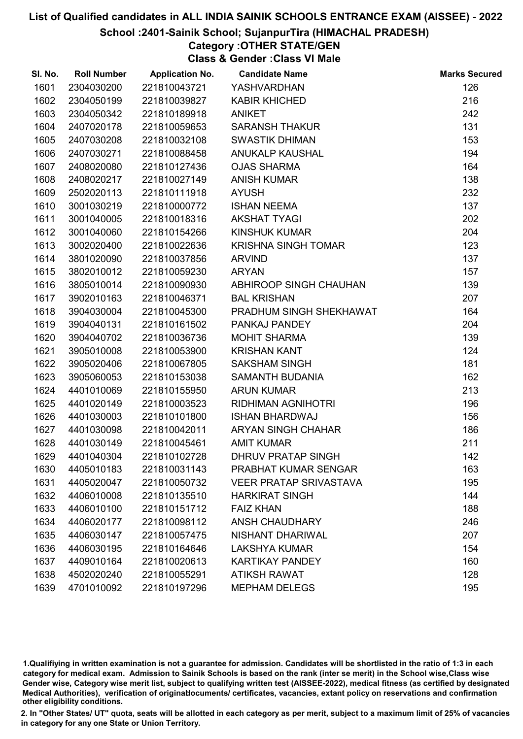### School :2401-Sainik School; SujanpurTira (HIMACHAL PRADESH)

# Category :OTHER STATE/GEN

Class & Gender :Class VI Male

| SI. No. | <b>Roll Number</b> | <b>Application No.</b> | <b>Candidate Name</b>         | <b>Marks Secured</b> |
|---------|--------------------|------------------------|-------------------------------|----------------------|
| 1601    | 2304030200         | 221810043721           | YASHVARDHAN                   | 126                  |
| 1602    | 2304050199         | 221810039827           | <b>KABIR KHICHED</b>          | 216                  |
| 1603    | 2304050342         | 221810189918           | <b>ANIKET</b>                 | 242                  |
| 1604    | 2407020178         | 221810059653           | <b>SARANSH THAKUR</b>         | 131                  |
| 1605    | 2407030208         | 221810032108           | <b>SWASTIK DHIMAN</b>         | 153                  |
| 1606    | 2407030271         | 221810088458           | ANUKALP KAUSHAL               | 194                  |
| 1607    | 2408020080         | 221810127436           | <b>OJAS SHARMA</b>            | 164                  |
| 1608    | 2408020217         | 221810027149           | <b>ANISH KUMAR</b>            | 138                  |
| 1609    | 2502020113         | 221810111918           | <b>AYUSH</b>                  | 232                  |
| 1610    | 3001030219         | 221810000772           | <b>ISHAN NEEMA</b>            | 137                  |
| 1611    | 3001040005         | 221810018316           | <b>AKSHAT TYAGI</b>           | 202                  |
| 1612    | 3001040060         | 221810154266           | <b>KINSHUK KUMAR</b>          | 204                  |
| 1613    | 3002020400         | 221810022636           | <b>KRISHNA SINGH TOMAR</b>    | 123                  |
| 1614    | 3801020090         | 221810037856           | <b>ARVIND</b>                 | 137                  |
| 1615    | 3802010012         | 221810059230           | <b>ARYAN</b>                  | 157                  |
| 1616    | 3805010014         | 221810090930           | ABHIROOP SINGH CHAUHAN        | 139                  |
| 1617    | 3902010163         | 221810046371           | <b>BAL KRISHAN</b>            | 207                  |
| 1618    | 3904030004         | 221810045300           | PRADHUM SINGH SHEKHAWAT       | 164                  |
| 1619    | 3904040131         | 221810161502           | PANKAJ PANDEY                 | 204                  |
| 1620    | 3904040702         | 221810036736           | <b>MOHIT SHARMA</b>           | 139                  |
| 1621    | 3905010008         | 221810053900           | <b>KRISHAN KANT</b>           | 124                  |
| 1622    | 3905020406         | 221810067805           | <b>SAKSHAM SINGH</b>          | 181                  |
| 1623    | 3905060053         | 221810153038           | SAMANTH BUDANIA               | 162                  |
| 1624    | 4401010069         | 221810155950           | <b>ARUN KUMAR</b>             | 213                  |
| 1625    | 4401020149         | 221810003523           | RIDHIMAN AGNIHOTRI            | 196                  |
| 1626    | 4401030003         | 221810101800           | <b>ISHAN BHARDWAJ</b>         | 156                  |
| 1627    | 4401030098         | 221810042011           | ARYAN SINGH CHAHAR            | 186                  |
| 1628    | 4401030149         | 221810045461           | <b>AMIT KUMAR</b>             | 211                  |
| 1629    | 4401040304         | 221810102728           | DHRUV PRATAP SINGH            | 142                  |
| 1630    | 4405010183         | 221810031143           | PRABHAT KUMAR SENGAR          | 163                  |
| 1631    | 4405020047         | 221810050732           | <b>VEER PRATAP SRIVASTAVA</b> | 195                  |
| 1632    | 4406010008         | 221810135510           | <b>HARKIRAT SINGH</b>         | 144                  |
| 1633    | 4406010100         | 221810151712           | <b>FAIZ KHAN</b>              | 188                  |
| 1634    | 4406020177         | 221810098112           | <b>ANSH CHAUDHARY</b>         | 246                  |
| 1635    | 4406030147         | 221810057475           | NISHANT DHARIWAL              | 207                  |
| 1636    | 4406030195         | 221810164646           | <b>LAKSHYA KUMAR</b>          | 154                  |
| 1637    | 4409010164         | 221810020613           | <b>KARTIKAY PANDEY</b>        | 160                  |
| 1638    | 4502020240         | 221810055291           | <b>ATIKSH RAWAT</b>           | 128                  |
| 1639    | 4701010092         | 221810197296           | <b>MEPHAM DELEGS</b>          | 195                  |

1.Qualifiying in written examination is not a guarantee for admission. Candidates will be shortlisted in the ratio of 1:3 in each category for medical exam. Admission to Sainik Schools is based on the rank (inter se merit) in the School wise,Class wise Gender wise, Category wise merit list, subject to qualifying written test (AISSEE-2022), medical fitness (as certified by designated Medical Authorities), verification of originablocuments/ certificates, vacancies, extant policy on reservations and confirmation other eligibility conditions.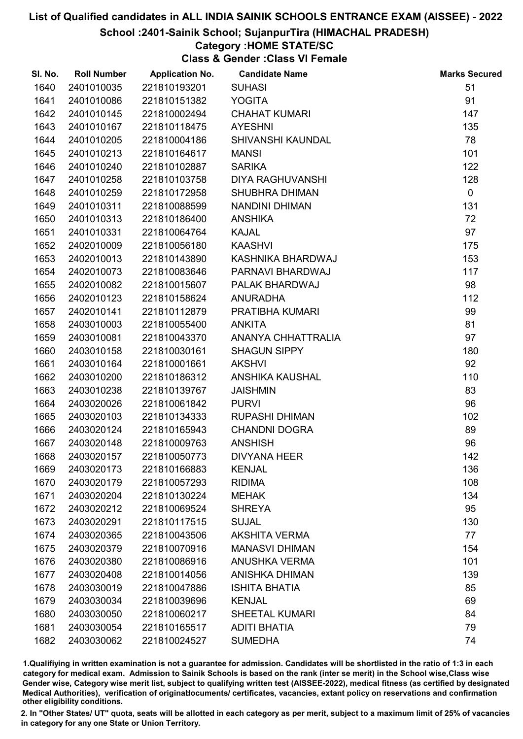#### School :2401-Sainik School; SujanpurTira (HIMACHAL PRADESH)

### Category :HOME STATE/SC

Class & Gender :Class VI Female

| SI. No. | <b>Roll Number</b> | <b>Application No.</b> | <b>Candidate Name</b> | <b>Marks Secured</b> |
|---------|--------------------|------------------------|-----------------------|----------------------|
| 1640    | 2401010035         | 221810193201           | <b>SUHASI</b>         | 51                   |
| 1641    | 2401010086         | 221810151382           | <b>YOGITA</b>         | 91                   |
| 1642    | 2401010145         | 221810002494           | <b>CHAHAT KUMARI</b>  | 147                  |
| 1643    | 2401010167         | 221810118475           | <b>AYESHNI</b>        | 135                  |
| 1644    | 2401010205         | 221810004186           | SHIVANSHI KAUNDAL     | 78                   |
| 1645    | 2401010213         | 221810164617           | <b>MANSI</b>          | 101                  |
| 1646    | 2401010240         | 221810102887           | <b>SARIKA</b>         | 122                  |
| 1647    | 2401010258         | 221810103758           | DIYA RAGHUVANSHI      | 128                  |
| 1648    | 2401010259         | 221810172958           | <b>SHUBHRA DHIMAN</b> | $\mathbf 0$          |
| 1649    | 2401010311         | 221810088599           | NANDINI DHIMAN        | 131                  |
| 1650    | 2401010313         | 221810186400           | <b>ANSHIKA</b>        | 72                   |
| 1651    | 2401010331         | 221810064764           | <b>KAJAL</b>          | 97                   |
| 1652    | 2402010009         | 221810056180           | <b>KAASHVI</b>        | 175                  |
| 1653    | 2402010013         | 221810143890           | KASHNIKA BHARDWAJ     | 153                  |
| 1654    | 2402010073         | 221810083646           | PARNAVI BHARDWAJ      | 117                  |
| 1655    | 2402010082         | 221810015607           | PALAK BHARDWAJ        | 98                   |
| 1656    | 2402010123         | 221810158624           | <b>ANURADHA</b>       | 112                  |
| 1657    | 2402010141         | 221810112879           | PRATIBHA KUMARI       | 99                   |
| 1658    | 2403010003         | 221810055400           | <b>ANKITA</b>         | 81                   |
| 1659    | 2403010081         | 221810043370           | ANANYA CHHATTRALIA    | 97                   |
| 1660    | 2403010158         | 221810030161           | <b>SHAGUN SIPPY</b>   | 180                  |
| 1661    | 2403010164         | 221810001661           | <b>AKSHVI</b>         | 92                   |
| 1662    | 2403010200         | 221810186312           | ANSHIKA KAUSHAL       | 110                  |
| 1663    | 2403010238         | 221810139767           | <b>JAISHMIN</b>       | 83                   |
| 1664    | 2403020026         | 221810061842           | <b>PURVI</b>          | 96                   |
| 1665    | 2403020103         | 221810134333           | <b>RUPASHI DHIMAN</b> | 102                  |
| 1666    | 2403020124         | 221810165943           | <b>CHANDNI DOGRA</b>  | 89                   |
| 1667    | 2403020148         | 221810009763           | <b>ANSHISH</b>        | 96                   |
| 1668    | 2403020157         | 221810050773           | <b>DIVYANA HEER</b>   | 142                  |
| 1669    | 2403020173         | 221810166883           | <b>KENJAL</b>         | 136                  |
| 1670    | 2403020179         | 221810057293           | <b>RIDIMA</b>         | 108                  |
| 1671    | 2403020204         | 221810130224           | <b>MEHAK</b>          | 134                  |
| 1672    | 2403020212         | 221810069524           | <b>SHREYA</b>         | 95                   |
| 1673    | 2403020291         | 221810117515           | <b>SUJAL</b>          | 130                  |
| 1674    | 2403020365         | 221810043506           | <b>AKSHITA VERMA</b>  | 77                   |
| 1675    | 2403020379         | 221810070916           | <b>MANASVI DHIMAN</b> | 154                  |
| 1676    | 2403020380         | 221810086916           | <b>ANUSHKA VERMA</b>  | 101                  |
| 1677    | 2403020408         | 221810014056           | <b>ANISHKA DHIMAN</b> | 139                  |
| 1678    | 2403030019         | 221810047886           | <b>ISHITA BHATIA</b>  | 85                   |
| 1679    | 2403030034         | 221810039696           | <b>KENJAL</b>         | 69                   |
| 1680    | 2403030050         | 221810060217           | <b>SHEETAL KUMARI</b> | 84                   |
| 1681    | 2403030054         | 221810165517           | <b>ADITI BHATIA</b>   | 79                   |
| 1682    | 2403030062         | 221810024527           | <b>SUMEDHA</b>        | 74                   |

1.Qualifiying in written examination is not a guarantee for admission. Candidates will be shortlisted in the ratio of 1:3 in each category for medical exam. Admission to Sainik Schools is based on the rank (inter se merit) in the School wise,Class wise Gender wise, Category wise merit list, subject to qualifying written test (AISSEE-2022), medical fitness (as certified by designated Medical Authorities), verification of originablocuments/ certificates, vacancies, extant policy on reservations and confirmation other eligibility conditions.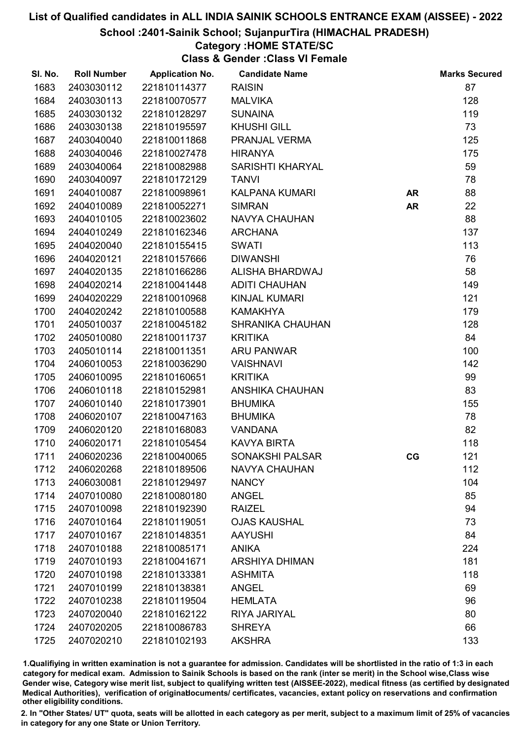#### School :2401-Sainik School; SujanpurTira (HIMACHAL PRADESH)

### Category :HOME STATE/SC

Class & Gender :Class VI Female

| SI. No. | <b>Roll Number</b> | <b>Application No.</b> | <b>Candidate Name</b>   |           | <b>Marks Secured</b> |
|---------|--------------------|------------------------|-------------------------|-----------|----------------------|
| 1683    | 2403030112         | 221810114377           | <b>RAISIN</b>           |           | 87                   |
| 1684    | 2403030113         | 221810070577           | <b>MALVIKA</b>          |           | 128                  |
| 1685    | 2403030132         | 221810128297           | <b>SUNAINA</b>          |           | 119                  |
| 1686    | 2403030138         | 221810195597           | <b>KHUSHI GILL</b>      |           | 73                   |
| 1687    | 2403040040         | 221810011868           | PRANJAL VERMA           |           | 125                  |
| 1688    | 2403040046         | 221810027478           | <b>HIRANYA</b>          |           | 175                  |
| 1689    | 2403040064         | 221810082988           | <b>SARISHTI KHARYAL</b> |           | 59                   |
| 1690    | 2403040097         | 221810172129           | <b>TANVI</b>            |           | 78                   |
| 1691    | 2404010087         | 221810098961           | <b>KALPANA KUMARI</b>   | <b>AR</b> | 88                   |
| 1692    | 2404010089         | 221810052271           | <b>SIMRAN</b>           | <b>AR</b> | 22                   |
| 1693    | 2404010105         | 221810023602           | <b>NAVYA CHAUHAN</b>    |           | 88                   |
| 1694    | 2404010249         | 221810162346           | <b>ARCHANA</b>          |           | 137                  |
| 1695    | 2404020040         | 221810155415           | <b>SWATI</b>            |           | 113                  |
| 1696    | 2404020121         | 221810157666           | <b>DIWANSHI</b>         |           | 76                   |
| 1697    | 2404020135         | 221810166286           | <b>ALISHA BHARDWAJ</b>  |           | 58                   |
| 1698    | 2404020214         | 221810041448           | <b>ADITI CHAUHAN</b>    |           | 149                  |
| 1699    | 2404020229         | 221810010968           | <b>KINJAL KUMARI</b>    |           | 121                  |
| 1700    | 2404020242         | 221810100588           | <b>KAMAKHYA</b>         |           | 179                  |
| 1701    | 2405010037         | 221810045182           | <b>SHRANIKA CHAUHAN</b> |           | 128                  |
| 1702    | 2405010080         | 221810011737           | <b>KRITIKA</b>          |           | 84                   |
| 1703    | 2405010114         | 221810011351           | <b>ARU PANWAR</b>       |           | 100                  |
| 1704    | 2406010053         | 221810036290           | <b>VAISHNAVI</b>        |           | 142                  |
| 1705    | 2406010095         | 221810160651           | <b>KRITIKA</b>          |           | 99                   |
| 1706    | 2406010118         | 221810152981           | <b>ANSHIKA CHAUHAN</b>  |           | 83                   |
| 1707    | 2406010140         | 221810173901           | <b>BHUMIKA</b>          |           | 155                  |
| 1708    | 2406020107         | 221810047163           | <b>BHUMIKA</b>          |           | 78                   |
| 1709    | 2406020120         | 221810168083           | <b>VANDANA</b>          |           | 82                   |
| 1710    | 2406020171         | 221810105454           | <b>KAVYA BIRTA</b>      |           | 118                  |
| 1711    | 2406020236         | 221810040065           | <b>SONAKSHI PALSAR</b>  | CG        | 121                  |
| 1712    | 2406020268         | 221810189506           | <b>NAVYA CHAUHAN</b>    |           | 112                  |
| 1713    | 2406030081         | 221810129497           | <b>NANCY</b>            |           | 104                  |
| 1714    | 2407010080         | 221810080180           | <b>ANGEL</b>            |           | 85                   |
| 1715    | 2407010098         | 221810192390           | <b>RAIZEL</b>           |           | 94                   |
| 1716    | 2407010164         | 221810119051           | <b>OJAS KAUSHAL</b>     |           | 73                   |
| 1717    | 2407010167         | 221810148351           | <b>AAYUSHI</b>          |           | 84                   |
| 1718    | 2407010188         | 221810085171           | <b>ANIKA</b>            |           | 224                  |
| 1719    | 2407010193         | 221810041671           | <b>ARSHIYA DHIMAN</b>   |           | 181                  |
| 1720    | 2407010198         | 221810133381           | <b>ASHMITA</b>          |           | 118                  |
| 1721    | 2407010199         | 221810138381           | <b>ANGEL</b>            |           | 69                   |
| 1722    | 2407010238         | 221810119504           | <b>HEMLATA</b>          |           | 96                   |
| 1723    | 2407020040         | 221810162122           | RIYA JARIYAL            |           | 80                   |
| 1724    | 2407020205         | 221810086783           | <b>SHREYA</b>           |           | 66                   |
| 1725    | 2407020210         | 221810102193           | <b>AKSHRA</b>           |           | 133                  |

1.Qualifiying in written examination is not a guarantee for admission. Candidates will be shortlisted in the ratio of 1:3 in each category for medical exam. Admission to Sainik Schools is based on the rank (inter se merit) in the School wise,Class wise Gender wise, Category wise merit list, subject to qualifying written test (AISSEE-2022), medical fitness (as certified by designated Medical Authorities), verification of originablocuments/ certificates, vacancies, extant policy on reservations and confirmation other eligibility conditions.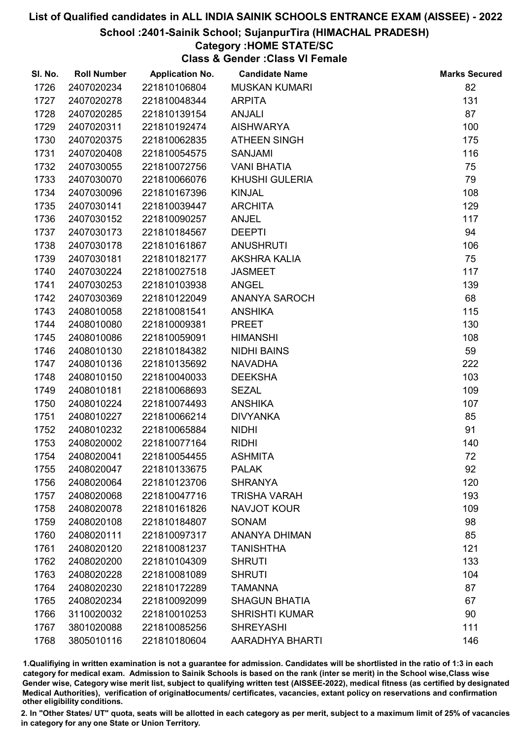#### School :2401-Sainik School; SujanpurTira (HIMACHAL PRADESH)

### Category :HOME STATE/SC

Class & Gender :Class VI Female

| SI. No. | <b>Roll Number</b> | <b>Application No.</b> | <b>Candidate Name</b> | <b>Marks Secured</b> |
|---------|--------------------|------------------------|-----------------------|----------------------|
| 1726    | 2407020234         | 221810106804           | <b>MUSKAN KUMARI</b>  | 82                   |
| 1727    | 2407020278         | 221810048344           | <b>ARPITA</b>         | 131                  |
| 1728    | 2407020285         | 221810139154           | <b>ANJALI</b>         | 87                   |
| 1729    | 2407020311         | 221810192474           | <b>AISHWARYA</b>      | 100                  |
| 1730    | 2407020375         | 221810062835           | <b>ATHEEN SINGH</b>   | 175                  |
| 1731    | 2407020408         | 221810054575           | <b>SANJAMI</b>        | 116                  |
| 1732    | 2407030055         | 221810072756           | <b>VANI BHATIA</b>    | 75                   |
| 1733    | 2407030070         | 221810066076           | <b>KHUSHI GULERIA</b> | 79                   |
| 1734    | 2407030096         | 221810167396           | <b>KINJAL</b>         | 108                  |
| 1735    | 2407030141         | 221810039447           | <b>ARCHITA</b>        | 129                  |
| 1736    | 2407030152         | 221810090257           | <b>ANJEL</b>          | 117                  |
| 1737    | 2407030173         | 221810184567           | <b>DEEPTI</b>         | 94                   |
| 1738    | 2407030178         | 221810161867           | <b>ANUSHRUTI</b>      | 106                  |
| 1739    | 2407030181         | 221810182177           | <b>AKSHRA KALIA</b>   | 75                   |
| 1740    | 2407030224         | 221810027518           | <b>JASMEET</b>        | 117                  |
| 1741    | 2407030253         | 221810103938           | <b>ANGEL</b>          | 139                  |
| 1742    | 2407030369         | 221810122049           | <b>ANANYA SAROCH</b>  | 68                   |
| 1743    | 2408010058         | 221810081541           | <b>ANSHIKA</b>        | 115                  |
| 1744    | 2408010080         | 221810009381           | <b>PREET</b>          | 130                  |
| 1745    | 2408010086         | 221810059091           | <b>HIMANSHI</b>       | 108                  |
| 1746    | 2408010130         | 221810184382           | <b>NIDHI BAINS</b>    | 59                   |
| 1747    | 2408010136         | 221810135692           | <b>NAVADHA</b>        | 222                  |
| 1748    | 2408010150         | 221810040033           | <b>DEEKSHA</b>        | 103                  |
| 1749    | 2408010181         | 221810068693           | <b>SEZAL</b>          | 109                  |
| 1750    | 2408010224         | 221810074493           | <b>ANSHIKA</b>        | 107                  |
| 1751    | 2408010227         | 221810066214           | <b>DIVYANKA</b>       | 85                   |
| 1752    | 2408010232         | 221810065884           | <b>NIDHI</b>          | 91                   |
| 1753    | 2408020002         | 221810077164           | <b>RIDHI</b>          | 140                  |
| 1754    | 2408020041         | 221810054455           | <b>ASHMITA</b>        | 72                   |
| 1755    | 2408020047         | 221810133675           | <b>PALAK</b>          | 92                   |
| 1756    | 2408020064         | 221810123706           | <b>SHRANYA</b>        | 120                  |
| 1757    | 2408020068         | 221810047716           | <b>TRISHA VARAH</b>   | 193                  |
| 1758    | 2408020078         | 221810161826           | <b>NAVJOT KOUR</b>    | 109                  |
| 1759    | 2408020108         | 221810184807           | <b>SONAM</b>          | 98                   |
| 1760    | 2408020111         | 221810097317           | <b>ANANYA DHIMAN</b>  | 85                   |
| 1761    | 2408020120         | 221810081237           | <b>TANISHTHA</b>      | 121                  |
| 1762    | 2408020200         | 221810104309           | <b>SHRUTI</b>         | 133                  |
| 1763    | 2408020228         | 221810081089           | <b>SHRUTI</b>         | 104                  |
| 1764    | 2408020230         | 221810172289           | <b>TAMANNA</b>        | 87                   |
| 1765    | 2408020234         | 221810092099           | <b>SHAGUN BHATIA</b>  | 67                   |
| 1766    | 3110020032         | 221810010253           | <b>SHRISHTI KUMAR</b> | 90                   |
| 1767    | 3801020088         | 221810085256           | <b>SHREYASHI</b>      | 111                  |
| 1768    | 3805010116         | 221810180604           | AARADHYA BHARTI       | 146                  |

1.Qualifiying in written examination is not a guarantee for admission. Candidates will be shortlisted in the ratio of 1:3 in each category for medical exam. Admission to Sainik Schools is based on the rank (inter se merit) in the School wise,Class wise Gender wise, Category wise merit list, subject to qualifying written test (AISSEE-2022), medical fitness (as certified by designated Medical Authorities), verification of originablocuments/ certificates, vacancies, extant policy on reservations and confirmation other eligibility conditions.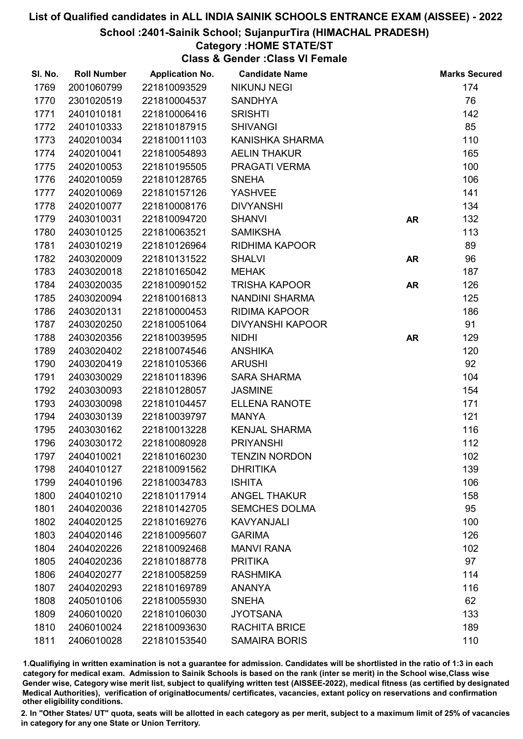School :2401-Sainik School; SujanpurTira (HIMACHAL PRADESH)

### Category :HOME STATE/ST

Class & Gender :Class VI Female

| 1769<br>2001060799<br>174<br>221810093529<br><b>NIKUNJ NEGI</b><br>1770<br>76<br>2301020519<br>221810004537<br><b>SANDHYA</b><br>1771<br>2401010181<br>221810006416<br><b>SRISHTI</b><br>142<br>85<br>1772<br>2401010333<br>221810187915<br><b>SHIVANGI</b><br>110<br>1773<br>2402010034<br>221810011103<br>KANISHKA SHARMA<br>2402010041<br>165<br>1774<br>221810054893<br><b>AELIN THAKUR</b><br>100<br>1775<br>2402010053<br>221810195505<br>PRAGATI VERMA<br>106<br>1776<br>2402010059<br>221810128765<br><b>SNEHA</b><br>141<br>1777<br>2402010069<br>221810157126<br><b>YASHVEE</b><br>134<br>1778<br>2402010077<br>221810008176<br><b>DIVYANSHI</b><br>132<br>1779<br>2403010031<br>221810094720<br><b>SHANVI</b><br><b>AR</b><br>113<br>1780<br>2403010125<br>221810063521<br><b>SAMIKSHA</b><br>89<br>1781<br>2403010219<br>221810126964<br>RIDHIMA KAPOOR<br>96<br>1782<br>2403020009<br>221810131522<br><b>SHALVI</b><br><b>AR</b><br>1783<br>2403020018<br>187<br>221810165042<br><b>MEHAK</b><br>126<br>1784<br>2403020035<br>221810090152<br><b>TRISHA KAPOOR</b><br><b>AR</b><br>125<br>1785<br>2403020094<br>221810016813<br>NANDINI SHARMA<br>1786<br>2403020131<br><b>RIDIMA KAPOOR</b><br>186<br>221810000453<br>91<br>1787<br>2403020250<br><b>DIVYANSHI KAPOOR</b><br>221810051064<br>1788<br>129<br>2403020356<br>221810039595<br><b>NIDHI</b><br><b>AR</b><br>120<br>2403020402<br>1789<br>221810074546<br><b>ANSHIKA</b><br>92<br>1790<br>2403020419<br>221810105366<br><b>ARUSHI</b><br>104<br>1791<br>2403030029<br>221810118396<br><b>SARA SHARMA</b><br>1792<br>154<br>2403030093<br>221810128057<br><b>JASMINE</b><br>171<br>1793<br>2403030098<br>221810104457<br><b>ELLENA RANOTE</b><br>121<br>1794<br>2403030139<br>221810039797<br><b>MANYA</b><br>116<br>1795<br>2403030162<br>221810013228<br><b>KENJAL SHARMA</b><br>112<br>1796<br>2403030172<br>221810080928<br><b>PRIYANSHI</b><br>102<br>1797<br>2404010021<br>221810160230<br><b>TENZIN NORDON</b><br>1798<br>139<br>2404010127<br>221810091562<br><b>DHRITIKA</b><br>1799<br>106<br>2404010196<br>221810034783<br><b>ISHITA</b><br>158<br>1800<br>2404010210<br>221810117914<br><b>ANGEL THAKUR</b><br>1801<br><b>SEMCHES DOLMA</b><br>95<br>2404020036<br>221810142705<br>1802<br>2404020125<br>221810169276<br><b>KAVYANJALI</b><br>100<br>1803<br>126<br>2404020146<br>221810095607<br><b>GARIMA</b><br>1804<br>2404020226<br>221810092468<br><b>MANVI RANA</b><br>102<br>97<br><b>PRITIKA</b><br>1805<br>2404020236<br>221810188778<br>1806<br>2404020277<br>221810058259<br><b>RASHMIKA</b><br>114<br>116<br>1807<br>2404020293<br>221810169789<br><b>ANANYA</b><br>62<br>1808<br>2405010106<br>221810055930<br><b>SNEHA</b><br>1809<br>2406010020<br>221810106030<br><b>JYOTSANA</b><br>133<br>1810<br>2406010024<br>221810093630<br><b>RACHITA BRICE</b><br>189<br>1811<br>110<br>2406010028<br>221810153540<br><b>SAMAIRA BORIS</b> | SI. No. | <b>Roll Number</b> | <b>Application No.</b> | <b>Candidate Name</b> | <b>Marks Secured</b> |
|----------------------------------------------------------------------------------------------------------------------------------------------------------------------------------------------------------------------------------------------------------------------------------------------------------------------------------------------------------------------------------------------------------------------------------------------------------------------------------------------------------------------------------------------------------------------------------------------------------------------------------------------------------------------------------------------------------------------------------------------------------------------------------------------------------------------------------------------------------------------------------------------------------------------------------------------------------------------------------------------------------------------------------------------------------------------------------------------------------------------------------------------------------------------------------------------------------------------------------------------------------------------------------------------------------------------------------------------------------------------------------------------------------------------------------------------------------------------------------------------------------------------------------------------------------------------------------------------------------------------------------------------------------------------------------------------------------------------------------------------------------------------------------------------------------------------------------------------------------------------------------------------------------------------------------------------------------------------------------------------------------------------------------------------------------------------------------------------------------------------------------------------------------------------------------------------------------------------------------------------------------------------------------------------------------------------------------------------------------------------------------------------------------------------------------------------------------------------------------------------------------------------------------------------------------------------------------------------------------------------------------------------------------------------------------------------------------------------------------------------------------------------------------------------------------------------------------------------------------------------------------------------------------------------------------------|---------|--------------------|------------------------|-----------------------|----------------------|
|                                                                                                                                                                                                                                                                                                                                                                                                                                                                                                                                                                                                                                                                                                                                                                                                                                                                                                                                                                                                                                                                                                                                                                                                                                                                                                                                                                                                                                                                                                                                                                                                                                                                                                                                                                                                                                                                                                                                                                                                                                                                                                                                                                                                                                                                                                                                                                                                                                                                                                                                                                                                                                                                                                                                                                                                                                                                                                                                        |         |                    |                        |                       |                      |
|                                                                                                                                                                                                                                                                                                                                                                                                                                                                                                                                                                                                                                                                                                                                                                                                                                                                                                                                                                                                                                                                                                                                                                                                                                                                                                                                                                                                                                                                                                                                                                                                                                                                                                                                                                                                                                                                                                                                                                                                                                                                                                                                                                                                                                                                                                                                                                                                                                                                                                                                                                                                                                                                                                                                                                                                                                                                                                                                        |         |                    |                        |                       |                      |
|                                                                                                                                                                                                                                                                                                                                                                                                                                                                                                                                                                                                                                                                                                                                                                                                                                                                                                                                                                                                                                                                                                                                                                                                                                                                                                                                                                                                                                                                                                                                                                                                                                                                                                                                                                                                                                                                                                                                                                                                                                                                                                                                                                                                                                                                                                                                                                                                                                                                                                                                                                                                                                                                                                                                                                                                                                                                                                                                        |         |                    |                        |                       |                      |
|                                                                                                                                                                                                                                                                                                                                                                                                                                                                                                                                                                                                                                                                                                                                                                                                                                                                                                                                                                                                                                                                                                                                                                                                                                                                                                                                                                                                                                                                                                                                                                                                                                                                                                                                                                                                                                                                                                                                                                                                                                                                                                                                                                                                                                                                                                                                                                                                                                                                                                                                                                                                                                                                                                                                                                                                                                                                                                                                        |         |                    |                        |                       |                      |
|                                                                                                                                                                                                                                                                                                                                                                                                                                                                                                                                                                                                                                                                                                                                                                                                                                                                                                                                                                                                                                                                                                                                                                                                                                                                                                                                                                                                                                                                                                                                                                                                                                                                                                                                                                                                                                                                                                                                                                                                                                                                                                                                                                                                                                                                                                                                                                                                                                                                                                                                                                                                                                                                                                                                                                                                                                                                                                                                        |         |                    |                        |                       |                      |
|                                                                                                                                                                                                                                                                                                                                                                                                                                                                                                                                                                                                                                                                                                                                                                                                                                                                                                                                                                                                                                                                                                                                                                                                                                                                                                                                                                                                                                                                                                                                                                                                                                                                                                                                                                                                                                                                                                                                                                                                                                                                                                                                                                                                                                                                                                                                                                                                                                                                                                                                                                                                                                                                                                                                                                                                                                                                                                                                        |         |                    |                        |                       |                      |
|                                                                                                                                                                                                                                                                                                                                                                                                                                                                                                                                                                                                                                                                                                                                                                                                                                                                                                                                                                                                                                                                                                                                                                                                                                                                                                                                                                                                                                                                                                                                                                                                                                                                                                                                                                                                                                                                                                                                                                                                                                                                                                                                                                                                                                                                                                                                                                                                                                                                                                                                                                                                                                                                                                                                                                                                                                                                                                                                        |         |                    |                        |                       |                      |
|                                                                                                                                                                                                                                                                                                                                                                                                                                                                                                                                                                                                                                                                                                                                                                                                                                                                                                                                                                                                                                                                                                                                                                                                                                                                                                                                                                                                                                                                                                                                                                                                                                                                                                                                                                                                                                                                                                                                                                                                                                                                                                                                                                                                                                                                                                                                                                                                                                                                                                                                                                                                                                                                                                                                                                                                                                                                                                                                        |         |                    |                        |                       |                      |
|                                                                                                                                                                                                                                                                                                                                                                                                                                                                                                                                                                                                                                                                                                                                                                                                                                                                                                                                                                                                                                                                                                                                                                                                                                                                                                                                                                                                                                                                                                                                                                                                                                                                                                                                                                                                                                                                                                                                                                                                                                                                                                                                                                                                                                                                                                                                                                                                                                                                                                                                                                                                                                                                                                                                                                                                                                                                                                                                        |         |                    |                        |                       |                      |
|                                                                                                                                                                                                                                                                                                                                                                                                                                                                                                                                                                                                                                                                                                                                                                                                                                                                                                                                                                                                                                                                                                                                                                                                                                                                                                                                                                                                                                                                                                                                                                                                                                                                                                                                                                                                                                                                                                                                                                                                                                                                                                                                                                                                                                                                                                                                                                                                                                                                                                                                                                                                                                                                                                                                                                                                                                                                                                                                        |         |                    |                        |                       |                      |
|                                                                                                                                                                                                                                                                                                                                                                                                                                                                                                                                                                                                                                                                                                                                                                                                                                                                                                                                                                                                                                                                                                                                                                                                                                                                                                                                                                                                                                                                                                                                                                                                                                                                                                                                                                                                                                                                                                                                                                                                                                                                                                                                                                                                                                                                                                                                                                                                                                                                                                                                                                                                                                                                                                                                                                                                                                                                                                                                        |         |                    |                        |                       |                      |
|                                                                                                                                                                                                                                                                                                                                                                                                                                                                                                                                                                                                                                                                                                                                                                                                                                                                                                                                                                                                                                                                                                                                                                                                                                                                                                                                                                                                                                                                                                                                                                                                                                                                                                                                                                                                                                                                                                                                                                                                                                                                                                                                                                                                                                                                                                                                                                                                                                                                                                                                                                                                                                                                                                                                                                                                                                                                                                                                        |         |                    |                        |                       |                      |
|                                                                                                                                                                                                                                                                                                                                                                                                                                                                                                                                                                                                                                                                                                                                                                                                                                                                                                                                                                                                                                                                                                                                                                                                                                                                                                                                                                                                                                                                                                                                                                                                                                                                                                                                                                                                                                                                                                                                                                                                                                                                                                                                                                                                                                                                                                                                                                                                                                                                                                                                                                                                                                                                                                                                                                                                                                                                                                                                        |         |                    |                        |                       |                      |
|                                                                                                                                                                                                                                                                                                                                                                                                                                                                                                                                                                                                                                                                                                                                                                                                                                                                                                                                                                                                                                                                                                                                                                                                                                                                                                                                                                                                                                                                                                                                                                                                                                                                                                                                                                                                                                                                                                                                                                                                                                                                                                                                                                                                                                                                                                                                                                                                                                                                                                                                                                                                                                                                                                                                                                                                                                                                                                                                        |         |                    |                        |                       |                      |
|                                                                                                                                                                                                                                                                                                                                                                                                                                                                                                                                                                                                                                                                                                                                                                                                                                                                                                                                                                                                                                                                                                                                                                                                                                                                                                                                                                                                                                                                                                                                                                                                                                                                                                                                                                                                                                                                                                                                                                                                                                                                                                                                                                                                                                                                                                                                                                                                                                                                                                                                                                                                                                                                                                                                                                                                                                                                                                                                        |         |                    |                        |                       |                      |
|                                                                                                                                                                                                                                                                                                                                                                                                                                                                                                                                                                                                                                                                                                                                                                                                                                                                                                                                                                                                                                                                                                                                                                                                                                                                                                                                                                                                                                                                                                                                                                                                                                                                                                                                                                                                                                                                                                                                                                                                                                                                                                                                                                                                                                                                                                                                                                                                                                                                                                                                                                                                                                                                                                                                                                                                                                                                                                                                        |         |                    |                        |                       |                      |
|                                                                                                                                                                                                                                                                                                                                                                                                                                                                                                                                                                                                                                                                                                                                                                                                                                                                                                                                                                                                                                                                                                                                                                                                                                                                                                                                                                                                                                                                                                                                                                                                                                                                                                                                                                                                                                                                                                                                                                                                                                                                                                                                                                                                                                                                                                                                                                                                                                                                                                                                                                                                                                                                                                                                                                                                                                                                                                                                        |         |                    |                        |                       |                      |
|                                                                                                                                                                                                                                                                                                                                                                                                                                                                                                                                                                                                                                                                                                                                                                                                                                                                                                                                                                                                                                                                                                                                                                                                                                                                                                                                                                                                                                                                                                                                                                                                                                                                                                                                                                                                                                                                                                                                                                                                                                                                                                                                                                                                                                                                                                                                                                                                                                                                                                                                                                                                                                                                                                                                                                                                                                                                                                                                        |         |                    |                        |                       |                      |
|                                                                                                                                                                                                                                                                                                                                                                                                                                                                                                                                                                                                                                                                                                                                                                                                                                                                                                                                                                                                                                                                                                                                                                                                                                                                                                                                                                                                                                                                                                                                                                                                                                                                                                                                                                                                                                                                                                                                                                                                                                                                                                                                                                                                                                                                                                                                                                                                                                                                                                                                                                                                                                                                                                                                                                                                                                                                                                                                        |         |                    |                        |                       |                      |
|                                                                                                                                                                                                                                                                                                                                                                                                                                                                                                                                                                                                                                                                                                                                                                                                                                                                                                                                                                                                                                                                                                                                                                                                                                                                                                                                                                                                                                                                                                                                                                                                                                                                                                                                                                                                                                                                                                                                                                                                                                                                                                                                                                                                                                                                                                                                                                                                                                                                                                                                                                                                                                                                                                                                                                                                                                                                                                                                        |         |                    |                        |                       |                      |
|                                                                                                                                                                                                                                                                                                                                                                                                                                                                                                                                                                                                                                                                                                                                                                                                                                                                                                                                                                                                                                                                                                                                                                                                                                                                                                                                                                                                                                                                                                                                                                                                                                                                                                                                                                                                                                                                                                                                                                                                                                                                                                                                                                                                                                                                                                                                                                                                                                                                                                                                                                                                                                                                                                                                                                                                                                                                                                                                        |         |                    |                        |                       |                      |
|                                                                                                                                                                                                                                                                                                                                                                                                                                                                                                                                                                                                                                                                                                                                                                                                                                                                                                                                                                                                                                                                                                                                                                                                                                                                                                                                                                                                                                                                                                                                                                                                                                                                                                                                                                                                                                                                                                                                                                                                                                                                                                                                                                                                                                                                                                                                                                                                                                                                                                                                                                                                                                                                                                                                                                                                                                                                                                                                        |         |                    |                        |                       |                      |
|                                                                                                                                                                                                                                                                                                                                                                                                                                                                                                                                                                                                                                                                                                                                                                                                                                                                                                                                                                                                                                                                                                                                                                                                                                                                                                                                                                                                                                                                                                                                                                                                                                                                                                                                                                                                                                                                                                                                                                                                                                                                                                                                                                                                                                                                                                                                                                                                                                                                                                                                                                                                                                                                                                                                                                                                                                                                                                                                        |         |                    |                        |                       |                      |
|                                                                                                                                                                                                                                                                                                                                                                                                                                                                                                                                                                                                                                                                                                                                                                                                                                                                                                                                                                                                                                                                                                                                                                                                                                                                                                                                                                                                                                                                                                                                                                                                                                                                                                                                                                                                                                                                                                                                                                                                                                                                                                                                                                                                                                                                                                                                                                                                                                                                                                                                                                                                                                                                                                                                                                                                                                                                                                                                        |         |                    |                        |                       |                      |
|                                                                                                                                                                                                                                                                                                                                                                                                                                                                                                                                                                                                                                                                                                                                                                                                                                                                                                                                                                                                                                                                                                                                                                                                                                                                                                                                                                                                                                                                                                                                                                                                                                                                                                                                                                                                                                                                                                                                                                                                                                                                                                                                                                                                                                                                                                                                                                                                                                                                                                                                                                                                                                                                                                                                                                                                                                                                                                                                        |         |                    |                        |                       |                      |
|                                                                                                                                                                                                                                                                                                                                                                                                                                                                                                                                                                                                                                                                                                                                                                                                                                                                                                                                                                                                                                                                                                                                                                                                                                                                                                                                                                                                                                                                                                                                                                                                                                                                                                                                                                                                                                                                                                                                                                                                                                                                                                                                                                                                                                                                                                                                                                                                                                                                                                                                                                                                                                                                                                                                                                                                                                                                                                                                        |         |                    |                        |                       |                      |
|                                                                                                                                                                                                                                                                                                                                                                                                                                                                                                                                                                                                                                                                                                                                                                                                                                                                                                                                                                                                                                                                                                                                                                                                                                                                                                                                                                                                                                                                                                                                                                                                                                                                                                                                                                                                                                                                                                                                                                                                                                                                                                                                                                                                                                                                                                                                                                                                                                                                                                                                                                                                                                                                                                                                                                                                                                                                                                                                        |         |                    |                        |                       |                      |
|                                                                                                                                                                                                                                                                                                                                                                                                                                                                                                                                                                                                                                                                                                                                                                                                                                                                                                                                                                                                                                                                                                                                                                                                                                                                                                                                                                                                                                                                                                                                                                                                                                                                                                                                                                                                                                                                                                                                                                                                                                                                                                                                                                                                                                                                                                                                                                                                                                                                                                                                                                                                                                                                                                                                                                                                                                                                                                                                        |         |                    |                        |                       |                      |
|                                                                                                                                                                                                                                                                                                                                                                                                                                                                                                                                                                                                                                                                                                                                                                                                                                                                                                                                                                                                                                                                                                                                                                                                                                                                                                                                                                                                                                                                                                                                                                                                                                                                                                                                                                                                                                                                                                                                                                                                                                                                                                                                                                                                                                                                                                                                                                                                                                                                                                                                                                                                                                                                                                                                                                                                                                                                                                                                        |         |                    |                        |                       |                      |
|                                                                                                                                                                                                                                                                                                                                                                                                                                                                                                                                                                                                                                                                                                                                                                                                                                                                                                                                                                                                                                                                                                                                                                                                                                                                                                                                                                                                                                                                                                                                                                                                                                                                                                                                                                                                                                                                                                                                                                                                                                                                                                                                                                                                                                                                                                                                                                                                                                                                                                                                                                                                                                                                                                                                                                                                                                                                                                                                        |         |                    |                        |                       |                      |
|                                                                                                                                                                                                                                                                                                                                                                                                                                                                                                                                                                                                                                                                                                                                                                                                                                                                                                                                                                                                                                                                                                                                                                                                                                                                                                                                                                                                                                                                                                                                                                                                                                                                                                                                                                                                                                                                                                                                                                                                                                                                                                                                                                                                                                                                                                                                                                                                                                                                                                                                                                                                                                                                                                                                                                                                                                                                                                                                        |         |                    |                        |                       |                      |
|                                                                                                                                                                                                                                                                                                                                                                                                                                                                                                                                                                                                                                                                                                                                                                                                                                                                                                                                                                                                                                                                                                                                                                                                                                                                                                                                                                                                                                                                                                                                                                                                                                                                                                                                                                                                                                                                                                                                                                                                                                                                                                                                                                                                                                                                                                                                                                                                                                                                                                                                                                                                                                                                                                                                                                                                                                                                                                                                        |         |                    |                        |                       |                      |
|                                                                                                                                                                                                                                                                                                                                                                                                                                                                                                                                                                                                                                                                                                                                                                                                                                                                                                                                                                                                                                                                                                                                                                                                                                                                                                                                                                                                                                                                                                                                                                                                                                                                                                                                                                                                                                                                                                                                                                                                                                                                                                                                                                                                                                                                                                                                                                                                                                                                                                                                                                                                                                                                                                                                                                                                                                                                                                                                        |         |                    |                        |                       |                      |
|                                                                                                                                                                                                                                                                                                                                                                                                                                                                                                                                                                                                                                                                                                                                                                                                                                                                                                                                                                                                                                                                                                                                                                                                                                                                                                                                                                                                                                                                                                                                                                                                                                                                                                                                                                                                                                                                                                                                                                                                                                                                                                                                                                                                                                                                                                                                                                                                                                                                                                                                                                                                                                                                                                                                                                                                                                                                                                                                        |         |                    |                        |                       |                      |
|                                                                                                                                                                                                                                                                                                                                                                                                                                                                                                                                                                                                                                                                                                                                                                                                                                                                                                                                                                                                                                                                                                                                                                                                                                                                                                                                                                                                                                                                                                                                                                                                                                                                                                                                                                                                                                                                                                                                                                                                                                                                                                                                                                                                                                                                                                                                                                                                                                                                                                                                                                                                                                                                                                                                                                                                                                                                                                                                        |         |                    |                        |                       |                      |
|                                                                                                                                                                                                                                                                                                                                                                                                                                                                                                                                                                                                                                                                                                                                                                                                                                                                                                                                                                                                                                                                                                                                                                                                                                                                                                                                                                                                                                                                                                                                                                                                                                                                                                                                                                                                                                                                                                                                                                                                                                                                                                                                                                                                                                                                                                                                                                                                                                                                                                                                                                                                                                                                                                                                                                                                                                                                                                                                        |         |                    |                        |                       |                      |
|                                                                                                                                                                                                                                                                                                                                                                                                                                                                                                                                                                                                                                                                                                                                                                                                                                                                                                                                                                                                                                                                                                                                                                                                                                                                                                                                                                                                                                                                                                                                                                                                                                                                                                                                                                                                                                                                                                                                                                                                                                                                                                                                                                                                                                                                                                                                                                                                                                                                                                                                                                                                                                                                                                                                                                                                                                                                                                                                        |         |                    |                        |                       |                      |
|                                                                                                                                                                                                                                                                                                                                                                                                                                                                                                                                                                                                                                                                                                                                                                                                                                                                                                                                                                                                                                                                                                                                                                                                                                                                                                                                                                                                                                                                                                                                                                                                                                                                                                                                                                                                                                                                                                                                                                                                                                                                                                                                                                                                                                                                                                                                                                                                                                                                                                                                                                                                                                                                                                                                                                                                                                                                                                                                        |         |                    |                        |                       |                      |
|                                                                                                                                                                                                                                                                                                                                                                                                                                                                                                                                                                                                                                                                                                                                                                                                                                                                                                                                                                                                                                                                                                                                                                                                                                                                                                                                                                                                                                                                                                                                                                                                                                                                                                                                                                                                                                                                                                                                                                                                                                                                                                                                                                                                                                                                                                                                                                                                                                                                                                                                                                                                                                                                                                                                                                                                                                                                                                                                        |         |                    |                        |                       |                      |
|                                                                                                                                                                                                                                                                                                                                                                                                                                                                                                                                                                                                                                                                                                                                                                                                                                                                                                                                                                                                                                                                                                                                                                                                                                                                                                                                                                                                                                                                                                                                                                                                                                                                                                                                                                                                                                                                                                                                                                                                                                                                                                                                                                                                                                                                                                                                                                                                                                                                                                                                                                                                                                                                                                                                                                                                                                                                                                                                        |         |                    |                        |                       |                      |
|                                                                                                                                                                                                                                                                                                                                                                                                                                                                                                                                                                                                                                                                                                                                                                                                                                                                                                                                                                                                                                                                                                                                                                                                                                                                                                                                                                                                                                                                                                                                                                                                                                                                                                                                                                                                                                                                                                                                                                                                                                                                                                                                                                                                                                                                                                                                                                                                                                                                                                                                                                                                                                                                                                                                                                                                                                                                                                                                        |         |                    |                        |                       |                      |
|                                                                                                                                                                                                                                                                                                                                                                                                                                                                                                                                                                                                                                                                                                                                                                                                                                                                                                                                                                                                                                                                                                                                                                                                                                                                                                                                                                                                                                                                                                                                                                                                                                                                                                                                                                                                                                                                                                                                                                                                                                                                                                                                                                                                                                                                                                                                                                                                                                                                                                                                                                                                                                                                                                                                                                                                                                                                                                                                        |         |                    |                        |                       |                      |
|                                                                                                                                                                                                                                                                                                                                                                                                                                                                                                                                                                                                                                                                                                                                                                                                                                                                                                                                                                                                                                                                                                                                                                                                                                                                                                                                                                                                                                                                                                                                                                                                                                                                                                                                                                                                                                                                                                                                                                                                                                                                                                                                                                                                                                                                                                                                                                                                                                                                                                                                                                                                                                                                                                                                                                                                                                                                                                                                        |         |                    |                        |                       |                      |

1.Qualifiying in written examination is not a guarantee for admission. Candidates will be shortlisted in the ratio of 1:3 in each category for medical exam. Admission to Sainik Schools is based on the rank (inter se merit) in the School wise,Class wise Gender wise, Category wise merit list, subject to qualifying written test (AISSEE-2022), medical fitness (as certified by designated Medical Authorities), verification of originablocuments/ certificates, vacancies, extant policy on reservations and confirmation other eligibility conditions.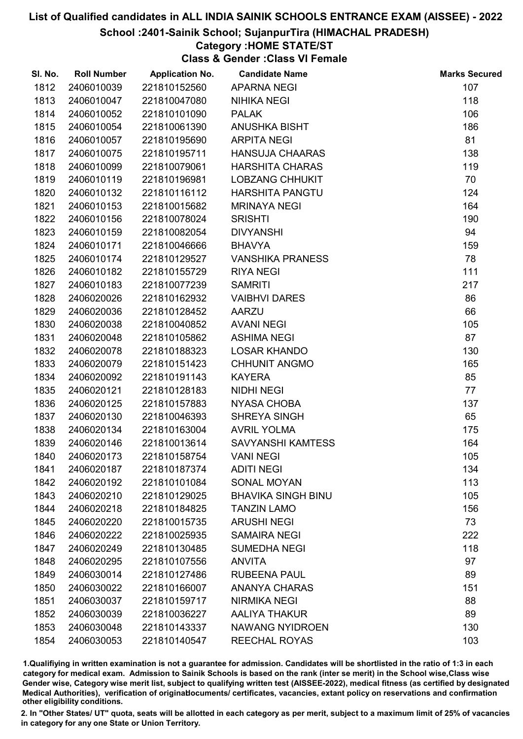## School :2401-Sainik School; SujanpurTira (HIMACHAL PRADESH)

### Category :HOME STATE/ST

Class & Gender :Class VI Female

| SI. No. | <b>Roll Number</b> | <b>Application No.</b> | <b>Candidate Name</b>     | <b>Marks Secured</b> |
|---------|--------------------|------------------------|---------------------------|----------------------|
| 1812    | 2406010039         | 221810152560           | <b>APARNA NEGI</b>        | 107                  |
| 1813    | 2406010047         | 221810047080           | <b>NIHIKA NEGI</b>        | 118                  |
| 1814    | 2406010052         | 221810101090           | <b>PALAK</b>              | 106                  |
| 1815    | 2406010054         | 221810061390           | <b>ANUSHKA BISHT</b>      | 186                  |
| 1816    | 2406010057         | 221810195690           | <b>ARPITA NEGI</b>        | 81                   |
| 1817    | 2406010075         | 221810195711           | <b>HANSUJA CHAARAS</b>    | 138                  |
| 1818    | 2406010099         | 221810079061           | <b>HARSHITA CHARAS</b>    | 119                  |
| 1819    | 2406010119         | 221810196981           | <b>LOBZANG CHHUKIT</b>    | 70                   |
| 1820    | 2406010132         | 221810116112           | <b>HARSHITA PANGTU</b>    | 124                  |
| 1821    | 2406010153         | 221810015682           | <b>MRINAYA NEGI</b>       | 164                  |
| 1822    | 2406010156         | 221810078024           | <b>SRISHTI</b>            | 190                  |
| 1823    | 2406010159         | 221810082054           | <b>DIVYANSHI</b>          | 94                   |
| 1824    | 2406010171         | 221810046666           | <b>BHAVYA</b>             | 159                  |
| 1825    | 2406010174         | 221810129527           | <b>VANSHIKA PRANESS</b>   | 78                   |
| 1826    | 2406010182         | 221810155729           | <b>RIYA NEGI</b>          | 111                  |
| 1827    | 2406010183         | 221810077239           | <b>SAMRITI</b>            | 217                  |
| 1828    | 2406020026         | 221810162932           | <b>VAIBHVI DARES</b>      | 86                   |
| 1829    | 2406020036         | 221810128452           | <b>AARZU</b>              | 66                   |
| 1830    | 2406020038         | 221810040852           | <b>AVANI NEGI</b>         | 105                  |
| 1831    | 2406020048         | 221810105862           | <b>ASHIMA NEGI</b>        | 87                   |
| 1832    | 2406020078         | 221810188323           | <b>LOSAR KHANDO</b>       | 130                  |
| 1833    | 2406020079         | 221810151423           | <b>CHHUNIT ANGMO</b>      | 165                  |
| 1834    | 2406020092         | 221810191143           | <b>KAYERA</b>             | 85                   |
| 1835    | 2406020121         | 221810128183           | <b>NIDHI NEGI</b>         | 77                   |
| 1836    | 2406020125         | 221810157883           | <b>NYASA CHOBA</b>        | 137                  |
| 1837    | 2406020130         | 221810046393           | SHREYA SINGH              | 65                   |
| 1838    | 2406020134         | 221810163004           | <b>AVRIL YOLMA</b>        | 175                  |
| 1839    | 2406020146         | 221810013614           | <b>SAVYANSHI KAMTESS</b>  | 164                  |
| 1840    | 2406020173         | 221810158754           | <b>VANI NEGI</b>          | 105                  |
| 1841    | 2406020187         | 221810187374           | <b>ADITI NEGI</b>         | 134                  |
| 1842    | 2406020192         | 221810101084           | SONAL MOYAN               | 113                  |
| 1843    | 2406020210         | 221810129025           | <b>BHAVIKA SINGH BINU</b> | 105                  |
| 1844    | 2406020218         | 221810184825           | <b>TANZIN LAMO</b>        | 156                  |
| 1845    | 2406020220         | 221810015735           | <b>ARUSHI NEGI</b>        | 73                   |
| 1846    | 2406020222         | 221810025935           | <b>SAMAIRA NEGI</b>       | 222                  |
| 1847    | 2406020249         | 221810130485           | <b>SUMEDHA NEGI</b>       | 118                  |
| 1848    | 2406020295         | 221810107556           | <b>ANVITA</b>             | 97                   |
| 1849    | 2406030014         | 221810127486           | <b>RUBEENA PAUL</b>       | 89                   |
| 1850    | 2406030022         | 221810166007           | <b>ANANYA CHARAS</b>      | 151                  |
| 1851    | 2406030037         | 221810159717           | <b>NIRMIKA NEGI</b>       | 88                   |
| 1852    | 2406030039         | 221810036227           | <b>AALIYA THAKUR</b>      | 89                   |
| 1853    | 2406030048         | 221810143337           | <b>NAWANG NYIDROEN</b>    | 130                  |
| 1854    | 2406030053         | 221810140547           | <b>REECHAL ROYAS</b>      | 103                  |
|         |                    |                        |                           |                      |

1.Qualifiying in written examination is not a guarantee for admission. Candidates will be shortlisted in the ratio of 1:3 in each category for medical exam. Admission to Sainik Schools is based on the rank (inter se merit) in the School wise,Class wise Gender wise, Category wise merit list, subject to qualifying written test (AISSEE-2022), medical fitness (as certified by designated Medical Authorities), verification of originablocuments/ certificates, vacancies, extant policy on reservations and confirmation other eligibility conditions.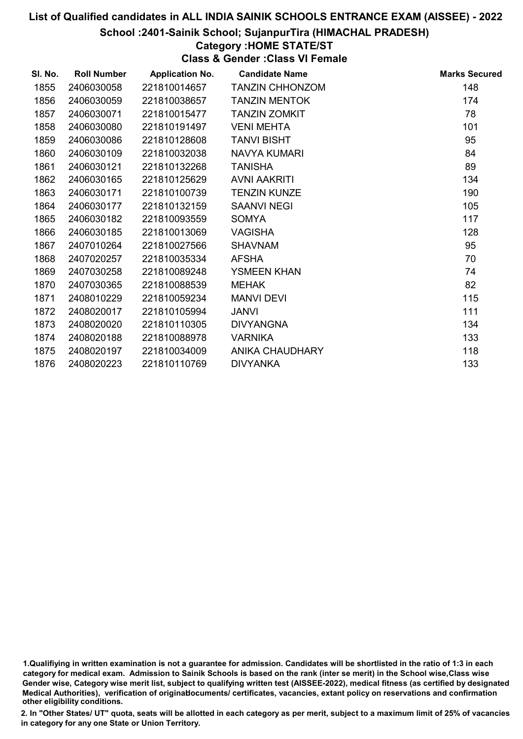## School :2401-Sainik School; SujanpurTira (HIMACHAL PRADESH)

### Category :HOME STATE/ST

Class & Gender :Class VI Female

| SI. No. | <b>Roll Number</b> | <b>Application No.</b> | <b>Candidate Name</b>  | <b>Marks Secured</b> |
|---------|--------------------|------------------------|------------------------|----------------------|
| 1855    | 2406030058         | 221810014657           | <b>TANZIN CHHONZOM</b> | 148                  |
| 1856    | 2406030059         | 221810038657           | <b>TANZIN MENTOK</b>   | 174                  |
| 1857    | 2406030071         | 221810015477           | <b>TANZIN ZOMKIT</b>   | 78                   |
| 1858    | 2406030080         | 221810191497           | <b>VENI MEHTA</b>      | 101                  |
| 1859    | 2406030086         | 221810128608           | <b>TANVI BISHT</b>     | 95                   |
| 1860    | 2406030109         | 221810032038           | <b>NAVYA KUMARI</b>    | 84                   |
| 1861    | 2406030121         | 221810132268           | <b>TANISHA</b>         | 89                   |
| 1862    | 2406030165         | 221810125629           | AVNI AAKRITI           | 134                  |
| 1863    | 2406030171         | 221810100739           | <b>TENZIN KUNZE</b>    | 190                  |
| 1864    | 2406030177         | 221810132159           | <b>SAANVI NEGI</b>     | 105                  |
| 1865    | 2406030182         | 221810093559           | <b>SOMYA</b>           | 117                  |
| 1866    | 2406030185         | 221810013069           | <b>VAGISHA</b>         | 128                  |
| 1867    | 2407010264         | 221810027566           | <b>SHAVNAM</b>         | 95                   |
| 1868    | 2407020257         | 221810035334           | <b>AFSHA</b>           | 70                   |
| 1869    | 2407030258         | 221810089248           | <b>YSMEEN KHAN</b>     | 74                   |
| 1870    | 2407030365         | 221810088539           | <b>MEHAK</b>           | 82                   |
| 1871    | 2408010229         | 221810059234           | <b>MANVI DEVI</b>      | 115                  |
| 1872    | 2408020017         | 221810105994           | <b>JANVI</b>           | 111                  |
| 1873    | 2408020020         | 221810110305           | <b>DIVYANGNA</b>       | 134                  |
| 1874    | 2408020188         | 221810088978           | <b>VARNIKA</b>         | 133                  |
| 1875    | 2408020197         | 221810034009           | ANIKA CHAUDHARY        | 118                  |
| 1876    | 2408020223         | 221810110769           | <b>DIVYANKA</b>        | 133                  |
|         |                    |                        |                        |                      |

1.Qualifiying in written examination is not a guarantee for admission. Candidates will be shortlisted in the ratio of 1:3 in each category for medical exam. Admission to Sainik Schools is based on the rank (inter se merit) in the School wise,Class wise Gender wise, Category wise merit list, subject to qualifying written test (AISSEE-2022), medical fitness (as certified by designated Medical Authorities), verification of originablocuments/ certificates, vacancies, extant policy on reservations and confirmation other eligibility conditions.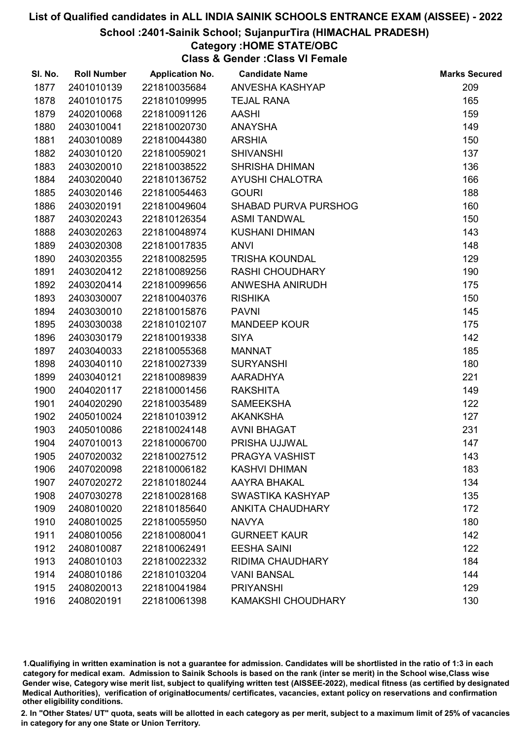### School :2401-Sainik School; SujanpurTira (HIMACHAL PRADESH)

## Category :HOME STATE/OBC

Class & Gender :Class VI Female

| SI. No. | <b>Roll Number</b> | <b>Application No.</b> | <b>Candidate Name</b>       | <b>Marks Secured</b> |
|---------|--------------------|------------------------|-----------------------------|----------------------|
| 1877    | 2401010139         | 221810035684           | ANVESHA KASHYAP             | 209                  |
| 1878    | 2401010175         | 221810109995           | <b>TEJAL RANA</b>           | 165                  |
| 1879    | 2402010068         | 221810091126           | <b>AASHI</b>                | 159                  |
| 1880    | 2403010041         | 221810020730           | <b>ANAYSHA</b>              | 149                  |
| 1881    | 2403010089         | 221810044380           | <b>ARSHIA</b>               | 150                  |
| 1882    | 2403010120         | 221810059021           | <b>SHIVANSHI</b>            | 137                  |
| 1883    | 2403020010         | 221810038522           | <b>SHRISHA DHIMAN</b>       | 136                  |
| 1884    | 2403020040         | 221810136752           | AYUSHI CHALOTRA             | 166                  |
| 1885    | 2403020146         | 221810054463           | <b>GOURI</b>                | 188                  |
| 1886    | 2403020191         | 221810049604           | <b>SHABAD PURVA PURSHOG</b> | 160                  |
| 1887    | 2403020243         | 221810126354           | <b>ASMI TANDWAL</b>         | 150                  |
| 1888    | 2403020263         | 221810048974           | <b>KUSHANI DHIMAN</b>       | 143                  |
| 1889    | 2403020308         | 221810017835           | <b>ANVI</b>                 | 148                  |
| 1890    | 2403020355         | 221810082595           | <b>TRISHA KOUNDAL</b>       | 129                  |
| 1891    | 2403020412         | 221810089256           | <b>RASHI CHOUDHARY</b>      | 190                  |
| 1892    | 2403020414         | 221810099656           | ANWESHA ANIRUDH             | 175                  |
| 1893    | 2403030007         | 221810040376           | <b>RISHIKA</b>              | 150                  |
| 1894    | 2403030010         | 221810015876           | <b>PAVNI</b>                | 145                  |
| 1895    | 2403030038         | 221810102107           | <b>MANDEEP KOUR</b>         | 175                  |
| 1896    | 2403030179         | 221810019338           | <b>SIYA</b>                 | 142                  |
| 1897    | 2403040033         | 221810055368           | <b>MANNAT</b>               | 185                  |
| 1898    | 2403040110         | 221810027339           | <b>SURYANSHI</b>            | 180                  |
| 1899    | 2403040121         | 221810089839           | AARADHYA                    | 221                  |
| 1900    | 2404020117         | 221810001456           | <b>RAKSHITA</b>             | 149                  |
| 1901    | 2404020290         | 221810035489           | <b>SAMEEKSHA</b>            | 122                  |
| 1902    | 2405010024         | 221810103912           | <b>AKANKSHA</b>             | 127                  |
| 1903    | 2405010086         | 221810024148           | <b>AVNI BHAGAT</b>          | 231                  |
| 1904    | 2407010013         | 221810006700           | PRISHA UJJWAL               | 147                  |
| 1905    | 2407020032         | 221810027512           | PRAGYA VASHIST              | 143                  |
| 1906    | 2407020098         | 221810006182           | <b>KASHVI DHIMAN</b>        | 183                  |
| 1907    | 2407020272         | 221810180244           | AAYRA BHAKAL                | 134                  |
| 1908    | 2407030278         | 221810028168           | SWASTIKA KASHYAP            | 135                  |
| 1909    | 2408010020         | 221810185640           | <b>ANKITA CHAUDHARY</b>     | 172                  |
| 1910    | 2408010025         | 221810055950           | <b>NAVYA</b>                | 180                  |
| 1911    | 2408010056         | 221810080041           | <b>GURNEET KAUR</b>         | 142                  |
| 1912    | 2408010087         | 221810062491           | <b>EESHA SAINI</b>          | 122                  |
| 1913    | 2408010103         | 221810022332           | <b>RIDIMA CHAUDHARY</b>     | 184                  |
| 1914    | 2408010186         | 221810103204           | <b>VANI BANSAL</b>          | 144                  |
| 1915    | 2408020013         | 221810041984           | <b>PRIYANSHI</b>            | 129                  |
| 1916    | 2408020191         | 221810061398           | <b>KAMAKSHI CHOUDHARY</b>   | 130                  |

1.Qualifiying in written examination is not a guarantee for admission. Candidates will be shortlisted in the ratio of 1:3 in each category for medical exam. Admission to Sainik Schools is based on the rank (inter se merit) in the School wise,Class wise Gender wise, Category wise merit list, subject to qualifying written test (AISSEE-2022), medical fitness (as certified by designated Medical Authorities), verification of originablocuments/ certificates, vacancies, extant policy on reservations and confirmation other eligibility conditions.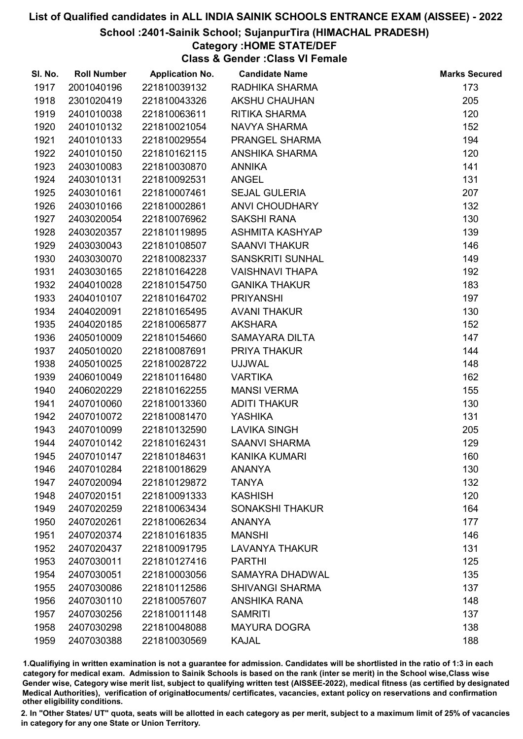### School :2401-Sainik School; SujanpurTira (HIMACHAL PRADESH)

### Category :HOME STATE/DEF

Class & Gender :Class VI Female

| SI. No. | <b>Roll Number</b> | <b>Application No.</b> | <b>Candidate Name</b>   | <b>Marks Secured</b> |
|---------|--------------------|------------------------|-------------------------|----------------------|
| 1917    | 2001040196         | 221810039132           | RADHIKA SHARMA          | 173                  |
| 1918    | 2301020419         | 221810043326           | <b>AKSHU CHAUHAN</b>    | 205                  |
| 1919    | 2401010038         | 221810063611           | <b>RITIKA SHARMA</b>    | 120                  |
| 1920    | 2401010132         | 221810021054           | NAVYA SHARMA            | 152                  |
| 1921    | 2401010133         | 221810029554           | PRANGEL SHARMA          | 194                  |
| 1922    | 2401010150         | 221810162115           | ANSHIKA SHARMA          | 120                  |
| 1923    | 2403010083         | 221810030870           | <b>ANNIKA</b>           | 141                  |
| 1924    | 2403010131         | 221810092531           | <b>ANGEL</b>            | 131                  |
| 1925    | 2403010161         | 221810007461           | <b>SEJAL GULERIA</b>    | 207                  |
| 1926    | 2403010166         | 221810002861           | <b>ANVI CHOUDHARY</b>   | 132                  |
| 1927    | 2403020054         | 221810076962           | <b>SAKSHI RANA</b>      | 130                  |
| 1928    | 2403020357         | 221810119895           | ASHMITA KASHYAP         | 139                  |
| 1929    | 2403030043         | 221810108507           | <b>SAANVI THAKUR</b>    | 146                  |
| 1930    | 2403030070         | 221810082337           | <b>SANSKRITI SUNHAL</b> | 149                  |
| 1931    | 2403030165         | 221810164228           | <b>VAISHNAVI THAPA</b>  | 192                  |
| 1932    | 2404010028         | 221810154750           | <b>GANIKA THAKUR</b>    | 183                  |
| 1933    | 2404010107         | 221810164702           | <b>PRIYANSHI</b>        | 197                  |
| 1934    | 2404020091         | 221810165495           | <b>AVANI THAKUR</b>     | 130                  |
| 1935    | 2404020185         | 221810065877           | <b>AKSHARA</b>          | 152                  |
| 1936    | 2405010009         | 221810154660           | <b>SAMAYARA DILTA</b>   | 147                  |
| 1937    | 2405010020         | 221810087691           | PRIYA THAKUR            | 144                  |
| 1938    | 2405010025         | 221810028722           | <b>UJJWAL</b>           | 148                  |
| 1939    | 2406010049         | 221810116480           | <b>VARTIKA</b>          | 162                  |
| 1940    | 2406020229         | 221810162255           | <b>MANSI VERMA</b>      | 155                  |
| 1941    | 2407010060         | 221810013360           | <b>ADITI THAKUR</b>     | 130                  |
| 1942    | 2407010072         | 221810081470           | <b>YASHIKA</b>          | 131                  |
| 1943    | 2407010099         | 221810132590           | <b>LAVIKA SINGH</b>     | 205                  |
| 1944    | 2407010142         | 221810162431           | <b>SAANVI SHARMA</b>    | 129                  |
| 1945    | 2407010147         | 221810184631           | <b>KANIKA KUMARI</b>    | 160                  |
| 1946    | 2407010284         | 221810018629           | <b>ANANYA</b>           | 130                  |
| 1947    | 2407020094         | 221810129872           | <b>TANYA</b>            | 132                  |
| 1948    | 2407020151         | 221810091333           | <b>KASHISH</b>          | 120                  |
| 1949    | 2407020259         | 221810063434           | <b>SONAKSHI THAKUR</b>  | 164                  |
| 1950    | 2407020261         | 221810062634           | <b>ANANYA</b>           | 177                  |
| 1951    | 2407020374         | 221810161835           | <b>MANSHI</b>           | 146                  |
| 1952    | 2407020437         | 221810091795           | <b>LAVANYA THAKUR</b>   | 131                  |
| 1953    | 2407030011         | 221810127416           | <b>PARTHI</b>           | 125                  |
| 1954    | 2407030051         | 221810003056           | SAMAYRA DHADWAL         | 135                  |
| 1955    | 2407030086         | 221810112586           | <b>SHIVANGI SHARMA</b>  | 137                  |
| 1956    | 2407030110         | 221810057607           | <b>ANSHIKA RANA</b>     | 148                  |
| 1957    | 2407030256         | 221810011148           | <b>SAMRITI</b>          | 137                  |
| 1958    | 2407030298         | 221810048088           | <b>MAYURA DOGRA</b>     | 138                  |
| 1959    | 2407030388         | 221810030569           | <b>KAJAL</b>            | 188                  |

1.Qualifiying in written examination is not a guarantee for admission. Candidates will be shortlisted in the ratio of 1:3 in each category for medical exam. Admission to Sainik Schools is based on the rank (inter se merit) in the School wise,Class wise Gender wise, Category wise merit list, subject to qualifying written test (AISSEE-2022), medical fitness (as certified by designated Medical Authorities), verification of originablocuments/ certificates, vacancies, extant policy on reservations and confirmation other eligibility conditions.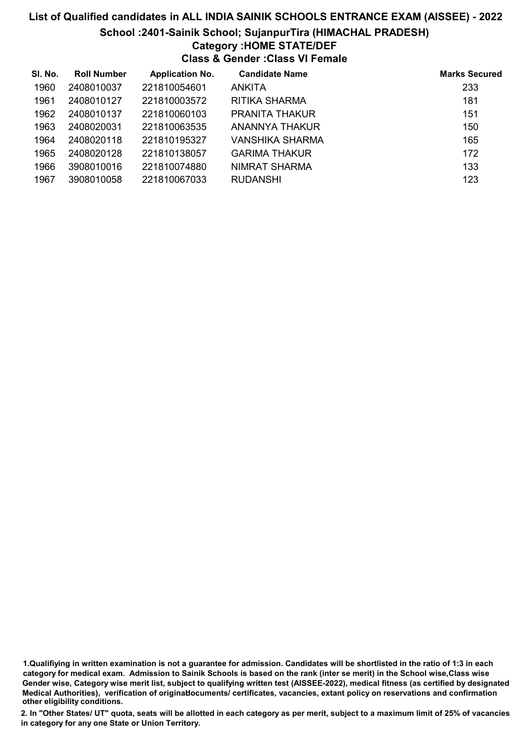## List of Qualified candidates in ALL INDIA SAINIK SCHOOLS ENTRANCE EXAM (AISSEE) - 2022 School :2401-Sainik School; SujanpurTira (HIMACHAL PRADESH) Category :HOME STATE/DEF Class & Gender :Class VI Female

| SI. No. | <b>Roll Number</b> | <b>Application No.</b> | <b>Candidate Name</b> | <b>Marks Secured</b> |
|---------|--------------------|------------------------|-----------------------|----------------------|
| 1960    | 2408010037         | 221810054601           | ANKITA                | 233                  |
| 1961    | 2408010127         | 221810003572           | RITIKA SHARMA         | 181                  |
| 1962    | 2408010137         | 221810060103           | PRANITA THAKUR        | 151                  |
| 1963    | 2408020031         | 221810063535           | ANANNYA THAKUR        | 150                  |
| 1964    | 2408020118         | 221810195327           | VANSHIKA SHARMA       | 165                  |
| 1965    | 2408020128         | 221810138057           | <b>GARIMA THAKUR</b>  | 172                  |
| 1966    | 3908010016         | 221810074880           | NIMRAT SHARMA         | 133                  |
| 1967    | 3908010058         | 221810067033           | <b>RUDANSHI</b>       | 123                  |

<sup>1.</sup>Qualifiying in written examination is not a guarantee for admission. Candidates will be shortlisted in the ratio of 1:3 in each category for medical exam. Admission to Sainik Schools is based on the rank (inter se merit) in the School wise,Class wise Gender wise, Category wise merit list, subject to qualifying written test (AISSEE-2022), medical fitness (as certified by designated Medical Authorities), verification of originablocuments/ certificates, vacancies, extant policy on reservations and confirmation other eligibility conditions.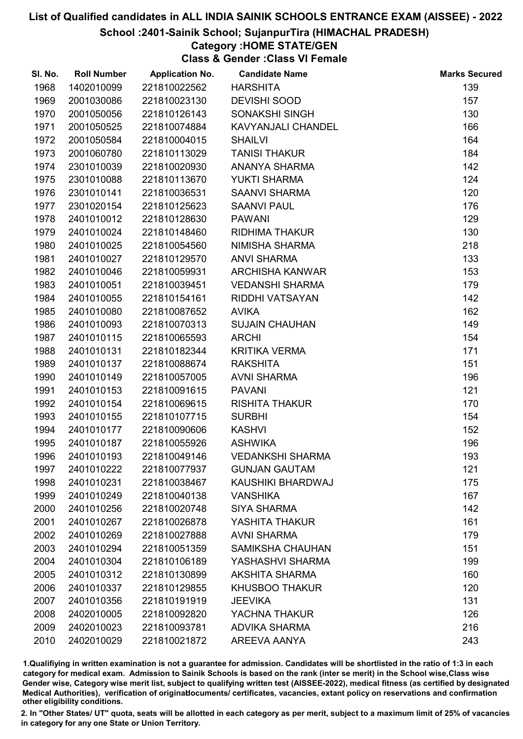### School :2401-Sainik School; SujanpurTira (HIMACHAL PRADESH)

## Category :HOME STATE/GEN

Class & Gender :Class VI Female

| SI. No. | <b>Roll Number</b> | <b>Application No.</b> | <b>Candidate Name</b>   | <b>Marks Secured</b> |
|---------|--------------------|------------------------|-------------------------|----------------------|
| 1968    | 1402010099         | 221810022562           | <b>HARSHITA</b>         | 139                  |
| 1969    | 2001030086         | 221810023130           | <b>DEVISHI SOOD</b>     | 157                  |
| 1970    | 2001050056         | 221810126143           | SONAKSHI SINGH          | 130                  |
| 1971    | 2001050525         | 221810074884           | KAVYANJALI CHANDEL      | 166                  |
| 1972    | 2001050584         | 221810004015           | <b>SHAILVI</b>          | 164                  |
| 1973    | 2001060780         | 221810113029           | <b>TANISI THAKUR</b>    | 184                  |
| 1974    | 2301010039         | 221810020930           | ANANYA SHARMA           | 142                  |
| 1975    | 2301010088         | 221810113670           | <b>YUKTI SHARMA</b>     | 124                  |
| 1976    | 2301010141         | 221810036531           | <b>SAANVI SHARMA</b>    | 120                  |
| 1977    | 2301020154         | 221810125623           | <b>SAANVI PAUL</b>      | 176                  |
| 1978    | 2401010012         | 221810128630           | <b>PAWANI</b>           | 129                  |
| 1979    | 2401010024         | 221810148460           | <b>RIDHIMA THAKUR</b>   | 130                  |
| 1980    | 2401010025         | 221810054560           | NIMISHA SHARMA          | 218                  |
| 1981    | 2401010027         | 221810129570           | <b>ANVI SHARMA</b>      | 133                  |
| 1982    | 2401010046         | 221810059931           | <b>ARCHISHA KANWAR</b>  | 153                  |
| 1983    | 2401010051         | 221810039451           | <b>VEDANSHI SHARMA</b>  | 179                  |
| 1984    | 2401010055         | 221810154161           | RIDDHI VATSAYAN         | 142                  |
| 1985    | 2401010080         | 221810087652           | <b>AVIKA</b>            | 162                  |
| 1986    | 2401010093         | 221810070313           | <b>SUJAIN CHAUHAN</b>   | 149                  |
| 1987    | 2401010115         | 221810065593           | <b>ARCHI</b>            | 154                  |
| 1988    | 2401010131         | 221810182344           | <b>KRITIKA VERMA</b>    | 171                  |
| 1989    | 2401010137         | 221810088674           | <b>RAKSHITA</b>         | 151                  |
| 1990    | 2401010149         | 221810057005           | <b>AVNI SHARMA</b>      | 196                  |
| 1991    | 2401010153         | 221810091615           | <b>PAVANI</b>           | 121                  |
| 1992    | 2401010154         | 221810069615           | <b>RISHITA THAKUR</b>   | 170                  |
| 1993    | 2401010155         | 221810107715           | <b>SURBHI</b>           | 154                  |
| 1994    | 2401010177         | 221810090606           | <b>KASHVI</b>           | 152                  |
| 1995    | 2401010187         | 221810055926           | <b>ASHWIKA</b>          | 196                  |
| 1996    | 2401010193         | 221810049146           | <b>VEDANKSHI SHARMA</b> | 193                  |
| 1997    | 2401010222         | 221810077937           | <b>GUNJAN GAUTAM</b>    | 121                  |
| 1998    | 2401010231         | 221810038467           | KAUSHIKI BHARDWAJ       | 175                  |
| 1999    | 2401010249         | 221810040138           | <b>VANSHIKA</b>         | 167                  |
| 2000    | 2401010256         | 221810020748           | <b>SIYA SHARMA</b>      | 142                  |
| 2001    | 2401010267         | 221810026878           | YASHITA THAKUR          | 161                  |
| 2002    | 2401010269         | 221810027888           | <b>AVNI SHARMA</b>      | 179                  |
| 2003    | 2401010294         | 221810051359           | <b>SAMIKSHA CHAUHAN</b> | 151                  |
| 2004    | 2401010304         | 221810106189           | YASHASHVI SHARMA        | 199                  |
| 2005    | 2401010312         | 221810130899           | <b>AKSHITA SHARMA</b>   | 160                  |
| 2006    | 2401010337         | 221810129855           | <b>KHUSBOO THAKUR</b>   | 120                  |
| 2007    | 2401010356         | 221810191919           | <b>JEEVIKA</b>          | 131                  |
| 2008    | 2402010005         | 221810092820           | YACHNA THAKUR           | 126                  |
| 2009    | 2402010023         | 221810093781           | <b>ADVIKA SHARMA</b>    | 216                  |
| 2010    | 2402010029         | 221810021872           | AREEVA AANYA            | 243                  |

1.Qualifiying in written examination is not a guarantee for admission. Candidates will be shortlisted in the ratio of 1:3 in each category for medical exam. Admission to Sainik Schools is based on the rank (inter se merit) in the School wise,Class wise Gender wise, Category wise merit list, subject to qualifying written test (AISSEE-2022), medical fitness (as certified by designated Medical Authorities), verification of originablocuments/ certificates, vacancies, extant policy on reservations and confirmation other eligibility conditions.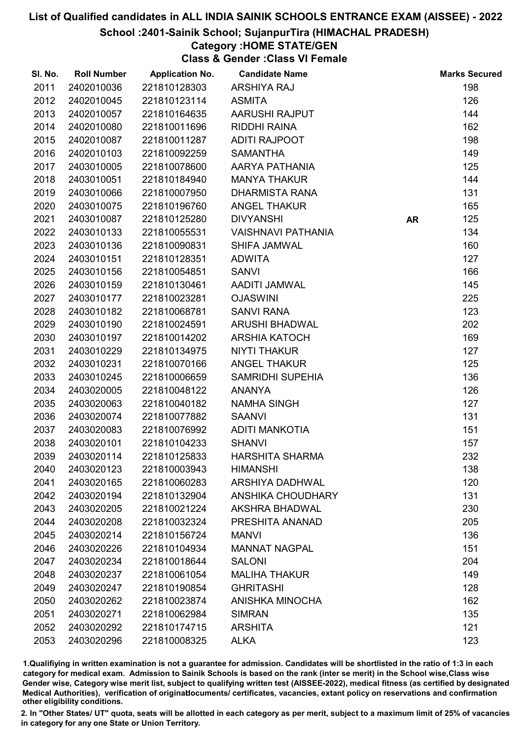#### School :2401-Sainik School; SujanpurTira (HIMACHAL PRADESH)

## Category :HOME STATE/GEN

Class & Gender :Class VI Female

| SI. No. | <b>Roll Number</b> | <b>Application No.</b> | <b>Candidate Name</b>     |           | <b>Marks Secured</b> |
|---------|--------------------|------------------------|---------------------------|-----------|----------------------|
| 2011    | 2402010036         | 221810128303           | <b>ARSHIYA RAJ</b>        |           | 198                  |
| 2012    | 2402010045         | 221810123114           | <b>ASMITA</b>             |           | 126                  |
| 2013    | 2402010057         | 221810164635           | AARUSHI RAJPUT            |           | 144                  |
| 2014    | 2402010080         | 221810011696           | RIDDHI RAINA              |           | 162                  |
| 2015    | 2402010087         | 221810011287           | ADITI RAJPOOT             |           | 198                  |
| 2016    | 2402010103         | 221810092259           | <b>SAMANTHA</b>           |           | 149                  |
| 2017    | 2403010005         | 221810078600           | AARYA PATHANIA            |           | 125                  |
| 2018    | 2403010051         | 221810184940           | <b>MANYA THAKUR</b>       |           | 144                  |
| 2019    | 2403010066         | 221810007950           | <b>DHARMISTA RANA</b>     |           | 131                  |
| 2020    | 2403010075         | 221810196760           | <b>ANGEL THAKUR</b>       |           | 165                  |
| 2021    | 2403010087         | 221810125280           | <b>DIVYANSHI</b>          | <b>AR</b> | 125                  |
| 2022    | 2403010133         | 221810055531           | <b>VAISHNAVI PATHANIA</b> |           | 134                  |
| 2023    | 2403010136         | 221810090831           | SHIFA JAMWAL              |           | 160                  |
| 2024    | 2403010151         | 221810128351           | <b>ADWITA</b>             |           | 127                  |
| 2025    | 2403010156         | 221810054851           | <b>SANVI</b>              |           | 166                  |
| 2026    | 2403010159         | 221810130461           | AADITI JAMWAL             |           | 145                  |
| 2027    | 2403010177         | 221810023281           | <b>OJASWINI</b>           |           | 225                  |
| 2028    | 2403010182         | 221810068781           | <b>SANVI RANA</b>         |           | 123                  |
| 2029    | 2403010190         | 221810024591           | <b>ARUSHI BHADWAL</b>     |           | 202                  |
| 2030    | 2403010197         | 221810014202           | <b>ARSHIA KATOCH</b>      |           | 169                  |
| 2031    | 2403010229         | 221810134975           | <b>NIYTI THAKUR</b>       |           | 127                  |
| 2032    | 2403010231         | 221810070166           | <b>ANGEL THAKUR</b>       |           | 125                  |
| 2033    | 2403010245         | 221810006659           | <b>SAMRIDHI SUPEHIA</b>   |           | 136                  |
| 2034    | 2403020005         | 221810048122           | <b>ANANYA</b>             |           | 126                  |
| 2035    | 2403020063         | 221810040182           | <b>NAMHA SINGH</b>        |           | 127                  |
| 2036    | 2403020074         | 221810077882           | <b>SAANVI</b>             |           | 131                  |
| 2037    | 2403020083         | 221810076992           | <b>ADITI MANKOTIA</b>     |           | 151                  |
| 2038    | 2403020101         | 221810104233           | <b>SHANVI</b>             |           | 157                  |
| 2039    | 2403020114         | 221810125833           | <b>HARSHITA SHARMA</b>    |           | 232                  |
| 2040    | 2403020123         | 221810003943           | <b>HIMANSHI</b>           |           | 138                  |
| 2041    | 2403020165         | 221810060283           | <b>ARSHIYA DADHWAL</b>    |           | 120                  |
| 2042    | 2403020194         | 221810132904           | <b>ANSHIKA CHOUDHARY</b>  |           | 131                  |
| 2043    | 2403020205         | 221810021224           | <b>AKSHRA BHADWAL</b>     |           | 230                  |
| 2044    | 2403020208         | 221810032324           | PRESHITA ANANAD           |           | 205                  |
| 2045    | 2403020214         | 221810156724           | <b>MANVI</b>              |           | 136                  |
| 2046    | 2403020226         | 221810104934           | <b>MANNAT NAGPAL</b>      |           | 151                  |
| 2047    | 2403020234         | 221810018644           | <b>SALONI</b>             |           | 204                  |
| 2048    | 2403020237         | 221810061054           | <b>MALIHA THAKUR</b>      |           | 149                  |
| 2049    | 2403020247         | 221810190854           | <b>GHRITASHI</b>          |           | 128                  |
| 2050    | 2403020262         | 221810023874           | ANISHKA MINOCHA           |           | 162                  |
| 2051    | 2403020271         | 221810062984           | <b>SIMRAN</b>             |           | 135                  |
| 2052    | 2403020292         | 221810174715           | <b>ARSHITA</b>            |           | 121                  |
| 2053    | 2403020296         | 221810008325           | <b>ALKA</b>               |           | 123                  |
|         |                    |                        |                           |           |                      |

1.Qualifiying in written examination is not a guarantee for admission. Candidates will be shortlisted in the ratio of 1:3 in each category for medical exam. Admission to Sainik Schools is based on the rank (inter se merit) in the School wise,Class wise Gender wise, Category wise merit list, subject to qualifying written test (AISSEE-2022), medical fitness (as certified by designated Medical Authorities), verification of originablocuments/ certificates, vacancies, extant policy on reservations and confirmation other eligibility conditions.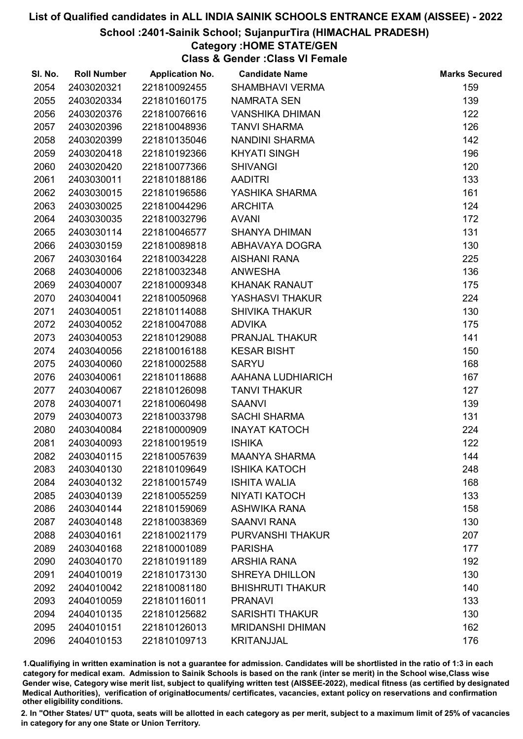### School :2401-Sainik School; SujanpurTira (HIMACHAL PRADESH)

### Category :HOME STATE/GEN

Class & Gender :Class VI Female

| SI. No. | <b>Roll Number</b> | <b>Application No.</b> | <b>Candidate Name</b>   | <b>Marks Secured</b> |
|---------|--------------------|------------------------|-------------------------|----------------------|
| 2054    | 2403020321         | 221810092455           | <b>SHAMBHAVI VERMA</b>  | 159                  |
| 2055    | 2403020334         | 221810160175           | <b>NAMRATA SEN</b>      | 139                  |
| 2056    | 2403020376         | 221810076616           | <b>VANSHIKA DHIMAN</b>  | 122                  |
| 2057    | 2403020396         | 221810048936           | <b>TANVI SHARMA</b>     | 126                  |
| 2058    | 2403020399         | 221810135046           | NANDINI SHARMA          | 142                  |
| 2059    | 2403020418         | 221810192366           | <b>KHYATI SINGH</b>     | 196                  |
| 2060    | 2403020420         | 221810077366           | <b>SHIVANGI</b>         | 120                  |
| 2061    | 2403030011         | 221810188186           | <b>AADITRI</b>          | 133                  |
| 2062    | 2403030015         | 221810196586           | YASHIKA SHARMA          | 161                  |
| 2063    | 2403030025         | 221810044296           | <b>ARCHITA</b>          | 124                  |
| 2064    | 2403030035         | 221810032796           | <b>AVANI</b>            | 172                  |
| 2065    | 2403030114         | 221810046577           | <b>SHANYA DHIMAN</b>    | 131                  |
| 2066    | 2403030159         | 221810089818           | ABHAVAYA DOGRA          | 130                  |
| 2067    | 2403030164         | 221810034228           | <b>AISHANI RANA</b>     | 225                  |
| 2068    | 2403040006         | 221810032348           | <b>ANWESHA</b>          | 136                  |
| 2069    | 2403040007         | 221810009348           | <b>KHANAK RANAUT</b>    | 175                  |
| 2070    | 2403040041         | 221810050968           | YASHASVI THAKUR         | 224                  |
| 2071    | 2403040051         | 221810114088           | <b>SHIVIKA THAKUR</b>   | 130                  |
| 2072    | 2403040052         | 221810047088           | <b>ADVIKA</b>           | 175                  |
| 2073    | 2403040053         | 221810129088           | PRANJAL THAKUR          | 141                  |
| 2074    | 2403040056         | 221810016188           | <b>KESAR BISHT</b>      | 150                  |
| 2075    | 2403040060         | 221810002588           | <b>SARYU</b>            | 168                  |
| 2076    | 2403040061         | 221810118688           | AAHANA LUDHIARICH       | 167                  |
| 2077    | 2403040067         | 221810126098           | <b>TANVI THAKUR</b>     | 127                  |
| 2078    | 2403040071         | 221810060498           | <b>SAANVI</b>           | 139                  |
| 2079    | 2403040073         | 221810033798           | <b>SACHI SHARMA</b>     | 131                  |
| 2080    | 2403040084         | 221810000909           | <b>INAYAT KATOCH</b>    | 224                  |
| 2081    | 2403040093         | 221810019519           | <b>ISHIKA</b>           | 122                  |
| 2082    | 2403040115         | 221810057639           | <b>MAANYA SHARMA</b>    | 144                  |
| 2083    | 2403040130         | 221810109649           | <b>ISHIKA KATOCH</b>    | 248                  |
| 2084    | 2403040132         | 221810015749           | <b>ISHITA WALIA</b>     | 168                  |
| 2085    | 2403040139         | 221810055259           | <b>NIYATI KATOCH</b>    | 133                  |
| 2086    | 2403040144         | 221810159069           | <b>ASHWIKA RANA</b>     | 158                  |
| 2087    | 2403040148         | 221810038369           | <b>SAANVI RANA</b>      | 130                  |
| 2088    | 2403040161         | 221810021179           | PURVANSHI THAKUR        | 207                  |
| 2089    | 2403040168         | 221810001089           | <b>PARISHA</b>          | 177                  |
| 2090    | 2403040170         | 221810191189           | <b>ARSHIA RANA</b>      | 192                  |
| 2091    | 2404010019         | 221810173130           | <b>SHREYA DHILLON</b>   | 130                  |
| 2092    | 2404010042         | 221810081180           | <b>BHISHRUTI THAKUR</b> | 140                  |
| 2093    | 2404010059         | 221810116011           | <b>PRANAVI</b>          | 133                  |
| 2094    | 2404010135         | 221810125682           | <b>SARISHTI THAKUR</b>  | 130                  |
| 2095    | 2404010151         | 221810126013           | <b>MRIDANSHI DHIMAN</b> | 162                  |
| 2096    | 2404010153         | 221810109713           | <b>KRITANJJAL</b>       | 176                  |

1.Qualifiying in written examination is not a guarantee for admission. Candidates will be shortlisted in the ratio of 1:3 in each category for medical exam. Admission to Sainik Schools is based on the rank (inter se merit) in the School wise,Class wise Gender wise, Category wise merit list, subject to qualifying written test (AISSEE-2022), medical fitness (as certified by designated Medical Authorities), verification of originablocuments/ certificates, vacancies, extant policy on reservations and confirmation other eligibility conditions.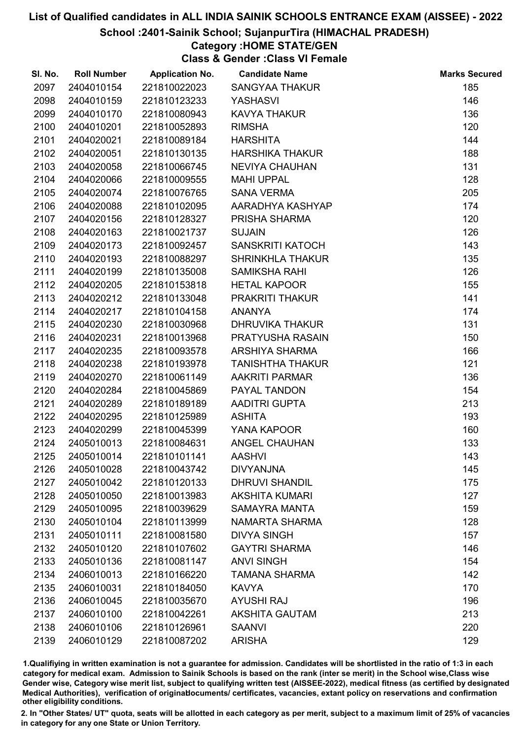### School :2401-Sainik School; SujanpurTira (HIMACHAL PRADESH)

### Category :HOME STATE/GEN

Class & Gender :Class VI Female

| SI. No. | <b>Roll Number</b> | <b>Application No.</b> | <b>Candidate Name</b>   | <b>Marks Secured</b> |
|---------|--------------------|------------------------|-------------------------|----------------------|
| 2097    | 2404010154         | 221810022023           | <b>SANGYAA THAKUR</b>   | 185                  |
| 2098    | 2404010159         | 221810123233           | <b>YASHASVI</b>         | 146                  |
| 2099    | 2404010170         | 221810080943           | <b>KAVYA THAKUR</b>     | 136                  |
| 2100    | 2404010201         | 221810052893           | <b>RIMSHA</b>           | 120                  |
| 2101    | 2404020021         | 221810089184           | <b>HARSHITA</b>         | 144                  |
| 2102    | 2404020051         | 221810130135           | <b>HARSHIKA THAKUR</b>  | 188                  |
| 2103    | 2404020058         | 221810066745           | <b>NEVIYA CHAUHAN</b>   | 131                  |
| 2104    | 2404020066         | 221810009555           | <b>MAHI UPPAL</b>       | 128                  |
| 2105    | 2404020074         | 221810076765           | <b>SANA VERMA</b>       | 205                  |
| 2106    | 2404020088         | 221810102095           | AARADHYA KASHYAP        | 174                  |
| 2107    | 2404020156         | 221810128327           | PRISHA SHARMA           | 120                  |
| 2108    | 2404020163         | 221810021737           | <b>SUJAIN</b>           | 126                  |
| 2109    | 2404020173         | 221810092457           | SANSKRITI KATOCH        | 143                  |
| 2110    | 2404020193         | 221810088297           | <b>SHRINKHLA THAKUR</b> | 135                  |
| 2111    | 2404020199         | 221810135008           | <b>SAMIKSHA RAHI</b>    | 126                  |
| 2112    | 2404020205         | 221810153818           | <b>HETAL KAPOOR</b>     | 155                  |
| 2113    | 2404020212         | 221810133048           | PRAKRITI THAKUR         | 141                  |
| 2114    | 2404020217         | 221810104158           | <b>ANANYA</b>           | 174                  |
| 2115    | 2404020230         | 221810030968           | <b>DHRUVIKA THAKUR</b>  | 131                  |
| 2116    | 2404020231         | 221810013968           | PRATYUSHA RASAIN        | 150                  |
| 2117    | 2404020235         | 221810093578           | ARSHIYA SHARMA          | 166                  |
| 2118    | 2404020238         | 221810193978           | <b>TANISHTHA THAKUR</b> | 121                  |
| 2119    | 2404020270         | 221810061149           | <b>AAKRITI PARMAR</b>   | 136                  |
| 2120    | 2404020284         | 221810045869           | PAYAL TANDON            | 154                  |
| 2121    | 2404020289         | 221810189189           | AADITRI GUPTA           | 213                  |
| 2122    | 2404020295         | 221810125989           | <b>ASHITA</b>           | 193                  |
| 2123    | 2404020299         | 221810045399           | YANA KAPOOR             | 160                  |
| 2124    | 2405010013         | 221810084631           | <b>ANGEL CHAUHAN</b>    | 133                  |
| 2125    | 2405010014         | 221810101141           | <b>AASHVI</b>           | 143                  |
| 2126    | 2405010028         | 221810043742           | <b>DIVYANJNA</b>        | 145                  |
| 2127    | 2405010042         | 221810120133           | <b>DHRUVI SHANDIL</b>   | 175                  |
| 2128    | 2405010050         | 221810013983           | <b>AKSHITA KUMARI</b>   | 127                  |
| 2129    | 2405010095         | 221810039629           | <b>SAMAYRA MANTA</b>    | 159                  |
| 2130    | 2405010104         | 221810113999           | NAMARTA SHARMA          | 128                  |
| 2131    | 2405010111         | 221810081580           | <b>DIVYA SINGH</b>      | 157                  |
| 2132    | 2405010120         | 221810107602           | <b>GAYTRI SHARMA</b>    | 146                  |
| 2133    | 2405010136         | 221810081147           | <b>ANVI SINGH</b>       | 154                  |
| 2134    | 2406010013         | 221810166220           | <b>TAMANA SHARMA</b>    | 142                  |
| 2135    | 2406010031         | 221810184050           | <b>KAVYA</b>            | 170                  |
| 2136    | 2406010045         | 221810035670           | <b>AYUSHI RAJ</b>       | 196                  |
| 2137    | 2406010100         | 221810042261           | <b>AKSHITA GAUTAM</b>   | 213                  |
| 2138    | 2406010106         | 221810126961           | <b>SAANVI</b>           | 220                  |
| 2139    | 2406010129         | 221810087202           | <b>ARISHA</b>           | 129                  |

1.Qualifiying in written examination is not a guarantee for admission. Candidates will be shortlisted in the ratio of 1:3 in each category for medical exam. Admission to Sainik Schools is based on the rank (inter se merit) in the School wise,Class wise Gender wise, Category wise merit list, subject to qualifying written test (AISSEE-2022), medical fitness (as certified by designated Medical Authorities), verification of originablocuments/ certificates, vacancies, extant policy on reservations and confirmation other eligibility conditions.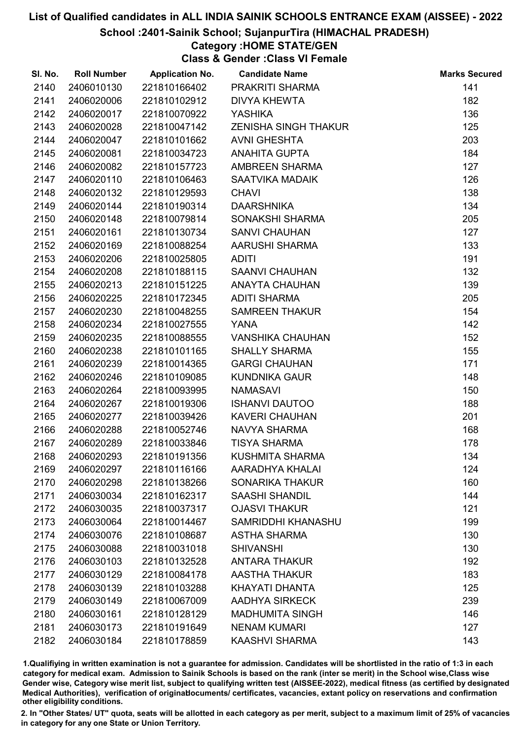### School :2401-Sainik School; SujanpurTira (HIMACHAL PRADESH)

### Category :HOME STATE/GEN

Class & Gender :Class VI Female

| SI. No. | <b>Roll Number</b> | <b>Application No.</b> | <b>Candidate Name</b>       | <b>Marks Secured</b> |
|---------|--------------------|------------------------|-----------------------------|----------------------|
| 2140    | 2406010130         | 221810166402           | PRAKRITI SHARMA             | 141                  |
| 2141    | 2406020006         | 221810102912           | <b>DIVYA KHEWTA</b>         | 182                  |
| 2142    | 2406020017         | 221810070922           | <b>YASHIKA</b>              | 136                  |
| 2143    | 2406020028         | 221810047142           | <b>ZENISHA SINGH THAKUR</b> | 125                  |
| 2144    | 2406020047         | 221810101662           | <b>AVNI GHESHTA</b>         | 203                  |
| 2145    | 2406020081         | 221810034723           | <b>ANAHITA GUPTA</b>        | 184                  |
| 2146    | 2406020082         | 221810157723           | AMBREEN SHARMA              | 127                  |
| 2147    | 2406020110         | 221810106463           | SAATVIKA MADAIK             | 126                  |
| 2148    | 2406020132         | 221810129593           | <b>CHAVI</b>                | 138                  |
| 2149    | 2406020144         | 221810190314           | <b>DAARSHNIKA</b>           | 134                  |
| 2150    | 2406020148         | 221810079814           | SONAKSHI SHARMA             | 205                  |
| 2151    | 2406020161         | 221810130734           | <b>SANVI CHAUHAN</b>        | 127                  |
| 2152    | 2406020169         | 221810088254           | AARUSHI SHARMA              | 133                  |
| 2153    | 2406020206         | 221810025805           | <b>ADITI</b>                | 191                  |
| 2154    | 2406020208         | 221810188115           | <b>SAANVI CHAUHAN</b>       | 132                  |
| 2155    | 2406020213         | 221810151225           | <b>ANAYTA CHAUHAN</b>       | 139                  |
| 2156    | 2406020225         | 221810172345           | <b>ADITI SHARMA</b>         | 205                  |
| 2157    | 2406020230         | 221810048255           | <b>SAMREEN THAKUR</b>       | 154                  |
| 2158    | 2406020234         | 221810027555           | YANA                        | 142                  |
| 2159    | 2406020235         | 221810088555           | <b>VANSHIKA CHAUHAN</b>     | 152                  |
| 2160    | 2406020238         | 221810101165           | <b>SHALLY SHARMA</b>        | 155                  |
| 2161    | 2406020239         | 221810014365           | <b>GARGI CHAUHAN</b>        | 171                  |
| 2162    | 2406020246         | 221810109085           | <b>KUNDNIKA GAUR</b>        | 148                  |
| 2163    | 2406020264         | 221810093995           | <b>NAMASAVI</b>             | 150                  |
| 2164    | 2406020267         | 221810019306           | <b>ISHANVI DAUTOO</b>       | 188                  |
| 2165    | 2406020277         | 221810039426           | <b>KAVERI CHAUHAN</b>       | 201                  |
| 2166    | 2406020288         | 221810052746           | NAVYA SHARMA                | 168                  |
| 2167    | 2406020289         | 221810033846           | <b>TISYA SHARMA</b>         | 178                  |
| 2168    | 2406020293         | 221810191356           | KUSHMITA SHARMA             | 134                  |
| 2169    | 2406020297         | 221810116166           | AARADHYA KHALAI             | 124                  |
| 2170    | 2406020298         | 221810138266           | <b>SONARIKA THAKUR</b>      | 160                  |
| 2171    | 2406030034         | 221810162317           | <b>SAASHI SHANDIL</b>       | 144                  |
| 2172    | 2406030035         | 221810037317           | <b>OJASVI THAKUR</b>        | 121                  |
| 2173    | 2406030064         | 221810014467           | SAMRIDDHI KHANASHU          | 199                  |
| 2174    | 2406030076         | 221810108687           | <b>ASTHA SHARMA</b>         | 130                  |
| 2175    | 2406030088         | 221810031018           | <b>SHIVANSHI</b>            | 130                  |
| 2176    | 2406030103         | 221810132528           | <b>ANTARA THAKUR</b>        | 192                  |
| 2177    | 2406030129         | 221810084178           | <b>AASTHA THAKUR</b>        | 183                  |
| 2178    | 2406030139         | 221810103288           | KHAYATI DHANTA              | 125                  |
| 2179    | 2406030149         | 221810067009           | <b>AADHYA SIRKECK</b>       | 239                  |
| 2180    | 2406030161         | 221810128129           | <b>MADHUMITA SINGH</b>      | 146                  |
| 2181    | 2406030173         | 221810191649           | <b>NENAM KUMARI</b>         | 127                  |
| 2182    | 2406030184         | 221810178859           | <b>KAASHVI SHARMA</b>       | 143                  |

1.Qualifiying in written examination is not a guarantee for admission. Candidates will be shortlisted in the ratio of 1:3 in each category for medical exam. Admission to Sainik Schools is based on the rank (inter se merit) in the School wise,Class wise Gender wise, Category wise merit list, subject to qualifying written test (AISSEE-2022), medical fitness (as certified by designated Medical Authorities), verification of originablocuments/ certificates, vacancies, extant policy on reservations and confirmation other eligibility conditions.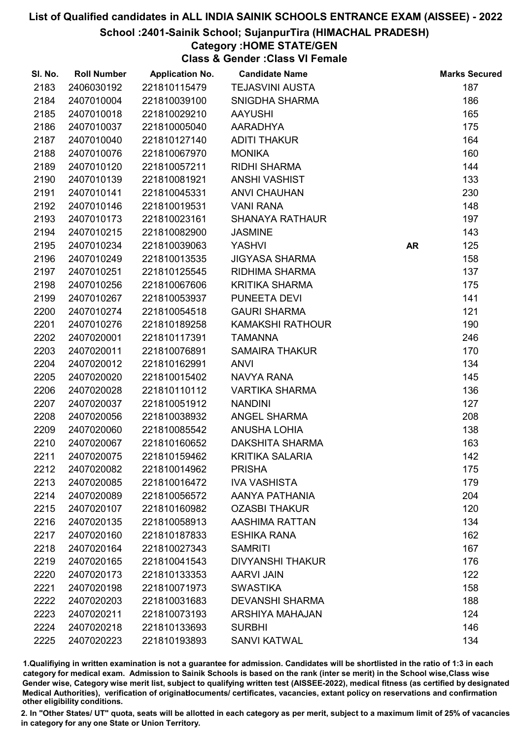### School :2401-Sainik School; SujanpurTira (HIMACHAL PRADESH)

### Category :HOME STATE/GEN

Class & Gender :Class VI Female

| SI. No. | <b>Roll Number</b> | <b>Application No.</b> | <b>Candidate Name</b>   |           | <b>Marks Secured</b> |
|---------|--------------------|------------------------|-------------------------|-----------|----------------------|
| 2183    | 2406030192         | 221810115479           | <b>TEJASVINI AUSTA</b>  |           | 187                  |
| 2184    | 2407010004         | 221810039100           | SNIGDHA SHARMA          |           | 186                  |
| 2185    | 2407010018         | 221810029210           | <b>AAYUSHI</b>          |           | 165                  |
| 2186    | 2407010037         | 221810005040           | <b>AARADHYA</b>         |           | 175                  |
| 2187    | 2407010040         | 221810127140           | <b>ADITI THAKUR</b>     |           | 164                  |
| 2188    | 2407010076         | 221810067970           | <b>MONIKA</b>           |           | 160                  |
| 2189    | 2407010120         | 221810057211           | <b>RIDHI SHARMA</b>     |           | 144                  |
| 2190    | 2407010139         | 221810081921           | <b>ANSHI VASHIST</b>    |           | 133                  |
| 2191    | 2407010141         | 221810045331           | <b>ANVI CHAUHAN</b>     |           | 230                  |
| 2192    | 2407010146         | 221810019531           | <b>VANI RANA</b>        |           | 148                  |
| 2193    | 2407010173         | 221810023161           | <b>SHANAYA RATHAUR</b>  |           | 197                  |
| 2194    | 2407010215         | 221810082900           | <b>JASMINE</b>          |           | 143                  |
| 2195    | 2407010234         | 221810039063           | YASHVI                  | <b>AR</b> | 125                  |
| 2196    | 2407010249         | 221810013535           | <b>JIGYASA SHARMA</b>   |           | 158                  |
| 2197    | 2407010251         | 221810125545           | <b>RIDHIMA SHARMA</b>   |           | 137                  |
| 2198    | 2407010256         | 221810067606           | <b>KRITIKA SHARMA</b>   |           | 175                  |
| 2199    | 2407010267         | 221810053937           | PUNEETA DEVI            |           | 141                  |
| 2200    | 2407010274         | 221810054518           | <b>GAURI SHARMA</b>     |           | 121                  |
| 2201    | 2407010276         | 221810189258           | <b>KAMAKSHI RATHOUR</b> |           | 190                  |
| 2202    | 2407020001         | 221810117391           | <b>TAMANNA</b>          |           | 246                  |
| 2203    | 2407020011         | 221810076891           | <b>SAMAIRA THAKUR</b>   |           | 170                  |
| 2204    | 2407020012         | 221810162991           | <b>ANVI</b>             |           | 134                  |
| 2205    | 2407020020         | 221810015402           | NAVYA RANA              |           | 145                  |
| 2206    | 2407020028         | 221810110112           | <b>VARTIKA SHARMA</b>   |           | 136                  |
| 2207    | 2407020037         | 221810051912           | <b>NANDINI</b>          |           | 127                  |
| 2208    | 2407020056         | 221810038932           | ANGEL SHARMA            |           | 208                  |
| 2209    | 2407020060         | 221810085542           | <b>ANUSHA LOHIA</b>     |           | 138                  |
| 2210    | 2407020067         | 221810160652           | DAKSHITA SHARMA         |           | 163                  |
| 2211    | 2407020075         | 221810159462           | <b>KRITIKA SALARIA</b>  |           | 142                  |
| 2212    | 2407020082         | 221810014962           | <b>PRISHA</b>           |           | 175                  |
| 2213    | 2407020085         | 221810016472           | <b>IVA VASHISTA</b>     |           | 179                  |
| 2214    | 2407020089         | 221810056572           | AANYA PATHANIA          |           | 204                  |
| 2215    | 2407020107         | 221810160982           | <b>OZASBI THAKUR</b>    |           | 120                  |
| 2216    | 2407020135         | 221810058913           | AASHIMA RATTAN          |           | 134                  |
| 2217    | 2407020160         | 221810187833           | <b>ESHIKA RANA</b>      |           | 162                  |
| 2218    | 2407020164         | 221810027343           | <b>SAMRITI</b>          |           | 167                  |
| 2219    | 2407020165         | 221810041543           | <b>DIVYANSHI THAKUR</b> |           | 176                  |
| 2220    | 2407020173         | 221810133353           | <b>AARVI JAIN</b>       |           | 122                  |
| 2221    | 2407020198         | 221810071973           | <b>SWASTIKA</b>         |           | 158                  |
| 2222    | 2407020203         | 221810031683           | <b>DEVANSHI SHARMA</b>  |           | 188                  |
| 2223    | 2407020211         | 221810073193           | <b>ARSHIYA MAHAJAN</b>  |           | 124                  |
| 2224    | 2407020218         | 221810133693           | <b>SURBHI</b>           |           | 146                  |
| 2225    | 2407020223         | 221810193893           | <b>SANVI KATWAL</b>     |           | 134                  |

1.Qualifiying in written examination is not a guarantee for admission. Candidates will be shortlisted in the ratio of 1:3 in each category for medical exam. Admission to Sainik Schools is based on the rank (inter se merit) in the School wise,Class wise Gender wise, Category wise merit list, subject to qualifying written test (AISSEE-2022), medical fitness (as certified by designated Medical Authorities), verification of originablocuments/ certificates, vacancies, extant policy on reservations and confirmation other eligibility conditions.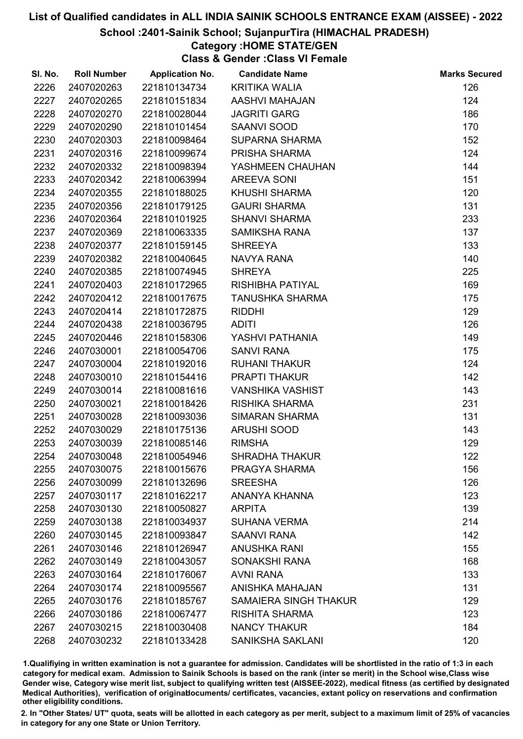### School :2401-Sainik School; SujanpurTira (HIMACHAL PRADESH)

## Category :HOME STATE/GEN

Class & Gender :Class VI Female

| SI. No. | <b>Roll Number</b> | <b>Application No.</b> | <b>Candidate Name</b>        | <b>Marks Secured</b> |
|---------|--------------------|------------------------|------------------------------|----------------------|
| 2226    | 2407020263         | 221810134734           | <b>KRITIKA WALIA</b>         | 126                  |
| 2227    | 2407020265         | 221810151834           | AASHVI MAHAJAN               | 124                  |
| 2228    | 2407020270         | 221810028044           | <b>JAGRITI GARG</b>          | 186                  |
| 2229    | 2407020290         | 221810101454           | <b>SAANVI SOOD</b>           | 170                  |
| 2230    | 2407020303         | 221810098464           | <b>SUPARNA SHARMA</b>        | 152                  |
| 2231    | 2407020316         | 221810099674           | PRISHA SHARMA                | 124                  |
| 2232    | 2407020332         | 221810098394           | YASHMEEN CHAUHAN             | 144                  |
| 2233    | 2407020342         | 221810063994           | <b>AREEVA SONI</b>           | 151                  |
| 2234    | 2407020355         | 221810188025           | <b>KHUSHI SHARMA</b>         | 120                  |
| 2235    | 2407020356         | 221810179125           | <b>GAURI SHARMA</b>          | 131                  |
| 2236    | 2407020364         | 221810101925           | <b>SHANVI SHARMA</b>         | 233                  |
| 2237    | 2407020369         | 221810063335           | <b>SAMIKSHA RANA</b>         | 137                  |
| 2238    | 2407020377         | 221810159145           | <b>SHREEYA</b>               | 133                  |
| 2239    | 2407020382         | 221810040645           | NAVYA RANA                   | 140                  |
| 2240    | 2407020385         | 221810074945           | <b>SHREYA</b>                | 225                  |
| 2241    | 2407020403         | 221810172965           | RISHIBHA PATIYAL             | 169                  |
| 2242    | 2407020412         | 221810017675           | <b>TANUSHKA SHARMA</b>       | 175                  |
| 2243    | 2407020414         | 221810172875           | <b>RIDDHI</b>                | 129                  |
| 2244    | 2407020438         | 221810036795           | <b>ADITI</b>                 | 126                  |
| 2245    | 2407020446         | 221810158306           | YASHVI PATHANIA              | 149                  |
| 2246    | 2407030001         | 221810054706           | <b>SANVI RANA</b>            | 175                  |
| 2247    | 2407030004         | 221810192016           | <b>RUHANI THAKUR</b>         | 124                  |
| 2248    | 2407030010         | 221810154416           | PRAPTI THAKUR                | 142                  |
| 2249    | 2407030014         | 221810081616           | <b>VANSHIKA VASHIST</b>      | 143                  |
| 2250    | 2407030021         | 221810018426           | <b>RISHIKA SHARMA</b>        | 231                  |
| 2251    | 2407030028         | 221810093036           | <b>SIMARAN SHARMA</b>        | 131                  |
| 2252    | 2407030029         | 221810175136           | <b>ARUSHI SOOD</b>           | 143                  |
| 2253    | 2407030039         | 221810085146           | <b>RIMSHA</b>                | 129                  |
| 2254    | 2407030048         | 221810054946           | <b>SHRADHA THAKUR</b>        | 122                  |
| 2255    | 2407030075         | 221810015676           | PRAGYA SHARMA                | 156                  |
| 2256    | 2407030099         | 221810132696           | <b>SREESHA</b>               | 126                  |
| 2257    | 2407030117         | 221810162217           | ANANYA KHANNA                | 123                  |
| 2258    | 2407030130         | 221810050827           | <b>ARPITA</b>                | 139                  |
| 2259    | 2407030138         | 221810034937           | <b>SUHANA VERMA</b>          | 214                  |
| 2260    | 2407030145         | 221810093847           | <b>SAANVI RANA</b>           | 142                  |
| 2261    | 2407030146         | 221810126947           | <b>ANUSHKA RANI</b>          | 155                  |
| 2262    | 2407030149         | 221810043057           | SONAKSHI RANA                | 168                  |
| 2263    | 2407030164         | 221810176067           | <b>AVNI RANA</b>             | 133                  |
| 2264    | 2407030174         | 221810095567           | ANISHKA MAHAJAN              | 131                  |
| 2265    | 2407030176         | 221810185767           | <b>SAMAIERA SINGH THAKUR</b> | 129                  |
| 2266    | 2407030186         | 221810067477           | <b>RISHITA SHARMA</b>        | 123                  |
| 2267    | 2407030215         | 221810030408           | <b>NANCY THAKUR</b>          | 184                  |
| 2268    | 2407030232         | 221810133428           | SANIKSHA SAKLANI             | 120                  |

1.Qualifiying in written examination is not a guarantee for admission. Candidates will be shortlisted in the ratio of 1:3 in each category for medical exam. Admission to Sainik Schools is based on the rank (inter se merit) in the School wise,Class wise Gender wise, Category wise merit list, subject to qualifying written test (AISSEE-2022), medical fitness (as certified by designated Medical Authorities), verification of originablocuments/ certificates, vacancies, extant policy on reservations and confirmation other eligibility conditions.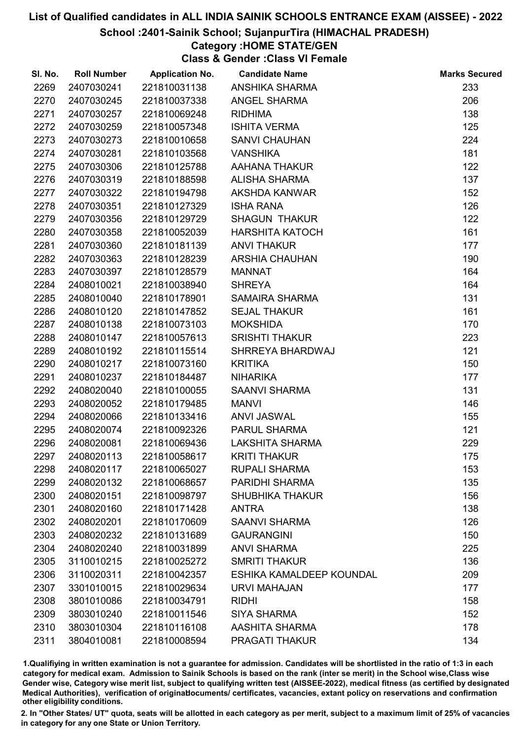### School :2401-Sainik School; SujanpurTira (HIMACHAL PRADESH)

### Category :HOME STATE/GEN

Class & Gender :Class VI Female

| SI. No. | <b>Roll Number</b> | <b>Application No.</b> | <b>Candidate Name</b>    | <b>Marks Secured</b> |
|---------|--------------------|------------------------|--------------------------|----------------------|
| 2269    | 2407030241         | 221810031138           | ANSHIKA SHARMA           | 233                  |
| 2270    | 2407030245         | 221810037338           | <b>ANGEL SHARMA</b>      | 206                  |
| 2271    | 2407030257         | 221810069248           | <b>RIDHIMA</b>           | 138                  |
| 2272    | 2407030259         | 221810057348           | <b>ISHITA VERMA</b>      | 125                  |
| 2273    | 2407030273         | 221810010658           | <b>SANVI CHAUHAN</b>     | 224                  |
| 2274    | 2407030281         | 221810103568           | <b>VANSHIKA</b>          | 181                  |
| 2275    | 2407030306         | 221810125788           | AAHANA THAKUR            | 122                  |
| 2276    | 2407030319         | 221810188598           | <b>ALISHA SHARMA</b>     | 137                  |
| 2277    | 2407030322         | 221810194798           | AKSHDA KANWAR            | 152                  |
| 2278    | 2407030351         | 221810127329           | <b>ISHA RANA</b>         | 126                  |
| 2279    | 2407030356         | 221810129729           | <b>SHAGUN THAKUR</b>     | 122                  |
| 2280    | 2407030358         | 221810052039           | <b>HARSHITA KATOCH</b>   | 161                  |
| 2281    | 2407030360         | 221810181139           | <b>ANVI THAKUR</b>       | 177                  |
| 2282    | 2407030363         | 221810128239           | <b>ARSHIA CHAUHAN</b>    | 190                  |
| 2283    | 2407030397         | 221810128579           | <b>MANNAT</b>            | 164                  |
| 2284    | 2408010021         | 221810038940           | <b>SHREYA</b>            | 164                  |
| 2285    | 2408010040         | 221810178901           | SAMAIRA SHARMA           | 131                  |
| 2286    | 2408010120         | 221810147852           | <b>SEJAL THAKUR</b>      | 161                  |
| 2287    | 2408010138         | 221810073103           | <b>MOKSHIDA</b>          | 170                  |
| 2288    | 2408010147         | 221810057613           | <b>SRISHTI THAKUR</b>    | 223                  |
| 2289    | 2408010192         | 221810115514           | SHRREYA BHARDWAJ         | 121                  |
| 2290    | 2408010217         | 221810073160           | <b>KRITIKA</b>           | 150                  |
| 2291    | 2408010237         | 221810184487           | <b>NIHARIKA</b>          | 177                  |
| 2292    | 2408020040         | 221810100055           | <b>SAANVI SHARMA</b>     | 131                  |
| 2293    | 2408020052         | 221810179485           | <b>MANVI</b>             | 146                  |
| 2294    | 2408020066         | 221810133416           | <b>ANVI JASWAL</b>       | 155                  |
| 2295    | 2408020074         | 221810092326           | PARUL SHARMA             | 121                  |
| 2296    | 2408020081         | 221810069436           | LAKSHITA SHARMA          | 229                  |
| 2297    | 2408020113         | 221810058617           | <b>KRITI THAKUR</b>      | 175                  |
| 2298    | 2408020117         | 221810065027           | <b>RUPALI SHARMA</b>     | 153                  |
| 2299    | 2408020132         | 221810068657           | PARIDHI SHARMA           | 135                  |
| 2300    | 2408020151         | 221810098797           | <b>SHUBHIKA THAKUR</b>   | 156                  |
| 2301    | 2408020160         | 221810171428           | <b>ANTRA</b>             | 138                  |
| 2302    | 2408020201         | 221810170609           | <b>SAANVI SHARMA</b>     | 126                  |
| 2303    | 2408020232         | 221810131689           | <b>GAURANGINI</b>        | 150                  |
| 2304    | 2408020240         | 221810031899           | <b>ANVI SHARMA</b>       | 225                  |
| 2305    | 3110010215         | 221810025272           | <b>SMRITI THAKUR</b>     | 136                  |
| 2306    | 3110020311         | 221810042357           | ESHIKA KAMALDEEP KOUNDAL | 209                  |
| 2307    | 3301010015         | 221810029634           | <b>URVI MAHAJAN</b>      | 177                  |
| 2308    | 3801010086         | 221810034791           | <b>RIDHI</b>             | 158                  |
| 2309    | 3803010240         | 221810011546           | <b>SIYA SHARMA</b>       | 152                  |
| 2310    | 3803010304         | 221810116108           | AASHITA SHARMA           | 178                  |
| 2311    | 3804010081         | 221810008594           | <b>PRAGATI THAKUR</b>    | 134                  |

1.Qualifiying in written examination is not a guarantee for admission. Candidates will be shortlisted in the ratio of 1:3 in each category for medical exam. Admission to Sainik Schools is based on the rank (inter se merit) in the School wise,Class wise Gender wise, Category wise merit list, subject to qualifying written test (AISSEE-2022), medical fitness (as certified by designated Medical Authorities), verification of originablocuments/ certificates, vacancies, extant policy on reservations and confirmation other eligibility conditions.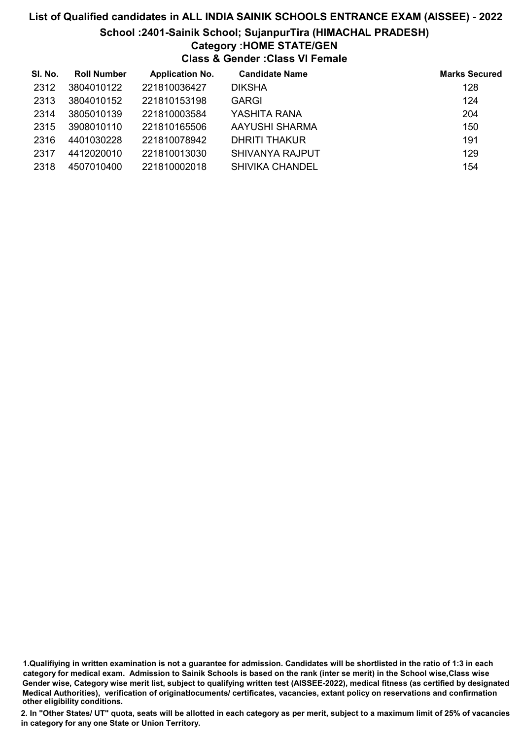## List of Qualified candidates in ALL INDIA SAINIK SCHOOLS ENTRANCE EXAM (AISSEE) - 2022 School :2401-Sainik School; SujanpurTira (HIMACHAL PRADESH) Category :HOME STATE/GEN Class & Gender :Class VI Female

| SI. No. | <b>Roll Number</b> | <b>Application No.</b> | <b>Candidate Name</b>  | <b>Marks Secured</b> |
|---------|--------------------|------------------------|------------------------|----------------------|
| 2312    | 3804010122         | 221810036427           | <b>DIKSHA</b>          | 128                  |
| 2313    | 3804010152         | 221810153198           | <b>GARGI</b>           | 124                  |
| 2314    | 3805010139         | 221810003584           | YASHITA RANA           | 204                  |
| 2315    | 3908010110         | 221810165506           | AAYUSHI SHARMA         | 150                  |
| 2316    | 4401030228         | 221810078942           | <b>DHRITI THAKUR</b>   | 191                  |
| 2317    | 4412020010         | 221810013030           | <b>SHIVANYA RAJPUT</b> | 129                  |
| 2318    | 4507010400         | 221810002018           | <b>SHIVIKA CHANDEL</b> | 154                  |

<sup>1.</sup>Qualifiying in written examination is not a guarantee for admission. Candidates will be shortlisted in the ratio of 1:3 in each category for medical exam. Admission to Sainik Schools is based on the rank (inter se merit) in the School wise,Class wise Gender wise, Category wise merit list, subject to qualifying written test (AISSEE-2022), medical fitness (as certified by designated Medical Authorities), verification of originablocuments/ certificates, vacancies, extant policy on reservations and confirmation other eligibility conditions.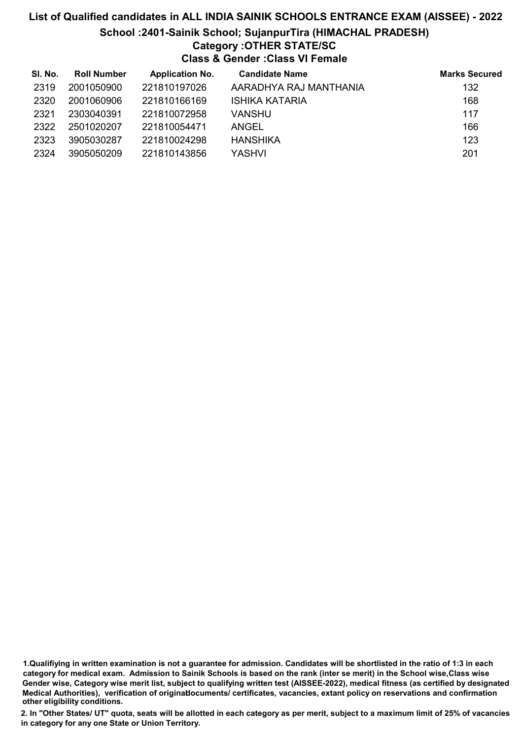### List of Qualified candidates in ALL INDIA SAINIK SCHOOLS ENTRANCE EXAM (AISSEE) - 2022 School :2401-Sainik School; SujanpurTira (HIMACHAL PRADESH) Category :OTHER STATE/SC Class & Gender :Class VI Female

| SI. No. | <b>Roll Number</b> | <b>Application No.</b> | <b>Candidate Name</b>  | <b>Marks Secured</b> |
|---------|--------------------|------------------------|------------------------|----------------------|
| 2319    | 2001050900         | 221810197026           | AARADHYA RAJ MANTHANIA | 132                  |
| 2320    | 2001060906         | 221810166169           | <b>ISHIKA KATARIA</b>  | 168                  |
| 2321    | 2303040391         | 221810072958           | VANSHU                 | 117                  |
| 2322    | 2501020207         | 221810054471           | ANGEL                  | 166                  |
| 2323    | 3905030287         | 221810024298           | <b>HANSHIKA</b>        | 123                  |
| 2324    | 3905050209         | 221810143856           | YASHVI                 | 201                  |

1.Qualifiying in written examination is not a guarantee for admission. Candidates will be shortlisted in the ratio of 1:3 in each category for medical exam. Admission to Sainik Schools is based on the rank (inter se merit) in the School wise,Class wise Gender wise, Category wise merit list, subject to qualifying written test (AISSEE-2022), medical fitness (as certified by designated Medical Authorities), verification of originablocuments/ certificates, vacancies, extant policy on reservations and confirmation other eligibility conditions.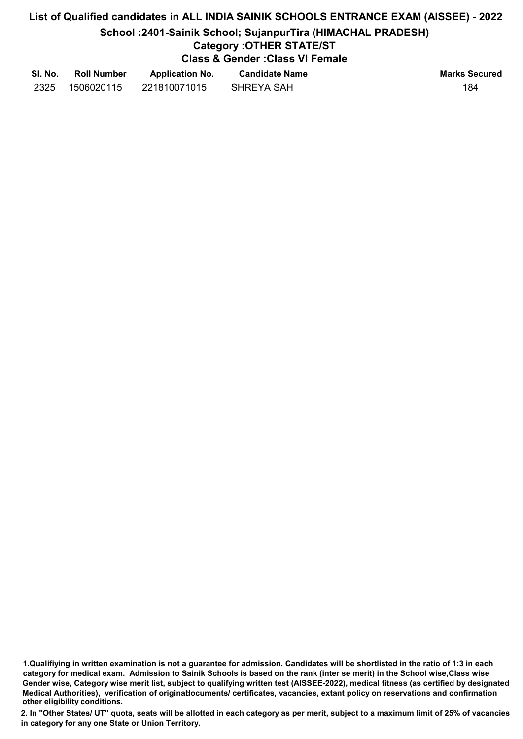# List of Qualified candidates in ALL INDIA SAINIK SCHOOLS ENTRANCE EXAM (AISSEE) - 2022 School :2401-Sainik School; SujanpurTira (HIMACHAL PRADESH) Category :OTHER STATE/ST Class & Gender :Class VI Female

| SI. No. | <b>Roll Number</b> | <b>Application No.</b> | <b>Candidate Name</b> | <b>Marks Secured</b> |
|---------|--------------------|------------------------|-----------------------|----------------------|
| 2325    | 1506020115         | 221810071015           | SHREYA SAH            | 184                  |

<sup>1.</sup>Qualifiying in written examination is not a guarantee for admission. Candidates will be shortlisted in the ratio of 1:3 in each category for medical exam. Admission to Sainik Schools is based on the rank (inter se merit) in the School wise,Class wise Gender wise, Category wise merit list, subject to qualifying written test (AISSEE-2022), medical fitness (as certified by designated Medical Authorities), verification of originablocuments/ certificates, vacancies, extant policy on reservations and confirmation other eligibility conditions.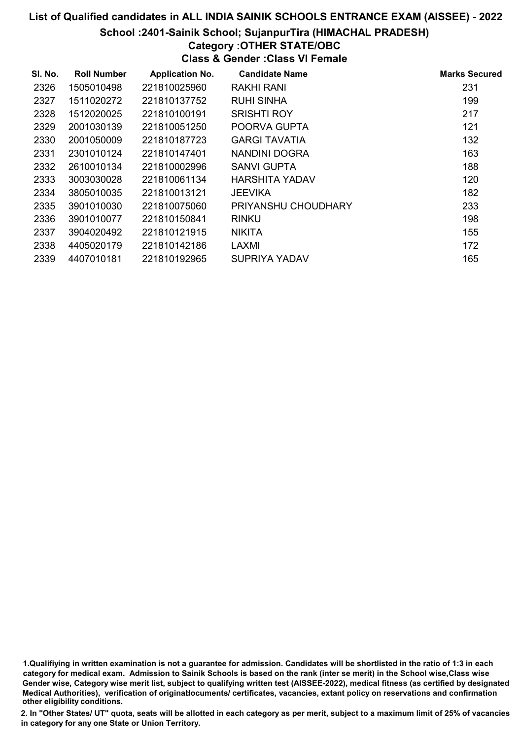### School :2401-Sainik School; SujanpurTira (HIMACHAL PRADESH)

# Category :OTHER STATE/OBC

Class & Gender :Class VI Female

| SI. No. | <b>Roll Number</b> | <b>Application No.</b> | <b>Candidate Name</b> | <b>Marks Secured</b> |
|---------|--------------------|------------------------|-----------------------|----------------------|
| 2326    | 1505010498         | 221810025960           | RAKHI RANI            | 231                  |
| 2327    | 1511020272         | 221810137752           | <b>RUHI SINHA</b>     | 199                  |
| 2328    | 1512020025         | 221810100191           | <b>SRISHTI ROY</b>    | 217                  |
| 2329    | 2001030139         | 221810051250           | POORVA GUPTA          | 121                  |
| 2330    | 2001050009         | 221810187723           | <b>GARGI TAVATIA</b>  | 132                  |
| 2331    | 2301010124         | 221810147401           | NANDINI DOGRA         | 163                  |
| 2332    | 2610010134         | 221810002996           | SANVI GUPTA           | 188                  |
| 2333    | 3003030028         | 221810061134           | <b>HARSHITA YADAV</b> | 120                  |
| 2334    | 3805010035         | 221810013121           | <b>JEEVIKA</b>        | 182                  |
| 2335    | 3901010030         | 221810075060           | PRIYANSHU CHOUDHARY   | 233                  |
| 2336    | 3901010077         | 221810150841           | <b>RINKU</b>          | 198                  |
| 2337    | 3904020492         | 221810121915           | <b>NIKITA</b>         | 155                  |
| 2338    | 4405020179         | 221810142186           | LAXMI                 | 172                  |
| 2339    | 4407010181         | 221810192965           | SUPRIYA YADAV         | 165                  |

1.Qualifiying in written examination is not a guarantee for admission. Candidates will be shortlisted in the ratio of 1:3 in each category for medical exam. Admission to Sainik Schools is based on the rank (inter se merit) in the School wise,Class wise Gender wise, Category wise merit list, subject to qualifying written test (AISSEE-2022), medical fitness (as certified by designated Medical Authorities), verification of originablocuments/ certificates, vacancies, extant policy on reservations and confirmation other eligibility conditions.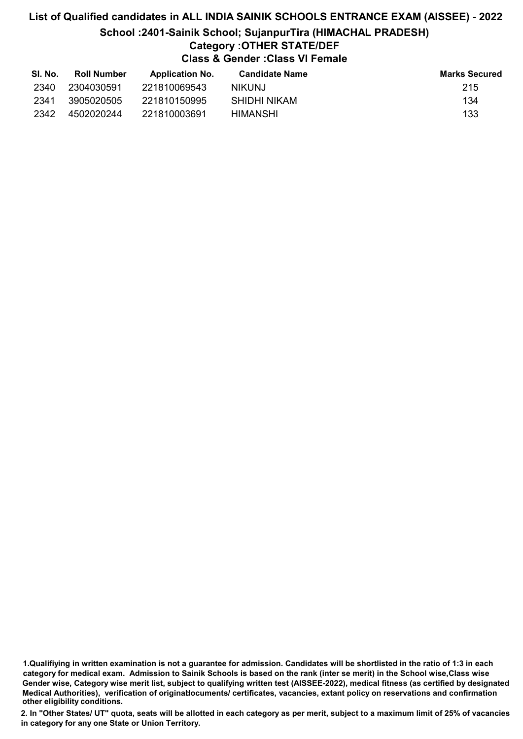### List of Qualified candidates in ALL INDIA SAINIK SCHOOLS ENTRANCE EXAM (AISSEE) - 2022 School :2401-Sainik School; SujanpurTira (HIMACHAL PRADESH) Category :OTHER STATE/DEF Class & Gender :Class VI Female

| SI. No. | <b>Roll Number</b> | <b>Application No.</b> | <b>Candidate Name</b> | <b>Marks Secured</b> |
|---------|--------------------|------------------------|-----------------------|----------------------|
| 2340    | 2304030591         | 221810069543           | NIKUNJ.               | 215                  |
| 2341    | 3905020505         | 221810150995           | SHIDHI NIKAM          | 134                  |
| 2342    | 4502020244         | 221810003691           | HIMANSHI              | 133                  |

1.Qualifiying in written examination is not a guarantee for admission. Candidates will be shortlisted in the ratio of 1:3 in each category for medical exam. Admission to Sainik Schools is based on the rank (inter se merit) in the School wise,Class wise Gender wise, Category wise merit list, subject to qualifying written test (AISSEE-2022), medical fitness (as certified by designated Medical Authorities), verification of originablocuments/ certificates, vacancies, extant policy on reservations and confirmation other eligibility conditions.